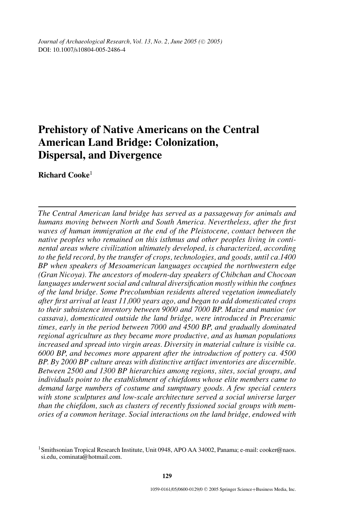*Journal of Archaeological Research, Vol. 13, No. 2, June 2005 (* $\odot$  *2005)* DOI: 10.1007/s10804-005-2486-4

# **Prehistory of Native Americans on the Central American Land Bridge: Colonization, Dispersal, and Divergence**

**Richard Cooke**<sup>1</sup>

*The Central American land bridge has served as a passageway for animals and humans moving between North and South America. Nevertheless, after the first waves of human immigration at the end of the Pleistocene, contact between the native peoples who remained on this isthmus and other peoples living in continental areas where civilization ultimately developed, is characterized, according to the field record, by the transfer of crops, technologies, and goods, until ca.1400 BP when speakers of Mesoamerican languages occupied the northwestern edge (Gran Nicoya). The ancestors of modern-day speakers of Chibchan and Chocoan languages underwent social and cultural diversification mostly within the confines of the land bridge. Some Precolumbian residents altered vegetation immediately after first arrival at least 11,000 years ago, and began to add domesticated crops to their subsistence inventory between 9000 and 7000 BP. Maize and manioc (or cassava), domesticated outside the land bridge, were introduced in Preceramic times, early in the period between 7000 and 4500 BP, and gradually dominated regional agriculture as they became more productive, and as human populations increased and spread into virgin areas. Diversity in material culture is visible ca. 6000 BP, and becomes more apparent after the introduction of pottery ca. 4500 BP. By 2000 BP culture areas with distinctive artifact inventories are discernible. Between 2500 and 1300 BP hierarchies among regions, sites, social groups, and individuals point to the establishment of chiefdoms whose elite members came to demand large numbers of costume and sumptuary goods. A few special centers with stone sculptures and low-scale architecture served a social universe larger than the chiefdom, such as clusters of recently fissioned social groups with memories of a common heritage. Social interactions on the land bridge, endowed with*

<sup>&</sup>lt;sup>1</sup> Smithsonian Tropical Research Institute, Unit 0948, APO AA 34002, Panama; e-mail: cooker@naos. si.edu, cominata@hotmail.com.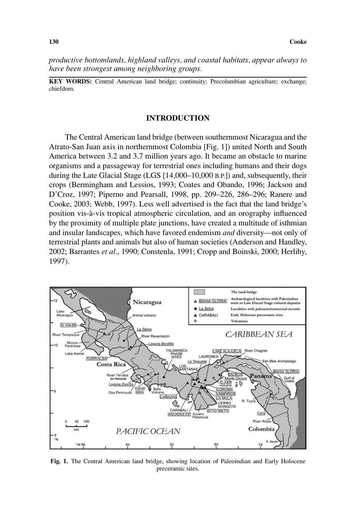*productive bottomlands, highland valleys, and coastal habitats, appear always to have been strongest among neighboring groups.*

**KEY WORDS:** Central American land bridge; continuity; Precolumbian agriculture; exchange; chiefdom.

# **INTRODUCTION**

The Central American land bridge (between southernmost Nicaragua and the Atrato-San Juan axis in northernmost Colombia [Fig. 1]) united North and South America between 3.2 and 3.7 million years ago. It became an obstacle to marine organisms and a passageway for terrestrial ones including humans and their dogs during the Late Glacial Stage (LGS [14,000–10,000 B.P.]) and, subsequently, their crops (Bermingham and Lessios, 1993; Coates and Obando, 1996; Jackson and D'Croz, 1997; Piperno and Pearsall, 1998, pp. 209–226, 286–296; Ranere and Cooke, 2003; Webb, 1997). Less well advertised is the fact that the land bridge's position vis-a-vis tropical atmospheric circulation, and an orography influenced ` by the proximity of multiple plate junctions, have created a multitude of isthmian and insular landscapes, which have favored endemism *and* diversity—not only of terrestrial plants and animals but also of human societies (Anderson and Handley, 2002; Barrantes *et al.*, 1990; Constenla, 1991; Cropp and Boinski, 2000; Herlihy, 1997).



**Fig. 1.** The Central American land bridge, showing location of Paleoindian and Early Holocene preceramic sites.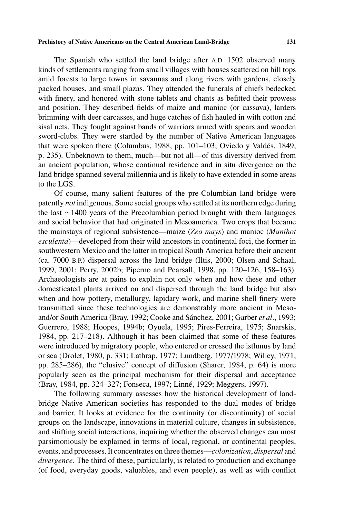The Spanish who settled the land bridge after A.D. 1502 observed many kinds of settlements ranging from small villages with houses scattered on hill tops amid forests to large towns in savannas and along rivers with gardens, closely packed houses, and small plazas. They attended the funerals of chiefs bedecked with finery, and honored with stone tablets and chants as befitted their prowess and position. They described fields of maize and manioc (or cassava), larders brimming with deer carcasses, and huge catches of fish hauled in with cotton and sisal nets. They fought against bands of warriors armed with spears and wooden sword-clubs. They were startled by the number of Native American languages that were spoken there (Columbus, 1988, pp. 101–103; Oviedo y Valdes, 1849, ´ p. 235). Unbeknown to them, much—but not all—of this diversity derived from an ancient population, whose continual residence and in situ divergence on the land bridge spanned several millennia and is likely to have extended in some areas to the LGS.

Of course, many salient features of the pre-Columbian land bridge were patently *not* indigenous. Some social groups who settled at its northern edge during the last ∼1400 years of the Precolumbian period brought with them languages and social behavior that had originated in Mesoamerica. Two crops that became the mainstays of regional subsistence—maize (*Zea mays*) and manioc (*Manihot esculenta*)—developed from their wild ancestors in continental foci, the former in southwestern Mexico and the latter in tropical South America before their ancient (ca. 7000 B.P.) dispersal across the land bridge (Iltis, 2000; Olsen and Schaal, 1999, 2001; Perry, 2002b; Piperno and Pearsall, 1998, pp. 120–126, 158–163). Archaeologists are at pains to explain not only when and how these and other domesticated plants arrived on and dispersed through the land bridge but also when and how pottery, metallurgy, lapidary work, and marine shell finery were transmitted since these technologies are demonstrably more ancient in Mesoand/or South America (Bray, 1992; Cooke and Sánchez, 2001; Garber et al., 1993; Guerrero, 1988; Hoopes, 1994b; Oyuela, 1995; Pires-Ferreira, 1975; Snarskis, 1984, pp. 217–218). Although it has been claimed that some of these features were introduced by migratory people, who entered or crossed the isthmus by land or sea (Drolet, 1980, p. 331; Lathrap, 1977; Lundberg, 1977/1978; Willey, 1971, pp. 285–286), the "elusive" concept of diffusion (Sharer, 1984, p. 64) is more popularly seen as the principal mechanism for their dispersal and acceptance (Bray, 1984, pp. 324–327; Fonseca, 1997; Linné, 1929; Meggers, 1997).

The following summary assesses how the historical development of landbridge Native American societies has responded to the dual modes of bridge and barrier. It looks at evidence for the continuity (or discontinuity) of social groups on the landscape, innovations in material culture, changes in subsistence, and shifting social interactions, inquiring whether the observed changes can most parsimoniously be explained in terms of local, regional, or continental peoples, events, and processes. It concentrates on three themes—*colonization*, *dispersal* and *divergence*. The third of these, particularly, is related to production and exchange (of food, everyday goods, valuables, and even people), as well as with conflict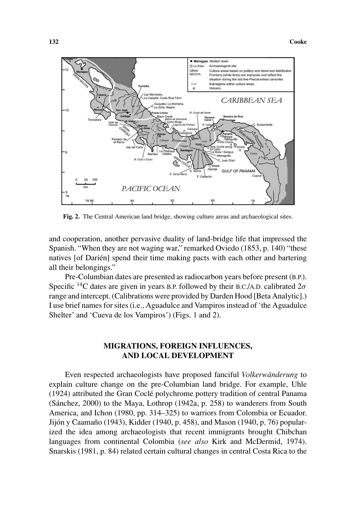

**Fig. 2.** The Central American land bridge, showing culture areas and archaeological sites.

and cooperation, another pervasive duality of land-bridge life that impressed the Spanish. "When they are not waging war," remarked Oviedo (1853, p. 140) "these natives [of Darién] spend their time making pacts with each other and bartering all their belongings."

Pre-Columbian dates are presented as radiocarbon years before present (B.P.). Specific 14C dates are given in years B.P. followed by their B.C./A.D. calibrated 2*σ* range and intercept. (Calibrations were provided by Darden Hood [Beta Analytic].) I use brief names for sites (i.e., Aguadulce and Vampiros instead of 'the Aguadulce Shelter' and 'Cueva de los Vampiros') (Figs. 1 and 2).

# **MIGRATIONS, FOREIGN INFLUENCES, AND LOCAL DEVELOPMENT**

Even respected archaeologists have proposed fanciful *Volkerwänderung* to explain culture change on the pre-Columbian land bridge. For example, Uhle (1924) attributed the Gran Cocle polychrome pottery tradition of central Panama ´ (Sánchez,  $2000$ ) to the Maya, Lothrop (1942a, p. 258) to wanderers from South America, and Ichon (1980, pp. 314–325) to warriors from Colombia or Ecuador. Jijón y Caamaño (1943), Kidder (1940, p. 458), and Mason (1940, p. 76) popularized the idea among archaeologists that recent immigrants brought Chibchan languages from continental Colombia (*see also* Kirk and McDermid, 1974). Snarskis (1981, p. 84) related certain cultural changes in central Costa Rica to the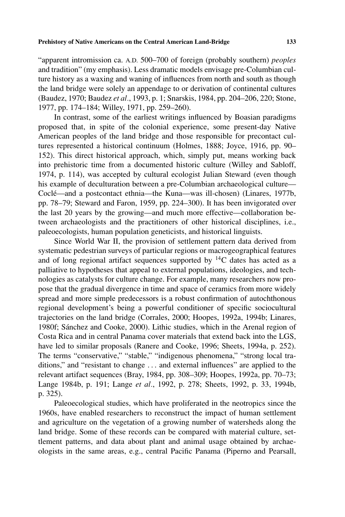"apparent intromission ca. A.D. 500–700 of foreign (probably southern) *peoples* and tradition" (my emphasis). Less dramatic models envisage pre-Columbian culture history as a waxing and waning of influences from north and south as though the land bridge were solely an appendage to or derivation of continental cultures (Baudez, 1970; Baudez *et al.*, 1993, p. 1; Snarskis, 1984, pp. 204–206, 220; Stone, 1977, pp. 174–184; Willey, 1971, pp. 259–260).

In contrast, some of the earliest writings influenced by Boasian paradigms proposed that, in spite of the colonial experience, some present-day Native American peoples of the land bridge and those responsible for precontact cultures represented a historical continuum (Holmes, 1888; Joyce, 1916, pp. 90– 152). This direct historical approach, which, simply put, means working back into prehistoric time from a documented historic culture (Willey and Sabloff, 1974, p. 114), was accepted by cultural ecologist Julian Steward (even though his example of deculturation between a pre-Columbian archaeological culture— Coclé—and a postcontact ethnia—the Kuna—was ill-chosen) (Linares, 1977b, pp. 78–79; Steward and Faron, 1959, pp. 224–300). It has been invigorated over the last 20 years by the growing—and much more effective—collaboration between archaeologists and the practitioners of other historical disciplines, i.e., paleoecologists, human population geneticists, and historical linguists.

Since World War II, the provision of settlement pattern data derived from systematic pedestrian surveys of particular regions or macrogeographical features and of long regional artifact sequences supported by 14C dates has acted as a palliative to hypotheses that appeal to external populations, ideologies, and technologies as catalysts for culture change. For example, many researchers now propose that the gradual divergence in time and space of ceramics from more widely spread and more simple predecessors is a robust confirmation of autochthonous regional development's being a powerful conditioner of specific sociocultural trajectories on the land bridge (Corrales, 2000; Hoopes, 1992a, 1994b; Linares, 1980f; Sánchez and Cooke, 2000). Lithic studies, which in the Arenal region of Costa Rica and in central Panama cover materials that extend back into the LGS, have led to similar proposals (Ranere and Cooke, 1996; Sheets, 1994a, p. 252). The terms "conservative," "stable," "indigenous phenomena," "strong local traditions," and "resistant to change *...* and external influences" are applied to the relevant artifact sequences (Bray, 1984, pp. 308–309; Hoopes, 1992a, pp. 70–73; Lange 1984b, p. 191; Lange *et al.*, 1992, p. 278; Sheets, 1992, p. 33, 1994b, p. 325).

Paleoecological studies, which have proliferated in the neotropics since the 1960s, have enabled researchers to reconstruct the impact of human settlement and agriculture on the vegetation of a growing number of watersheds along the land bridge. Some of these records can be compared with material culture, settlement patterns, and data about plant and animal usage obtained by archaeologists in the same areas, e.g., central Pacific Panama (Piperno and Pearsall,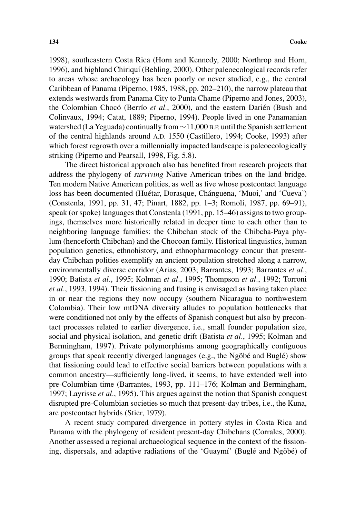1998), southeastern Costa Rica (Horn and Kennedy, 2000; Northrop and Horn, 1996), and highland Chiriquí (Behling, 2000). Other paleoecological records refer to areas whose archaeology has been poorly or never studied, e.g., the central Caribbean of Panama (Piperno, 1985, 1988, pp. 202–210), the narrow plateau that extends westwards from Panama City to Punta Chame (Piperno and Jones, 2003), the Colombian Chocó (Berrío *et al.*, 2000), and the eastern Darién (Bush and Colinvaux, 1994; Catat, 1889; Piperno, 1994). People lived in one Panamanian watershed (La Yeguada) continually from ∼11,000 B.P. until the Spanish settlement of the central highlands around A.D. 1550 (Castillero, 1994; Cooke, 1993) after which forest regrowth over a millennially impacted landscape is paleoecologically striking (Piperno and Pearsall, 1998, Fig. 5.8).

The direct historical approach also has benefited from research projects that address the phylogeny of *surviving* Native American tribes on the land bridge. Ten modern Native American polities, as well as five whose postcontact language loss has been documented (Huétar, Dorasque, Chánguena, 'Muoi,' and 'Cueva') (Constenla, 1991, pp. 31, 47; Pinart, 1882, pp. 1–3; Romoli, 1987, pp. 69–91), speak (or spoke) languages that Constenla (1991, pp. 15–46) assigns to two groupings, themselves more historically related in deeper time to each other than to neighboring language families: the Chibchan stock of the Chibcha-Paya phylum (henceforth Chibchan) and the Chocoan family. Historical linguistics, human population genetics, ethnohistory, and ethnopharmacology concur that presentday Chibchan polities exemplify an ancient population stretched along a narrow, environmentally diverse corridor (Arias, 2003; Barrantes, 1993; Barrantes *et al.*, 1990; Batista *et al.*, 1995; Kolman *et al.*, 1995; Thompson *et al.*, 1992; Torroni *et al.*, 1993, 1994). Their fissioning and fusing is envisaged as having taken place in or near the regions they now occupy (southern Nicaragua to northwestern Colombia). Their low mtDNA diversity alludes to population bottlenecks that were conditioned not only by the effects of Spanish conquest but also by precontact processes related to earlier divergence, i.e., small founder population size, social and physical isolation, and genetic drift (Batista *et al.*, 1995; Kolman and Bermingham, 1997). Private polymorphisms among geographically contiguous groups that speak recently diverged languages (e.g., the Ngöbé and Buglé) show that fissioning could lead to effective social barriers between populations with a common ancestry—sufficiently long-lived, it seems, to have extended well into pre-Columbian time (Barrantes, 1993, pp. 111–176; Kolman and Bermingham, 1997; Layrisse *et al.*, 1995). This argues against the notion that Spanish conquest disrupted pre-Columbian societies so much that present-day tribes, i.e., the Kuna, are postcontact hybrids (Stier, 1979).

A recent study compared divergence in pottery styles in Costa Rica and Panama with the phylogeny of resident present-day Chibchans (Corrales, 2000). Another assessed a regional archaeological sequence in the context of the fissioning, dispersals, and adaptive radiations of the 'Guaymí' (Buglé and Ngöbé) of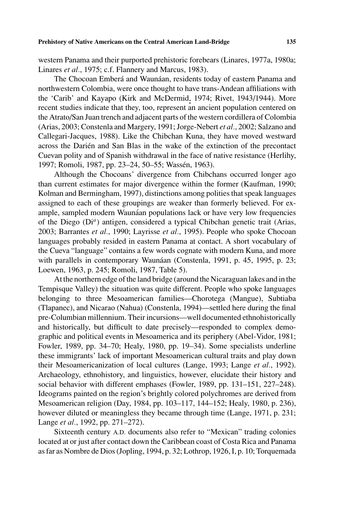western Panama and their purported prehistoric forebears (Linares, 1977a, 1980a; Linares *et al.*, 1975; c.f. Flannery and Marcus, 1983).

The Chocoan Emberá and Waunáan, residents today of eastern Panama and northwestern Colombia, were once thought to have trans-Andean affiliations with the 'Carib' and Kayapo (Kirk and McDermid, 1974; Rivet, 1943/1944). More recent studies indicate that they, too, represent an ancient population centered on the Atrato/San Juan trench and adjacent parts of the western cordillera of Colombia (Arias, 2003; Constenla and Margery, 1991; Jorge-Nebert *et al.*, 2002; Salzano and Callegari-Jacques, 1988). Like the Chibchan Kuna, they have moved westward across the Darien and San Blas in the wake of the extinction of the precontact ´ Cuevan polity and of Spanish withdrawal in the face of native resistance (Herlihy, 1997; Romoli, 1987, pp. 23–24, 50–55; Wassen, 1963). ´

Although the Chocoans' divergence from Chibchans occurred longer ago than current estimates for major divergence within the former (Kaufman, 1990; Kolman and Bermingham, 1997), distinctions among polities that speak languages assigned to each of these groupings are weaker than formerly believed. For example, sampled modern Waunáan populations lack or have very low frequencies of the Diego (Di*<sup>a</sup>*) antigen, considered a typical Chibchan genetic trait (Arias, 2003; Barrantes *et al.*, 1990; Layrisse *et al.*, 1995). People who spoke Chocoan languages probably resided in eastern Panama at contact. A short vocabulary of the Cueva "language" contains a few words cognate with modern Kuna, and more with parallels in contemporary Waunáan (Constenla, 1991, p. 45, 1995, p. 23; Loewen, 1963, p. 245; Romoli, 1987, Table 5).

At the northern edge of the land bridge (around the Nicaraguan lakes and in the Tempisque Valley) the situation was quite different. People who spoke languages belonging to three Mesoamerican families—Chorotega (Mangue), Subtiaba (Tlapanec), and Nicarao (Nahua) (Constenla, 1994)—settled here during the final pre-Columbian millennium. Their incursions—well documented ethnohistorically and historically, but difficult to date precisely—responded to complex demographic and political events in Mesoamerica and its periphery (Abel-Vidor, 1981; Fowler, 1989, pp. 34–70; Healy, 1980, pp. 19–34). Some specialists underline these immigrants' lack of important Mesoamerican cultural traits and play down their Mesoamericanization of local cultures (Lange, 1993; Lange *et al.*, 1992). Archaeology, ethnohistory, and linguistics, however, elucidate their history and social behavior with different emphases (Fowler, 1989, pp. 131–151, 227–248). Ideograms painted on the region's brightly colored polychromes are derived from Mesoamerican religion (Day, 1984, pp. 103–117, 144–152; Healy, 1980, p. 236), however diluted or meaningless they became through time (Lange, 1971, p. 231; Lange *et al.*, 1992, pp. 271–272).

Sixteenth century A.D. documents also refer to "Mexican" trading colonies located at or just after contact down the Caribbean coast of Costa Rica and Panama as far as Nombre de Dios (Jopling, 1994, p. 32; Lothrop, 1926, I, p. 10; Torquemada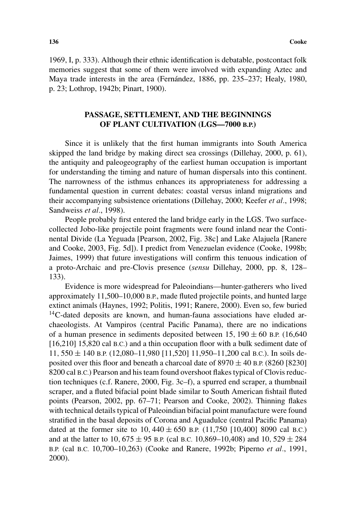1969, I, p. 333). Although their ethnic identification is debatable, postcontact folk memories suggest that some of them were involved with expanding Aztec and Maya trade interests in the area (Fernández, 1886, pp. 235–237; Healy, 1980, p. 23; Lothrop, 1942b; Pinart, 1900).

# **PASSAGE, SETTLEMENT, AND THE BEGINNINGS OF PLANT CULTIVATION (LGS—7000 B.P.)**

Since it is unlikely that the first human immigrants into South America skipped the land bridge by making direct sea crossings (Dillehay, 2000, p. 61), the antiquity and paleogeography of the earliest human occupation is important for understanding the timing and nature of human dispersals into this continent. The narrowness of the isthmus enhances its appropriateness for addressing a fundamental question in current debates: coastal versus inland migrations and their accompanying subsistence orientations (Dillehay, 2000; Keefer *et al.*, 1998; Sandweiss *et al.*, 1998).

People probably first entered the land bridge early in the LGS. Two surfacecollected Jobo-like projectile point fragments were found inland near the Continental Divide (La Yeguada [Pearson, 2002, Fig. 38c] and Lake Alajuela [Ranere and Cooke, 2003, Fig. 5d]). I predict from Venezuelan evidence (Cooke, 1998b; Jaimes, 1999) that future investigations will confirm this tenuous indication of a proto-Archaic and pre-Clovis presence (*sensu* Dillehay, 2000, pp. 8, 128– 133).

Evidence is more widespread for Paleoindians—hunter-gatherers who lived approximately 11,500–10,000 B.P., made fluted projectile points, and hunted large extinct animals (Haynes, 1992; Politis, 1991; Ranere, 2000). Even so, few buried  $14$ C-dated deposits are known, and human-fauna associations have eluded archaeologists. At Vampiros (central Pacific Panama), there are no indications of a human presence in sediments deposited between  $15$ ,  $190 \pm 60$  B.P. (16,640) [16,210] 15,820 cal B.C.) and a thin occupation floor with a bulk sediment date of 11*,* 550 ± 140 B.P. (12,080–11,980 [11,520] 11,950–11,200 cal B.C.). In soils deposited over this floor and beneath a charcoal date of  $8970 \pm 40$  B.P. (8260 [8230] 8200 cal B.C.) Pearson and his team found overshoot flakes typical of Clovis reduction techniques (c.f. Ranere, 2000, Fig. 3c–f), a spurred end scraper, a thumbnail scraper, and a fluted bifacial point blade similar to South American fishtail fluted points (Pearson, 2002, pp. 67–71; Pearson and Cooke, 2002). Thinning flakes with technical details typical of Paleoindian bifacial point manufacture were found stratified in the basal deposits of Corona and Aguadulce (central Pacific Panama) dated at the former site to  $10,440 \pm 650$  B.P. (11,750 [10,400] 8090 cal B.C.) and at the latter to 10,  $675 \pm 95$  B.P. (cal B.C. 10,869–10,408) and 10,  $529 \pm 284$ B.P. (cal B.C. 10,700–10,263) (Cooke and Ranere, 1992b; Piperno *et al.*, 1991, 2000).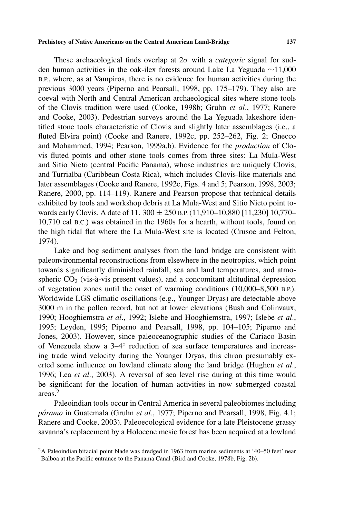These archaeological finds overlap at 2*σ* with a *categoric* signal for sudden human activities in the oak-ilex forests around Lake La Yeguada ∼11,000 B.P., where, as at Vampiros, there is no evidence for human activities during the previous 3000 years (Piperno and Pearsall, 1998, pp. 175–179). They also are coeval with North and Central American archaeological sites where stone tools of the Clovis tradition were used (Cooke, 1998b; Gruhn *et al.*, 1977; Ranere and Cooke, 2003). Pedestrian surveys around the La Yeguada lakeshore identified stone tools characteristic of Clovis and slightly later assemblages (i.e., a fluted Elvira point) (Cooke and Ranere, 1992c, pp. 252–262, Fig. 2; Gnecco and Mohammed, 1994; Pearson, 1999a,b). Evidence for the *production* of Clovis fluted points and other stone tools comes from three sites: La Mula-West and Sitio Nieto (central Pacific Panama), whose industries are uniquely Clovis, and Turrialba (Caribbean Costa Rica), which includes Clovis-like materials and later assemblages (Cooke and Ranere, 1992c, Figs. 4 and 5; Pearson, 1998, 2003; Ranere, 2000, pp. 114–119). Ranere and Pearson propose that technical details exhibited by tools and workshop debris at La Mula-West and Sitio Nieto point towards early Clovis. A date of 11*,* 300 ± 250 B.P. (11,910–10,880 [11,230] 10,770– 10,710 cal B.C.) was obtained in the 1960s for a hearth, without tools, found on the high tidal flat where the La Mula-West site is located (Crusoe and Felton, 1974).

Lake and bog sediment analyses from the land bridge are consistent with paleonvironmental reconstructions from elsewhere in the neotropics, which point towards significantly diminished rainfall, sea and land temperatures, and atmospheric  $CO<sub>2</sub>$  (vis-à-vis present values), and a concomitant altitudinal depression of vegetation zones until the onset of warming conditions (10,000–8,500 B.P.). Worldwide LGS climatic oscillations (e.g., Younger Dryas) are detectable above 3000 m in the pollen record, but not at lower elevations (Bush and Colinvaux, 1990; Hooghiemstra *et al.*, 1992; Islebe and Hooghiemstra, 1997; Islebe *et al.*, 1995; Leyden, 1995; Piperno and Pearsall, 1998, pp. 104–105; Piperno and Jones, 2003). However, since paleoceanographic studies of the Cariaco Basin of Venezuela show a 3–4◦ reduction of sea surface temperatures and increasing trade wind velocity during the Younger Dryas, this chron presumably exerted some influence on lowland climate along the land bridge (Hughen *et al.*, 1996; Lea *et al.*, 2003). A reversal of sea level rise during at this time would be significant for the location of human activities in now submerged coastal areas.<sup>2</sup>

Paleoindian tools occur in Central America in several paleobiomes including *páramo* in Guatemala (Gruhn *et al.*, 1977; Piperno and Pearsall, 1998, Fig. 4.1; Ranere and Cooke, 2003). Paleoecological evidence for a late Pleistocene grassy savanna's replacement by a Holocene mesic forest has been acquired at a lowland

<sup>2</sup>A Paleoindian bifacial point blade was dredged in 1963 from marine sediments at '40–50 feet' near Balboa at the Pacific entrance to the Panama Canal (Bird and Cooke, 1978b, Fig. 2b).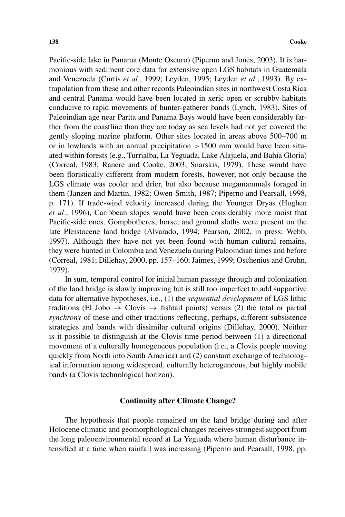Pacific-side lake in Panama (Monte Oscuro) (Piperno and Jones, 2003). It is harmonious with sediment core data for extensive open LGS habitats in Guatemala and Venezuela (Curtis *et al.*, 1999; Leyden, 1995; Leyden *et al.*, 1993). By extrapolation from these and other records Paleoindian sites in northwest Costa Rica and central Panama would have been located in xeric open or scrubby habitats conducive to rapid movements of hunter-gatherer bands (Lynch, 1983). Sites of Paleoindian age near Parita and Panama Bays would have been considerably farther from the coastline than they are today as sea levels had not yet covered the gently sloping marine platform. Other sites located in areas above 500–700 m or in lowlands with an annual precipitation *>*1500 mm would have been situated within forests (e.g., Turrialba, La Yeguada, Lake Alajuela, and Bahía Gloria) (Correal, 1983; Ranere and Cooke, 2003; Snarskis, 1979). These would have been floristically different from modern forests, however, not only because the LGS climate was cooler and drier, but also because megamammals foraged in them (Janzen and Martin, 1982; Owen-Smith, 1987; Piperno and Pearsall, 1998, p. 171). If trade-wind velocity increased during the Younger Dryas (Hughen *et al.*, 1996), Caribbean slopes would have been considerably more moist that Pacific-side ones. Gomphotheres, horse, and ground sloths were present on the late Pleistocene land bridge (Alvarado, 1994; Pearson, 2002, in press; Webb, 1997). Although they have not yet been found with human cultural remains, they were hunted in Colombia and Venezuela during Paleoindian times and before (Correal, 1981; Dillehay, 2000, pp. 157–160; Jaimes, 1999; Oschenius and Gruhn, 1979).

In sum, temporal control for initial human passage through and colonization of the land bridge is slowly improving but is still too imperfect to add supportive data for alternative hypotheses, i.e., (1) the *sequential development* of LGS lithic traditions (El Jobo  $\rightarrow$  Clovis  $\rightarrow$  fishtail points) versus (2) the total or partial *synchrony* of these and other traditions reflecting, perhaps, different subsistence strategies and bands with dissimilar cultural origins (Dillehay, 2000). Neither is it possible to distinguish at the Clovis time period between (1) a directional movement of a culturally homogeneous population (i.e., a Clovis people moving quickly from North into South America) and (2) constant exchange of technological information among widespread, culturally heterogeneous, but highly mobile bands (a Clovis technological horizon).

#### **Continuity after Climate Change?**

The hypothesis that people remained on the land bridge during and after Holocene climatic and geomorphological changes receives strongest support from the long paleoenvironmental record at La Yeguada where human disturbance intensified at a time when rainfall was increasing (Piperno and Pearsall, 1998, pp.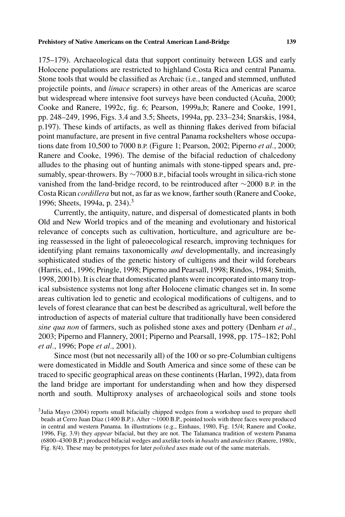175–179). Archaeological data that support continuity between LGS and early Holocene populations are restricted to highland Costa Rica and central Panama. Stone tools that would be classified as Archaic (i.e., tanged and stemmed, unfluted projectile points, and *limace* scrapers) in other areas of the Americas are scarce but widespread where intensive foot surveys have been conducted (Acuña, 2000; Cooke and Ranere, 1992c, fig. 6; Pearson, 1999a,b; Ranere and Cooke, 1991, pp. 248–249, 1996, Figs. 3.4 and 3.5; Sheets, 1994a, pp. 233–234; Snarskis, 1984, p.197). These kinds of artifacts, as well as thinning flakes derived from bifacial point manufacture, are present in five central Panama rockshelters whose occupations date from 10,500 to 7000 B.P. (Figure 1; Pearson, 2002; Piperno *et al.*, 2000; Ranere and Cooke, 1996). The demise of the bifacial reduction of chalcedony alludes to the phasing out of hunting animals with stone-tipped spears and, presumably, spear-throwers. By ∼7000 B.P., bifacial tools wrought in silica-rich stone vanished from the land-bridge record, to be reintroduced after ∼2000 B.P. in the Costa Rican *cordillera* but not, as far as we know, farther south (Ranere and Cooke, 1996; Sheets, 1994a, p. 234).3

Currently, the antiquity, nature, and dispersal of domesticated plants in both Old and New World tropics and of the meaning and evolutionary and historical relevance of concepts such as cultivation, horticulture, and agriculture are being reassessed in the light of paleoecological research, improving techniques for identifying plant remains taxonomically *and* developmentally, and increasingly sophisticated studies of the genetic history of cultigens and their wild forebears (Harris, ed., 1996; Pringle, 1998; Piperno and Pearsall, 1998; Rindos, 1984; Smith, 1998, 2001b). It is clear that domesticated plants were incorporated into many tropical subsistence systems not long after Holocene climatic changes set in. In some areas cultivation led to genetic and ecological modifications of cultigens, and to levels of forest clearance that can best be described as agricultural, well before the introduction of aspects of material culture that traditionally have been considered *sine qua non* of farmers, such as polished stone axes and pottery (Denham *et al.*, 2003; Piperno and Flannery, 2001; Piperno and Pearsall, 1998, pp. 175–182; Pohl *et al.*, 1996; Pope *et al.*, 2001).

Since most (but not necessarily all) of the 100 or so pre-Columbian cultigens were domesticated in Middle and South America and since some of these can be traced to specific geographical areas on these continents (Harlan, 1992), data from the land bridge are important for understanding when and how they dispersed north and south. Multiproxy analyses of archaeological soils and stone tools

<sup>3</sup>Julia Mayo (2004) reports small bifacially chipped wedges from a workshop used to prepare shell beads at Cerro Juan Díaz (1400 B.P.). After ~1000 B.P., pointed tools with three faces were produced in central and western Panama. In illustrations (e.g., Einhaus, 1980, Fig. 15/4; Ranere and Cooke, 1996, Fig. 3.9) they *appear* bifacial, but they are not. The Talamanca tradition of western Panama (6800–4300 B.P.) produced bifacial wedges and axelike tools in *basalts* and *andesites*(Ranere, 1980c, Fig. 8/4). These may be prototypes for later *polished* axes made out of the same materials.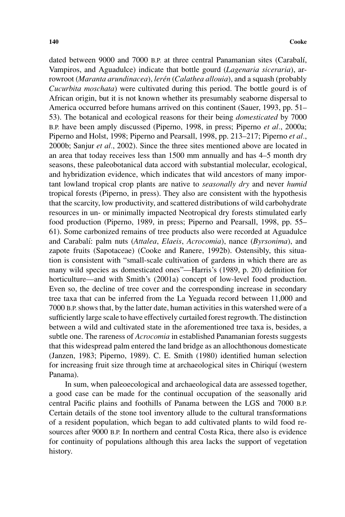dated between 9000 and 7000 B.P. at three central Panamanian sites (Carabalí, Vampiros, and Aguadulce) indicate that bottle gourd (*Lagenaria siceraria*), arrowroot (*Maranta arundinacea*), *leren´* (*Calathea allouia*), and a squash (probably *Cucurbita moschata*) were cultivated during this period. The bottle gourd is of African origin, but it is not known whether its presumably seaborne dispersal to America occurred before humans arrived on this continent (Sauer, 1993, pp. 51– 53). The botanical and ecological reasons for their being *domesticated* by 7000 B.P. have been amply discussed (Piperno, 1998, in press; Piperno *et al.*, 2000a; Piperno and Holst, 1998; Piperno and Pearsall, 1998, pp. 213–217; Piperno *et al.*, 2000b; Sanjur *et al.*, 2002). Since the three sites mentioned above are located in an area that today receives less than 1500 mm annually and has 4–5 month dry seasons, these paleobotanical data accord with substantial molecular, ecological, and hybridization evidence, which indicates that wild ancestors of many important lowland tropical crop plants are native to *seasonally dry* and never *humid* tropical forests (Piperno, in press). They also are consistent with the hypothesis that the scarcity, low productivity, and scattered distributions of wild carbohydrate resources in un- or minimally impacted Neotropical dry forests stimulated early food production (Piperno, 1989, in press; Piperno and Pearsall, 1998, pp. 55– 61). Some carbonized remains of tree products also were recorded at Aguadulce and Carabal´ı: palm nuts (*Attalea*, *Elaeis*, *Acrocomia*), nance (*Byrsonima*), and zapote fruits (Sapotaceae) (Cooke and Ranere, 1992b). Ostensibly, this situation is consistent with "small-scale cultivation of gardens in which there are as many wild species as domesticated ones"—Harris's (1989, p. 20) definition for horticulture—and with Smith's (2001a) concept of low-level food production. Even so, the decline of tree cover and the corresponding increase in secondary tree taxa that can be inferred from the La Yeguada record between 11,000 and 7000 B.P.shows that, by the latter date, human activities in this watershed were of a sufficiently large scale to have effectively curtailed forest regrowth. The distinction between a wild and cultivated state in the aforementioned tree taxa is, besides, a subtle one. The rareness of *Acrocomia* in established Panamanian forests suggests that this widespread palm entered the land bridge as an allochthonous domesticate (Janzen, 1983; Piperno, 1989). C. E. Smith (1980) identified human selection for increasing fruit size through time at archaeological sites in Chiriquí (western Panama).

In sum, when paleoecological and archaeological data are assessed together, a good case can be made for the continual occupation of the seasonally arid central Pacific plains and foothills of Panama between the LGS and 7000 B.P. Certain details of the stone tool inventory allude to the cultural transformations of a resident population, which began to add cultivated plants to wild food resources after 9000 B.P. In northern and central Costa Rica, there also is evidence for continuity of populations although this area lacks the support of vegetation history.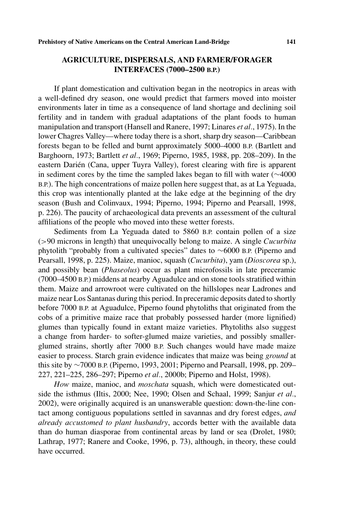# **AGRICULTURE, DISPERSALS, AND FARMER/FORAGER INTERFACES (7000–2500 B.P.)**

If plant domestication and cultivation began in the neotropics in areas with a well-defined dry season, one would predict that farmers moved into moister environments later in time as a consequence of land shortage and declining soil fertility and in tandem with gradual adaptations of the plant foods to human manipulation and transport (Hansell and Ranere, 1997; Linares *et al.*, 1975). In the lower Chagres Valley—where today there is a short, sharp dry season—Caribbean forests began to be felled and burnt approximately 5000–4000 B.P. (Bartlett and Barghoorn, 1973; Bartlett *et al.*, 1969; Piperno, 1985, 1988, pp. 208–209). In the eastern Darién (Cana, upper Tuyra Valley), forest clearing with fire is apparent in sediment cores by the time the sampled lakes began to fill with water (∼4000 B.P.). The high concentrations of maize pollen here suggest that, as at La Yeguada, this crop was intentionally planted at the lake edge at the beginning of the dry season (Bush and Colinvaux, 1994; Piperno, 1994; Piperno and Pearsall, 1998, p. 226). The paucity of archaeological data prevents an assessment of the cultural affiliations of the people who moved into these wetter forests.

Sediments from La Yeguada dated to 5860 B.P. contain pollen of a size (*>*90 microns in length) that unequivocally belong to maize. A single *Cucurbita* phytolith "probably from a cultivated species" dates to ∼6000 B.P. (Piperno and Pearsall, 1998, p. 225). Maize, manioc, squash (*Cucurbita*), yam (*Dioscorea* sp.), and possibly bean (*Phaseolus*) occur as plant microfossils in late preceramic (7000–4500 B.P.) middens at nearby Aguadulce and on stone tools stratified within them. Maize and arrowroot were cultivated on the hillslopes near Ladrones and maize near Los Santanas during this period. In preceramic deposits dated to shortly before 7000 B.P. at Aguadulce, Piperno found phytoliths that originated from the cobs of a primitive maize race that probably possessed harder (more lignified) glumes than typically found in extant maize varieties. Phytoliths also suggest a change from harder- to softer-glumed maize varieties, and possibly smallerglumed strains, shortly after 7000 B.P. Such changes would have made maize easier to process. Starch grain evidence indicates that maize was being *ground* at this site by ∼7000 B.P. (Piperno, 1993, 2001; Piperno and Pearsall, 1998, pp. 209– 227, 221–225, 286–297; Piperno *et al.*, 2000b; Piperno and Holst, 1998).

*How* maize, manioc, and *moschata* squash, which were domesticated outside the isthmus (Iltis, 2000; Nee, 1990; Olsen and Schaal, 1999; Sanjur *et al.*, 2002), were originally acquired is an unanswerable question: down-the-line contact among contiguous populations settled in savannas and dry forest edges, *and already accustomed to plant husbandry*, accords better with the available data than do human diasporae from continental areas by land or sea (Drolet, 1980; Lathrap, 1977; Ranere and Cooke, 1996, p. 73), although, in theory, these could have occurred.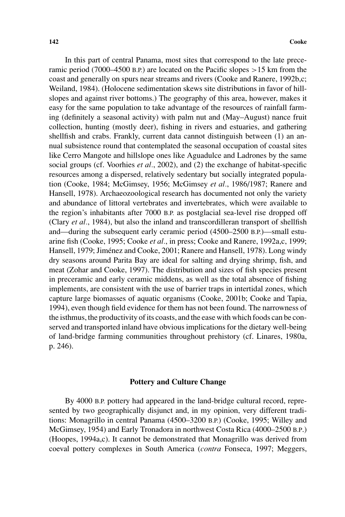In this part of central Panama, most sites that correspond to the late preceramic period (7000–4500 B.P.) are located on the Pacific slopes *>*15 km from the coast and generally on spurs near streams and rivers (Cooke and Ranere, 1992b,c; Weiland, 1984). (Holocene sedimentation skews site distributions in favor of hillslopes and against river bottoms.) The geography of this area, however, makes it easy for the same population to take advantage of the resources of rainfall farming (definitely a seasonal activity) with palm nut and (May–August) nance fruit collection, hunting (mostly deer), fishing in rivers and estuaries, and gathering shellfish and crabs. Frankly, current data cannot distinguish between (1) an annual subsistence round that contemplated the seasonal occupation of coastal sites like Cerro Mangote and hillslope ones like Aguadulce and Ladrones by the same social groups (cf. Voorhies *et al.*, 2002), and (2) the exchange of habitat-specific resources among a dispersed, relatively sedentary but socially integrated population (Cooke, 1984; McGimsey, 1956; McGimsey *et al.*, 1986/1987; Ranere and Hansell, 1978). Archaeozoological research has documented not only the variety and abundance of littoral vertebrates and invertebrates, which were available to the region's inhabitants after 7000 B.P. as postglacial sea-level rise dropped off (Clary *et al.*, 1984), but also the inland and transcordilleran transport of shellfish and—during the subsequent early ceramic period (4500–2500 B.P.)—small estuarine fish (Cooke, 1995; Cooke *et al.*, in press; Cooke and Ranere, 1992a,c, 1999; Hansell, 1979; Jiménez and Cooke, 2001; Ranere and Hansell, 1978). Long windy dry seasons around Parita Bay are ideal for salting and drying shrimp, fish, and meat (Zohar and Cooke, 1997). The distribution and sizes of fish species present in preceramic and early ceramic middens, as well as the total absence of fishing implements, are consistent with the use of barrier traps in intertidal zones, which capture large biomasses of aquatic organisms (Cooke, 2001b; Cooke and Tapia, 1994), even though field evidence for them has not been found. The narrowness of the isthmus, the productivity of its coasts, and the ease with which foods can be conserved and transported inland have obvious implications for the dietary well-being of land-bridge farming communities throughout prehistory (cf. Linares, 1980a, p. 246).

# **Pottery and Culture Change**

By 4000 B.P. pottery had appeared in the land-bridge cultural record, represented by two geographically disjunct and, in my opinion, very different traditions: Monagrillo in central Panama (4500–3200 B.P.) (Cooke, 1995; Willey and McGimsey, 1954) and Early Tronadora in northwest Costa Rica (4000–2500 B.P.) (Hoopes, 1994a,c). It cannot be demonstrated that Monagrillo was derived from coeval pottery complexes in South America (*contra* Fonseca, 1997; Meggers,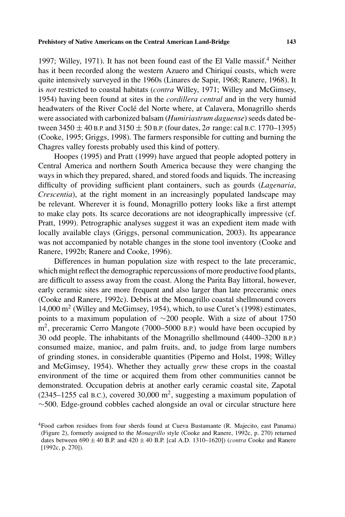1997; Willey, 1971). It has not been found east of the El Valle massif.<sup>4</sup> Neither has it been recorded along the western Azuero and Chiriquí coasts, which were quite intensively surveyed in the 1960s (Linares de Sapir, 1968; Ranere, 1968). It is *not* restricted to coastal habitats (*contra* Willey, 1971; Willey and McGimsey, 1954) having been found at sites in the *cordillera central* and in the very humid headwaters of the River Coclé del Norte where, at Calavera, Monagrillo sherds were associated with carbonized balsam (*Humiriastrum daguense*) seeds dated between 3450  $\pm$  40 B.P. and 3150  $\pm$  50 B.P. (four dates,  $2\sigma$  range: cal B.C. 1770–1395) (Cooke, 1995; Griggs, 1998). The farmers responsible for cutting and burning the Chagres valley forests probably used this kind of pottery.

Hoopes (1995) and Pratt (1999) have argued that people adopted pottery in Central America and northern South America because they were changing the ways in which they prepared, shared, and stored foods and liquids. The increasing difficulty of providing sufficient plant containers, such as gourds (*Lagenaria*, *Crescentia*), at the right moment in an increasingly populated landscape may be relevant. Wherever it is found, Monagrillo pottery looks like a first attempt to make clay pots. Its scarce decorations are not ideographically impressive (cf. Pratt, 1999). Petrographic analyses suggest it was an expedient item made with locally available clays (Griggs, personal communication, 2003). Its appearance was not accompanied by notable changes in the stone tool inventory (Cooke and Ranere, 1992b; Ranere and Cooke, 1996).

Differences in human population size with respect to the late preceramic, which might reflect the demographic repercussions of more productive food plants, are difficult to assess away from the coast. Along the Parita Bay littoral, however, early ceramic sites are more frequent and also larger than late preceramic ones (Cooke and Ranere, 1992c). Debris at the Monagrillo coastal shellmound covers 14,000 m2 (Willey and McGimsey, 1954), which, to use Curet's (1998) estimates, points to a maximum population of ∼200 people. With a size of about 1750  $m<sup>2</sup>$ , preceramic Cerro Mangote (7000–5000 B.P.) would have been occupied by 30 odd people. The inhabitants of the Monagrillo shellmound (4400–3200 B.P.) consumed maize, manioc, and palm fruits, and, to judge from large numbers of grinding stones, in considerable quantities (Piperno and Holst, 1998; Willey and McGimsey, 1954). Whether they actually *grew* these crops in the coastal environment of the time or acquired them from other communities cannot be demonstrated. Occupation debris at another early ceramic coastal site, Zapotal (2345–1255 cal B.C.), covered 30,000  $m^2$ , suggesting a maximum population of ∼500. Edge-ground cobbles cached alongside an oval or circular structure here

<sup>4</sup>Food carbon residues from four sherds found at Cueva Bustamante (R. Majecito, east Panama) (Figure 2), formerly assigned to the *Monagrillo* style (Cooke and Ranere, 1992c, p. 270) returned dates between  $690 \pm 40$  B.P. and  $420 \pm 40$  B.P. [cal A.D. 1310–1620]) (*contra* Cooke and Ranere [1992c, p. 270]).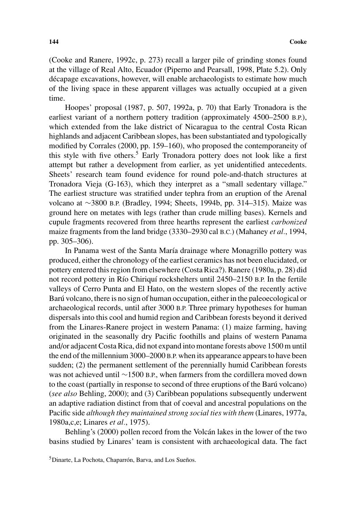(Cooke and Ranere, 1992c, p. 273) recall a larger pile of grinding stones found at the village of Real Alto, Ecuador (Piperno and Pearsall, 1998, Plate 5.2). Only décapage excavations, however, will enable archaeologists to estimate how much of the living space in these apparent villages was actually occupied at a given time.

Hoopes' proposal (1987, p. 507, 1992a, p. 70) that Early Tronadora is the earliest variant of a northern pottery tradition (approximately 4500–2500 B.P.), which extended from the lake district of Nicaragua to the central Costa Rican highlands and adjacent Caribbean slopes, has been substantiated and typologically modified by Corrales (2000, pp. 159–160), who proposed the contemporaneity of this style with five others.<sup>5</sup> Early Tronadora pottery does not look like a first attempt but rather a development from earlier, as yet unidentified antecedents. Sheets' research team found evidence for round pole-and-thatch structures at Tronadora Vieja (G-163), which they interpret as a "small sedentary village." The earliest structure was stratified under tephra from an eruption of the Arenal volcano at ∼3800 B.P. (Bradley, 1994; Sheets, 1994b, pp. 314–315). Maize was ground here on metates with legs (rather than crude milling bases). Kernels and cupule fragments recovered from three hearths represent the earliest *carbonized* maize fragments from the land bridge (3330–2930 cal B.C.) (Mahaney *et al.*, 1994, pp. 305–306).

In Panama west of the Santa María drainage where Monagrillo pottery was produced, either the chronology of the earliest ceramics has not been elucidated, or pottery entered this region from elsewhere (Costa Rica?). Ranere (1980a, p. 28) did not record pottery in Río Chiriquí rockshelters until 2450–2150 B.P. In the fertile valleys of Cerro Punta and El Hato, on the western slopes of the recently active Barú volcano, there is no sign of human occupation, either in the paleoecological or archaeological records, until after 3000 B.P. Three primary hypotheses for human dispersals into this cool and humid region and Caribbean forests beyond it derived from the Linares-Ranere project in western Panama: (1) maize farming, having originated in the seasonally dry Pacific foothills and plains of western Panama and/or adjacent Costa Rica, did not expand into montane forests above 1500 m until the end of the millennium 3000–2000 B.P. when its appearance appears to have been sudden; (2) the permanent settlement of the perennially humid Caribbean forests was not achieved until ∼1500 B.P., when farmers from the cordillera moved down to the coast (partially in response to second of three eruptions of the Baru volcano) ´ (*see also* Behling, 2000); and (3) Caribbean populations subsequently underwent an adaptive radiation distinct from that of coeval and ancestral populations on the Pacific side *although they maintained strong social ties with them* (Linares, 1977a, 1980a,c,e; Linares *et al.*, 1975).

Behling's (2000) pollen record from the Volcán lakes in the lower of the two basins studied by Linares' team is consistent with archaeological data. The fact

<sup>&</sup>lt;sup>5</sup>Dinarte, La Pochota, Chaparrón, Barva, and Los Sueños.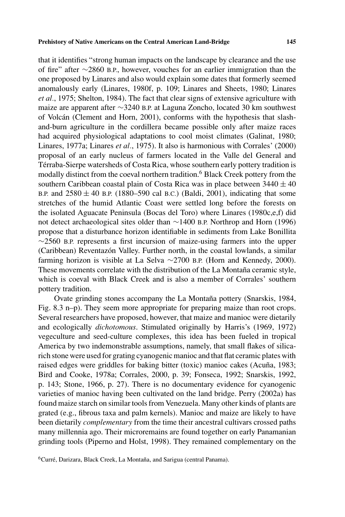that it identifies "strong human impacts on the landscape by clearance and the use of fire" after ∼2860 B.P., however, vouches for an earlier immigration than the one proposed by Linares and also would explain some dates that formerly seemed anomalously early (Linares, 1980f, p. 109; Linares and Sheets, 1980; Linares *et al.*, 1975; Shelton, 1984). The fact that clear signs of extensive agriculture with maize are apparent after ∼3240 B.P. at Laguna Zoncho, located 30 km southwest of Volcán (Clement and Horn, 2001), conforms with the hypothesis that slashand-burn agriculture in the cordillera became possible only after maize races had acquired physiological adaptations to cool moist climates (Galinat, 1980; Linares, 1977a; Linares *et al.*, 1975). It also is harmonious with Corrales' (2000) proposal of an early nucleus of farmers located in the Valle del General and Térraba-Sierpe watersheds of Costa Rica, whose southern early pottery tradition is modally distinct from the coeval northern tradition.<sup>6</sup> Black Creek pottery from the southern Caribbean coastal plain of Costa Rica was in place between  $3440 \pm 40$ B.P. and  $2580 \pm 40$  B.P. (1880–590 cal B.C.) (Baldi, 2001), indicating that some stretches of the humid Atlantic Coast were settled long before the forests on the isolated Aguacate Peninsula (Bocas del Toro) where Linares (1980c,e,f) did not detect archaeological sites older than ∼1400 B.P. Northrop and Horn (1996) propose that a disturbance horizon identifiable in sediments from Lake Bonillita  $\sim$ 2560 B.P. represents a first incursion of maize-using farmers into the upper (Caribbean) Reventazón Valley. Further north, in the coastal lowlands, a similar farming horizon is visible at La Selva ∼2700 B.P. (Horn and Kennedy, 2000). These movements correlate with the distribution of the La Montaña ceramic style, which is coeval with Black Creek and is also a member of Corrales' southern pottery tradition.

Ovate grinding stones accompany the La Montaña pottery (Snarskis, 1984, Fig. 8.3 n–p). They seem more appropriate for preparing maize than root crops. Several researchers have proposed, however, that maize and manioc were dietarily and ecologically *dichotomous*. Stimulated originally by Harris's (1969, 1972) vegeculture and seed-culture complexes, this idea has been fueled in tropical America by two indemonstrable assumptions, namely, that small flakes of silicarich stone were used for grating cyanogenic manioc and that flat ceramic plates with raised edges were griddles for baking bitter (toxic) manioc cakes (Acuña, 1983; Bird and Cooke, 1978a; Corrales, 2000, p. 39; Fonseca, 1992; Snarskis, 1992, p. 143; Stone, 1966, p. 27). There is no documentary evidence for cyanogenic varieties of manioc having been cultivated on the land bridge. Perry (2002a) has found maize starch on similar tools from Venezuela. Many other kinds of plants are grated (e.g., fibrous taxa and palm kernels). Manioc and maize are likely to have been dietarily *complementary* from the time their ancestral cultivars crossed paths many millennia ago. Their microremains are found together on early Panamanian grinding tools (Piperno and Holst, 1998). They remained complementary on the

 $6$ Curré, Darizara, Black Creek, La Montaña, and Sarigua (central Panama).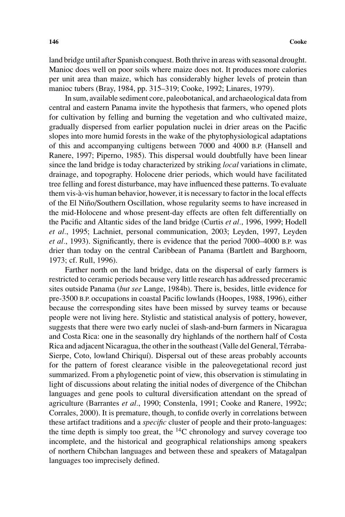land bridge until after Spanish conquest. Both thrive in areas with seasonal drought. Manioc does well on poor soils where maize does not. It produces more calories per unit area than maize, which has considerably higher levels of protein than manioc tubers (Bray, 1984, pp. 315–319; Cooke, 1992; Linares, 1979).

In sum, available sediment core, paleobotanical, and archaeological data from central and eastern Panama invite the hypothesis that farmers, who opened plots for cultivation by felling and burning the vegetation and who cultivated maize, gradually dispersed from earlier population nuclei in drier areas on the Pacific slopes into more humid forests in the wake of the phytophysiological adaptations of this and accompanying cultigens between 7000 and 4000 B.P. (Hansell and Ranere, 1997; Piperno, 1985). This dispersal would doubtfully have been linear since the land bridge is today characterized by striking *local* variations in climate, drainage, and topography. Holocene drier periods, which would have facilitated tree felling and forest disturbance, may have influenced these patterns. To evaluate them vis-a-vis human behavior, however, it is necessary to factor in the local effects ` of the El Nino/Southern Oscillation, whose regularity seems to have increased in ˜ the mid-Holocene and whose present-day effects are often felt differentially on the Pacific and Altantic sides of the land bridge (Curtis *et al.*, 1996, 1999; Hodell *et al.*, 1995; Lachniet, personal communication, 2003; Leyden, 1997, Leyden *et al.*, 1993). Significantly, there is evidence that the period 7000–4000 B.P. was drier than today on the central Caribbean of Panama (Bartlett and Barghoorn, 1973; cf. Rull, 1996).

Farther north on the land bridge, data on the dispersal of early farmers is restricted to ceramic periods because very little research has addressed preceramic sites outside Panama (*but see* Lange, 1984b). There is, besides, little evidence for pre-3500 B.P. occupations in coastal Pacific lowlands (Hoopes, 1988, 1996), either because the corresponding sites have been missed by survey teams or because people were not living here. Stylistic and statistical analysis of pottery, however, suggests that there were two early nuclei of slash-and-burn farmers in Nicaragua and Costa Rica: one in the seasonally dry highlands of the northern half of Costa Rica and adjacent Nicaragua, the other in the southeast (Valle del General, Terraba- ´ Sierpe, Coto, lowland Chiriquí). Dispersal out of these areas probably accounts for the pattern of forest clearance visible in the paleovegetational record just summarized. From a phylogenetic point of view, this observation is stimulating in light of discussions about relating the initial nodes of divergence of the Chibchan languages and gene pools to cultural diversification attendant on the spread of agriculture (Barrantes *et al.*, 1990; Constenla, 1991; Cooke and Ranere, 1992c; Corrales, 2000). It is premature, though, to confide overly in correlations between these artifact traditions and a *specific* cluster of people and their proto-languages: the time depth is simply too great, the  $^{14}$ C chronology and survey coverage too incomplete, and the historical and geographical relationships among speakers of northern Chibchan languages and between these and speakers of Matagalpan languages too imprecisely defined.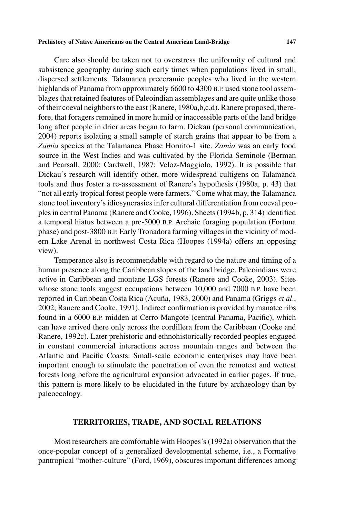Care also should be taken not to overstress the uniformity of cultural and subsistence geography during such early times when populations lived in small, dispersed settlements. Talamanca preceramic peoples who lived in the western highlands of Panama from approximately 6600 to 4300 B.P. used stone tool assemblages that retained features of Paleoindian assemblages and are quite unlike those of their coeval neighbors to the east (Ranere, 1980a,b,c,d). Ranere proposed, therefore, that foragers remained in more humid or inaccessible parts of the land bridge long after people in drier areas began to farm. Dickau (personal communication, 2004) reports isolating a small sample of starch grains that appear to be from a *Zamia* species at the Talamanca Phase Hornito-1 site. *Zamia* was an early food source in the West Indies and was cultivated by the Florida Seminole (Berman and Pearsall, 2000; Cardwell, 1987; Veloz-Maggiolo, 1992). It is possible that Dickau's research will identify other, more widespread cultigens on Talamanca tools and thus foster a re-assessment of Ranere's hypothesis (1980a, p. 43) that "not all early tropical forest people were farmers." Come what may, the Talamanca stone tool inventory's idiosyncrasies infer cultural differentiation from coeval peoples in central Panama (Ranere and Cooke, 1996). Sheets (1994b, p. 314) identified a temporal hiatus between a pre-5000 B.P. Archaic foraging population (Fortuna phase) and post-3800 B.P. Early Tronadora farming villages in the vicinity of modern Lake Arenal in northwest Costa Rica (Hoopes (1994a) offers an opposing view).

Temperance also is recommendable with regard to the nature and timing of a human presence along the Caribbean slopes of the land bridge. Paleoindians were active in Caribbean and montane LGS forests (Ranere and Cooke, 2003). Sites whose stone tools suggest occupations between 10,000 and 7000 B.P. have been reported in Caribbean Costa Rica (Acuña, 1983, 2000) and Panama (Griggs et al., 2002; Ranere and Cooke, 1991). Indirect confirmation is provided by manatee ribs found in a 6000 B.P. midden at Cerro Mangote (central Panama, Pacific), which can have arrived there only across the cordillera from the Caribbean (Cooke and Ranere, 1992c). Later prehistoric and ethnohistorically recorded peoples engaged in constant commercial interactions across mountain ranges and between the Atlantic and Pacific Coasts. Small-scale economic enterprises may have been important enough to stimulate the penetration of even the remotest and wettest forests long before the agricultural expansion advocated in earlier pages. If true, this pattern is more likely to be elucidated in the future by archaeology than by paleoecology.

# **TERRITORIES, TRADE, AND SOCIAL RELATIONS**

Most researchers are comfortable with Hoopes's (1992a) observation that the once-popular concept of a generalized developmental scheme, i.e., a Formative pantropical "mother-culture" (Ford, 1969), obscures important differences among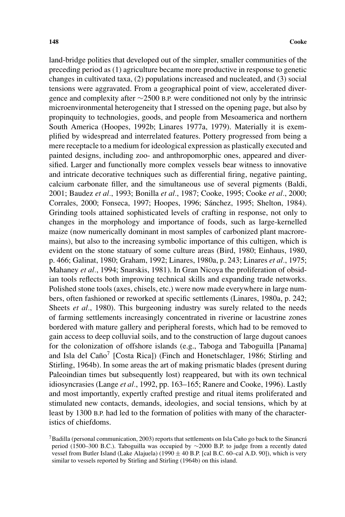land-bridge polities that developed out of the simpler, smaller communities of the preceding period as (1) agriculture became more productive in response to genetic changes in cultivated taxa, (2) populations increased and nucleated, and (3) social tensions were aggravated. From a geographical point of view, accelerated divergence and complexity after ∼2500 B.P. were conditioned not only by the intrinsic microenvironmental heterogeneity that I stressed on the opening page, but also by propinquity to technologies, goods, and people from Mesoamerica and northern South America (Hoopes, 1992b; Linares 1977a, 1979). Materially it is exemplified by widespread and interrelated features. Pottery progressed from being a mere receptacle to a medium for ideological expression as plastically executed and painted designs, including zoo- and anthropomorphic ones, appeared and diversified. Larger and functionally more complex vessels bear witness to innovative and intricate decorative techniques such as differential firing, negative painting, calcium carbonate filler, and the simultaneous use of several pigments (Baldi, 2001; Baudez *et al.*, 1993; Bonilla *et al.*, 1987; Cooke, 1995; Cooke *et al.*, 2000; Corrales, 2000; Fonseca, 1997; Hoopes, 1996; Sanchez, 1995; Shelton, 1984). ´ Grinding tools attained sophisticated levels of crafting in response, not only to changes in the morphology and importance of foods, such as large-kernelled maize (now numerically dominant in most samples of carbonized plant macroremains), but also to the increasing symbolic importance of this cultigen, which is evident on the stone statuary of some culture areas (Bird, 1980; Einhaus, 1980, p. 466; Galinat, 1980; Graham, 1992; Linares, 1980a, p. 243; Linares *et al.*, 1975; Mahaney *et al.*, 1994; Snarskis, 1981). In Gran Nicoya the proliferation of obsidian tools reflects both improving technical skills and expanding trade networks. Polished stone tools (axes, chisels, etc.) were now made everywhere in large numbers, often fashioned or reworked at specific settlements (Linares, 1980a, p. 242; Sheets *et al.*, 1980). This burgeoning industry was surely related to the needs of farming settlements increasingly concentrated in riverine or lacustrine zones bordered with mature gallery and peripheral forests, which had to be removed to gain access to deep colluvial soils, and to the construction of large dugout canoes for the colonization of offshore islands (e.g., Taboga and Taboguilla [Panama] and Isla del Caño<sup>7</sup> [Costa Rica]) (Finch and Honetschlager, 1986; Stirling and Stirling, 1964b). In some areas the art of making prismatic blades (present during Paleoindian times but subsequently lost) reappeared, but with its own technical idiosyncrasies (Lange *et al.*, 1992, pp. 163–165; Ranere and Cooke, 1996). Lastly and most importantly, expertly crafted prestige and ritual items proliferated and stimulated new contacts, demands, ideologies, and social tensions, which by at least by 1300 B.P. had led to the formation of polities with many of the characteristics of chiefdoms.

 $7$ Badilla (personal communication, 2003) reports that settlements on Isla Caño go back to the Sinancrá period (1500–300 B.C.). Taboguilla was occupied by ∼2000 B.P. to judge from a recently dated vessel from Butler Island (Lake Alajuela) (1990  $\pm$  40 B.P. [cal B.C. 60–cal A.D. 90]), which is very similar to vessels reported by Stirling and Stirling (1964b) on this island.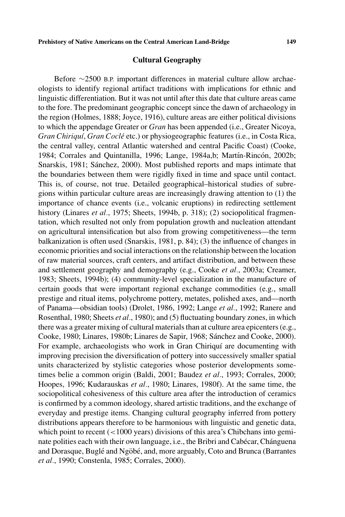# **Cultural Geography**

Before ∼2500 B.P. important differences in material culture allow archaeologists to identify regional artifact traditions with implications for ethnic and linguistic differentiation. But it was not until after this date that culture areas came to the fore. The predominant geographic concept since the dawn of archaeology in the region (Holmes, 1888; Joyce, 1916), culture areas are either political divisions to which the appendage Greater or *Gran* has been appended (i.e., Greater Nicoya, *Gran Chiriqu´ı*, *Gran Cocle´* etc.) or physiogeographic features (i.e., in Costa Rica, the central valley, central Atlantic watershed and central Pacific Coast) (Cooke, 1984; Corrales and Quintanilla, 1996; Lange, 1984a,b; Martín-Rincón, 2002b; Snarskis, 1981; Sanchez, 2000). Most published reports and maps intimate that ´ the boundaries between them were rigidly fixed in time and space until contact. This is, of course, not true. Detailed geographical–historical studies of subregions within particular culture areas are increasingly drawing attention to (1) the importance of chance events (i.e., volcanic eruptions) in redirecting settlement history (Linares *et al.*, 1975; Sheets, 1994b, p. 318); (2) sociopolitical fragmentation, which resulted not only from population growth and nucleation attendant on agricultural intensification but also from growing competitiveness—the term balkanization is often used (Snarskis, 1981, p. 84); (3) the influence of changes in economic priorities and social interactions on the relationship between the location of raw material sources, craft centers, and artifact distribution, and between these and settlement geography and demography (e.g., Cooke *et al.*, 2003a; Creamer, 1983; Sheets, 1994b); (4) community-level specialization in the manufacture of certain goods that were important regional exchange commodities (e.g., small prestige and ritual items, polychrome pottery, metates, polished axes, and—north of Panama—obsidian tools) (Drolet, 1986, 1992; Lange *et al.*, 1992; Ranere and Rosenthal, 1980; Sheets *et al.*, 1980); and (5) fluctuating boundary zones, in which there was a greater mixing of cultural materials than at culture area epicenters (e.g., Cooke, 1980; Linares, 1980b; Linares de Sapir, 1968; Sanchez and Cooke, 2000). ´ For example, archaeologists who work in Gran Chiriquí are documenting with improving precision the diversification of pottery into successively smaller spatial units characterized by stylistic categories whose posterior developments sometimes belie a common origin (Baldi, 2001; Baudez *et al.*, 1993; Corrales, 2000; Hoopes, 1996; Kudarauskas *et al.*, 1980; Linares, 1980f). At the same time, the sociopolitical cohesiveness of this culture area after the introduction of ceramics is confirmed by a common ideology, shared artistic traditions, and the exchange of everyday and prestige items. Changing cultural geography inferred from pottery distributions appears therefore to be harmonious with linguistic and genetic data, which point to recent ( $\lt$ 1000 years) divisions of this area's Chibchans into geminate polities each with their own language, i.e., the Bribri and Cabécar, Chánguena and Dorasque, Buglé and Ngöbé, and, more arguably, Coto and Brunca (Barrantes *et al.*, 1990; Constenla, 1985; Corrales, 2000).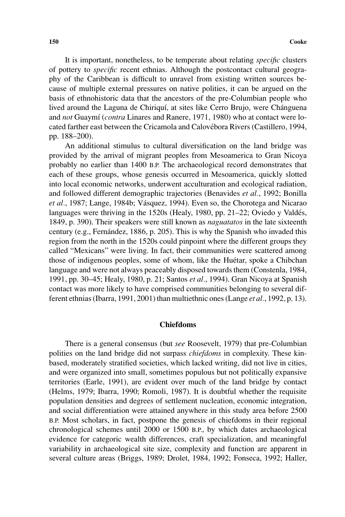It is important, nonetheless, to be temperate about relating *specific* clusters of pottery to *specific* recent ethnias. Although the postcontact cultural geography of the Caribbean is difficult to unravel from existing written sources because of multiple external pressures on native polities, it can be argued on the basis of ethnohistoric data that the ancestors of the pre-Columbian people who lived around the Laguna de Chiriquí, at sites like Cerro Brujo, were Chánguena and *not* Guaymí (*contra* Linares and Ranere, 1971, 1980) who at contact were located farther east between the Cricamola and Calovebora Rivers (Castillero, 1994, ´ pp. 188–200).

An additional stimulus to cultural diversification on the land bridge was provided by the arrival of migrant peoples from Mesoamerica to Gran Nicoya probably no earlier than 1400 B.P. The archaeological record demonstrates that each of these groups, whose genesis occurred in Mesoamerica, quickly slotted into local economic networks, underwent acculturation and ecological radiation, and followed different demographic trajectories (Benavides *et al.*, 1992; Bonilla *et al.*, 1987; Lange, 1984b; Vásquez, 1994). Even so, the Chorotega and Nicarao languages were thriving in the 1520s (Healy, 1980, pp. 21–22; Oviedo y Valdés, 1849, p. 390). Their speakers were still known as *naguatatos* in the late sixteenth century (e.g., Fernández, 1886, p. 205). This is why the Spanish who invaded this region from the north in the 1520s could pinpoint where the different groups they called "Mexicans" were living. In fact, their communities were scattered among those of indigenous peoples, some of whom, like the Huétar, spoke a Chibchan language and were not always peaceably disposed towards them (Constenla, 1984, 1991, pp. 30–45; Healy, 1980, p. 21; Santos *et al.*, 1994). Gran Nicoya at Spanish contact was more likely to have comprised communities belonging to several different ethnias (Ibarra, 1991, 2001) than multiethnic ones (Lange *et al.*, 1992, p. 13).

# **Chiefdoms**

There is a general consensus (but *see* Roosevelt, 1979) that pre-Columbian polities on the land bridge did not surpass *chiefdoms* in complexity. These kinbased, moderately stratified societies, which lacked writing, did not live in cities, and were organized into small, sometimes populous but not politically expansive territories (Earle, 1991), are evident over much of the land bridge by contact (Helms, 1979; Ibarra, 1990; Romoli, 1987). It is doubtful whether the requisite population densities and degrees of settlement nucleation, economic integration, and social differentiation were attained anywhere in this study area before 2500 B.P. Most scholars, in fact, postpone the genesis of chiefdoms in their regional chronological schemes until 2000 or 1500 B.P., by which dates archaeological evidence for categoric wealth differences, craft specialization, and meaningful variability in archaeological site size, complexity and function are apparent in several culture areas (Briggs, 1989; Drolet, 1984, 1992; Fonseca, 1992; Haller,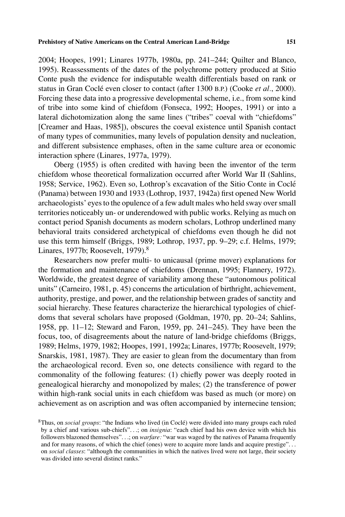2004; Hoopes, 1991; Linares 1977b, 1980a, pp. 241–244; Quilter and Blanco, 1995). Reassessments of the dates of the polychrome pottery produced at Sitio Conte push the evidence for indisputable wealth differentials based on rank or status in Gran Coclé even closer to contact (after 1300 B.P.) (Cooke *et al.*, 2000). Forcing these data into a progressive developmental scheme, i.e., from some kind of tribe into some kind of chiefdom (Fonseca, 1992; Hoopes, 1991) or into a lateral dichotomization along the same lines ("tribes" coeval with "chiefdoms" [Creamer and Haas, 1985]), obscures the coeval existence until Spanish contact of many types of communities, many levels of population density and nucleation, and different subsistence emphases, often in the same culture area or economic interaction sphere (Linares, 1977a, 1979).

Oberg (1955) is often credited with having been the inventor of the term chiefdom whose theoretical formalization occurred after World War II (Sahlins, 1958; Service, 1962). Even so, Lothrop's excavation of the Sitio Conte in Cocle´ (Panama) between 1930 and 1933 (Lothrop, 1937, 1942a) first opened New World archaeologists' eyes to the opulence of a few adult males who held sway over small territories noticeably un- or underendowed with public works. Relying as much on contact period Spanish documents as modern scholars, Lothrop underlined many behavioral traits considered archetypical of chiefdoms even though he did not use this term himself (Briggs, 1989; Lothrop, 1937, pp. 9–29; c.f. Helms, 1979; Linares, 1977b; Roosevelt, 1979). $8$ 

Researchers now prefer multi- to unicausal (prime mover) explanations for the formation and maintenance of chiefdoms (Drennan, 1995; Flannery, 1972). Worldwide, the greatest degree of variability among these "autonomous political units" (Carneiro, 1981, p. 45) concerns the articulation of birthright, achievement, authority, prestige, and power, and the relationship between grades of sanctity and social hierarchy. These features characterize the hierarchical typologies of chiefdoms that several scholars have proposed (Goldman, 1970, pp. 20–24; Sahlins, 1958, pp. 11–12; Steward and Faron, 1959, pp. 241–245). They have been the focus, too, of disagreements about the nature of land-bridge chiefdoms (Briggs, 1989; Helms, 1979, 1982; Hoopes, 1991, 1992a; Linares, 1977b; Roosevelt, 1979; Snarskis, 1981, 1987). They are easier to glean from the documentary than from the archaeological record. Even so, one detects consilience with regard to the commonality of the following features: (1) chiefly power was deeply rooted in genealogical hierarchy and monopolized by males; (2) the transference of power within high-rank social units in each chiefdom was based as much (or more) on achievement as on ascription and was often accompanied by internecine tension;

<sup>8</sup>Thus, on *social groups*: "the Indians who lived (in Cocle) were divided into many groups each ruled ´ by a chief and various sub-chiefs"*...*; on *insignia*: "each chief had his own device with which his followers blazoned themselves"*...*; on *warfare:* "war was waged by the natives of Panama frequently and for many reasons, of which the chief (ones) were to acquire more lands and acquire prestige"*...* on *social classes*: "although the communities in which the natives lived were not large, their society was divided into several distinct ranks."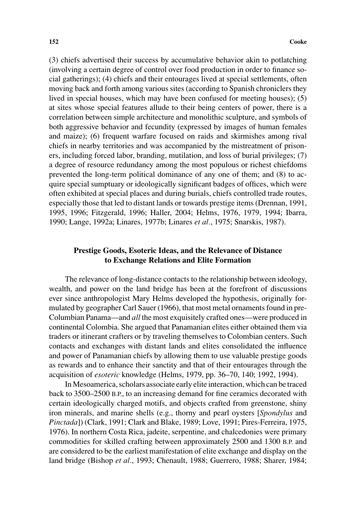(3) chiefs advertised their success by accumulative behavior akin to potlatching (involving a certain degree of control over food production in order to finance social gatherings); (4) chiefs and their entourages lived at special settlements, often moving back and forth among various sites (according to Spanish chroniclers they lived in special houses, which may have been confused for meeting houses); (5) at sites whose special features allude to their being centers of power, there is a correlation between simple architecture and monolithic sculpture, and symbols of both aggressive behavior and fecundity (expressed by images of human females and maize); (6) frequent warfare focused on raids and skirmishes among rival chiefs in nearby territories and was accompanied by the mistreatment of prisoners, including forced labor, branding, mutilation, and loss of burial privileges; (7) a degree of resource redundancy among the most populous or richest chiefdoms prevented the long-term political dominance of any one of them; and (8) to acquire special sumptuary or ideologically significant badges of offices, which were often exhibited at special places and during burials, chiefs controlled trade routes, especially those that led to distant lands or towards prestige items (Drennan, 1991, 1995, 1996; Fitzgerald, 1996; Haller, 2004; Helms, 1976, 1979, 1994; Ibarra, 1990; Lange, 1992a; Linares, 1977b; Linares *et al.*, 1975; Snarskis, 1987).

# **Prestige Goods, Esoteric Ideas, and the Relevance of Distance to Exchange Relations and Elite Formation**

The relevance of long-distance contacts to the relationship between ideology, wealth, and power on the land bridge has been at the forefront of discussions ever since anthropologist Mary Helms developed the hypothesis, originally formulated by geographer Carl Sauer (1966), that most metal ornaments found in pre-Columbian Panama—and *all* the most exquisitely crafted ones—were produced in continental Colombia. She argued that Panamanian elites either obtained them via traders or itinerant crafters or by traveling themselves to Colombian centers. Such contacts and exchanges with distant lands and elites consolidated the influence and power of Panamanian chiefs by allowing them to use valuable prestige goods as rewards and to enhance their sanctity and that of their entourages through the acquisition of *esoteric* knowledge (Helms, 1979, pp. 36–70, 140; 1992, 1994).

In Mesoamerica, scholars associate early elite interaction, which can be traced back to 3500–2500 B.P., to an increasing demand for fine ceramics decorated with certain ideologically charged motifs, and objects crafted from greenstone, shiny iron minerals, and marine shells (e.g., thorny and pearl oysters [*Spondylus* and *Pinctada*]) (Clark, 1991; Clark and Blake, 1989; Love, 1991; Pires-Ferreira, 1975, 1976). In northern Costa Rica, jadeite, serpentine, and chalcedonies were primary commodities for skilled crafting between approximately 2500 and 1300 B.P. and are considered to be the earliest manifestation of elite exchange and display on the land bridge (Bishop *et al.*, 1993; Chenault, 1988; Guerrero, 1988; Sharer, 1984;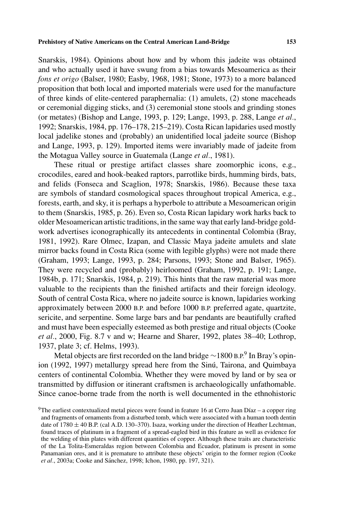Snarskis, 1984). Opinions about how and by whom this jadeite was obtained and who actually used it have swung from a bias towards Mesoamerica as their *fons et origo* (Balser, 1980; Easby, 1968, 1981; Stone, 1973) to a more balanced proposition that both local and imported materials were used for the manufacture of three kinds of elite-centered paraphernalia: (1) amulets, (2) stone maceheads or ceremonial digging sticks, and (3) ceremonial stone stools and grinding stones (or metates) (Bishop and Lange, 1993, p. 129; Lange, 1993, p. 288, Lange *et al.*, 1992; Snarskis, 1984, pp. 176–178, 215–219). Costa Rican lapidaries used mostly local jadelike stones and (probably) an unidentified local jadeite source (Bishop and Lange, 1993, p. 129). Imported items were invariably made of jadeite from the Motagua Valley source in Guatemala (Lange *et al.*, 1981).

These ritual or prestige artifact classes share zoomorphic icons, e.g., crocodiles, eared and hook-beaked raptors, parrotlike birds, humming birds, bats, and felids (Fonseca and Scaglion, 1978; Snarskis, 1986). Because these taxa are symbols of standard cosmological spaces throughout tropical America, e.g., forests, earth, and sky, it is perhaps a hyperbole to attribute a Mesoamerican origin to them (Snarskis, 1985, p. 26). Even so, Costa Rican lapidary work harks back to older Mesoamerican artistic traditions, in the same way that early land-bridge goldwork advertises iconographically its antecedents in continental Colombia (Bray, 1981, 1992). Rare Olmec, Izapan, and Classic Maya jadeite amulets and slate mirror backs found in Costa Rica (some with legible glyphs) were not made there (Graham, 1993; Lange, 1993, p. 284; Parsons, 1993; Stone and Balser, 1965). They were recycled and (probably) heirloomed (Graham, 1992, p. 191; Lange, 1984b, p. 171; Snarskis, 1984, p. 219). This hints that the raw material was more valuable to the recipients than the finished artifacts and their foreign ideology. South of central Costa Rica, where no jadeite source is known, lapidaries working approximately between 2000 B.P. and before 1000 B.P. preferred agate, quartzite, sericite, and serpentine. Some large bars and bar pendants are beautifully crafted and must have been especially esteemed as both prestige and ritual objects (Cooke *et al.*, 2000, Fig. 8.7 v and w; Hearne and Sharer, 1992, plates 38–40; Lothrop, 1937, plate 3; cf. Helms, 1993).

Metal objects are first recorded on the land bridge ∼1800 B.P.<sup>9</sup> In Bray's opinion (1992, 1997) metallurgy spread here from the Sinú, Tairona, and Quimbaya centers of continental Colombia. Whether they were moved by land or by sea or transmitted by diffusion or itinerant craftsmen is archaeologically unfathomable. Since canoe-borne trade from the north is well documented in the ethnohistoric

<sup>&</sup>lt;sup>9</sup>The earliest contextualized metal pieces were found in feature 16 at Cerro Juan Díaz – a copper ring and fragments of ornaments from a disturbed tomb, which were associated with a human tooth dentin date of  $1780 \pm 40$  B.P. (cal A.D. 130–370). Isaza, working under the direction of Heather Lechtman, found traces of platinum in a fragment of a spread-eagled bird in this feature as well as evidence for the welding of thin plates with different quantities of copper. Although these traits are characteristic of the La Tolita-Esmeraldas region between Colombia and Ecuador, platinum is present in some Panamanian ores, and it is premature to attribute these objects' origin to the former region (Cooke *et al.*, 2003a; Cooke and Sánchez, 1998; Ichon, 1980, pp. 197, 321).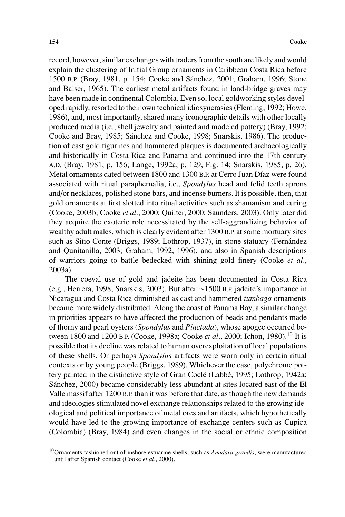record, however, similar exchanges with traders from the south are likely and would explain the clustering of Initial Group ornaments in Caribbean Costa Rica before 1500 B.P. (Bray, 1981, p. 154; Cooke and Sanchez, 2001; Graham, 1996; Stone ´ and Balser, 1965). The earliest metal artifacts found in land-bridge graves may have been made in continental Colombia. Even so, local goldworking styles developed rapidly, resorted to their own technical idiosyncrasies (Fleming, 1992; Howe, 1986), and, most importantly, shared many iconographic details with other locally produced media (i.e., shell jewelry and painted and modeled pottery) (Bray, 1992; Cooke and Bray, 1985; Sanchez and Cooke, 1998; Snarskis, 1986). The produc- ´ tion of cast gold figurines and hammered plaques is documented archaeologically and historically in Costa Rica and Panama and continued into the 17th century A.D. (Bray, 1981, p. 156; Lange, 1992a, p. 129, Fig. 14; Snarskis, 1985, p. 26). Metal ornaments dated between 1800 and 1300 B.P. at Cerro Juan Díaz were found associated with ritual paraphernalia, i.e., *Spondylus* bead and felid teeth aprons and/or necklaces, polished stone bars, and incense burners. It is possible, then, that gold ornaments at first slotted into ritual activities such as shamanism and curing (Cooke, 2003b; Cooke *et al.*, 2000; Quilter, 2000; Saunders, 2003). Only later did they acquire the exoteric role necessitated by the self-aggrandizing behavior of wealthy adult males, which is clearly evident after 1300 B.P. at some mortuary sites such as Sitio Conte (Briggs, 1989; Lothrop, 1937), in stone statuary (Fernández and Qunitanilla, 2003; Graham, 1992, 1996), and also in Spanish descriptions of warriors going to battle bedecked with shining gold finery (Cooke *et al.*, 2003a).

The coeval use of gold and jadeite has been documented in Costa Rica (e.g., Herrera, 1998; Snarskis, 2003). But after ∼1500 B.P. jadeite's importance in Nicaragua and Costa Rica diminished as cast and hammered *tumbaga* ornaments became more widely distributed. Along the coast of Panama Bay, a similar change in priorities appears to have affected the production of beads and pendants made of thorny and pearl oysters (*Spondylus* and *Pinctada*), whose apogee occurred between 1800 and 1200 B.P. (Cooke, 1998a; Cooke *et al.*, 2000; Ichon, 1980).10 It is possible that its decline was related to human overexploitation of local populations of these shells. Or perhaps *Spondylus* artifacts were worn only in certain ritual contexts or by young people (Briggs, 1989). Whichever the case, polychrome pottery painted in the distinctive style of Gran Cocle (Labbe, 1995; Lothrop, 1942a; Sánchez, 2000) became considerably less abundant at sites located east of the El Valle massif after 1200 B.P. than it was before that date, as though the new demands and ideologies stimulated novel exchange relationships related to the growing ideological and political importance of metal ores and artifacts, which hypothetically would have led to the growing importance of exchange centers such as Cupica (Colombia) (Bray, 1984) and even changes in the social or ethnic composition

<sup>10</sup>Ornaments fashioned out of inshore estuarine shells, such as *Anadara grandis*, were manufactured until after Spanish contact (Cooke *et al.*, 2000).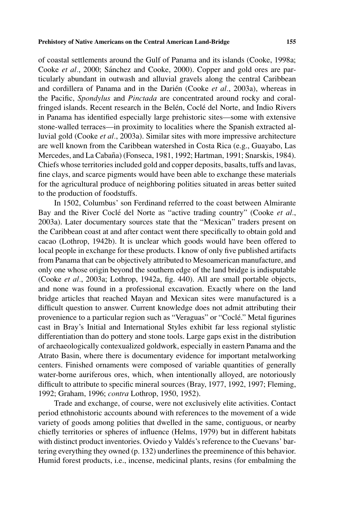of coastal settlements around the Gulf of Panama and its islands (Cooke, 1998a; Cooke *et al.*, 2000; Sánchez and Cooke, 2000). Copper and gold ores are particularly abundant in outwash and alluvial gravels along the central Caribbean and cordillera of Panama and in the Darién (Cooke et al., 2003a), whereas in the Pacific, *Spondylus* and *Pinctada* are concentrated around rocky and coralfringed islands. Recent research in the Belén, Coclé del Norte, and Indio Rivers in Panama has identified especially large prehistoric sites—some with extensive stone-walled terraces—in proximity to localities where the Spanish extracted alluvial gold (Cooke *et al.*, 2003a). Similar sites with more impressive architecture are well known from the Caribbean watershed in Costa Rica (e.g., Guayabo, Las Mercedes, and La Cabaña) (Fonseca, 1981, 1992; Hartman, 1991; Snarskis, 1984). Chiefs whose territories included gold and copper deposits, basalts, tuffs and lavas, fine clays, and scarce pigments would have been able to exchange these materials for the agricultural produce of neighboring polities situated in areas better suited to the production of foodstuffs.

In 1502, Columbus' son Ferdinand referred to the coast between Almirante Bay and the River Coclé del Norte as "active trading country" (Cooke et al., 2003a). Later documentary sources state that the "Mexican" traders present on the Caribbean coast at and after contact went there specifically to obtain gold and cacao (Lothrop, 1942b). It is unclear which goods would have been offered to local people in exchange for these products. I know of only five published artifacts from Panama that can be objectively attributed to Mesoamerican manufacture, and only one whose origin beyond the southern edge of the land bridge is indisputable (Cooke *et al.*, 2003a; Lothrop, 1942a, fig. 440). All are small portable objects, and none was found in a professional excavation. Exactly where on the land bridge articles that reached Mayan and Mexican sites were manufactured is a difficult question to answer. Current knowledge does not admit attributing their provenience to a particular region such as "Veraguas" or "Coclé." Metal figurines cast in Bray's Initial and International Styles exhibit far less regional stylistic differentiation than do pottery and stone tools. Large gaps exist in the distribution of archaeologically contexualized goldwork, especially in eastern Panama and the Atrato Basin, where there is documentary evidence for important metalworking centers. Finished ornaments were composed of variable quantities of generally water-borne auriferous ores, which, when intentionally alloyed, are notoriously difficult to attribute to specific mineral sources (Bray, 1977, 1992, 1997; Fleming, 1992; Graham, 1996; *contra* Lothrop, 1950, 1952).

Trade and exchange, of course, were not exclusively elite activities. Contact period ethnohistoric accounts abound with references to the movement of a wide variety of goods among polities that dwelled in the same, contiguous, or nearby chiefly territories or spheres of influence (Helms, 1979) but in different habitats with distinct product inventories. Oviedo y Valdés's reference to the Cuevans' bartering everything they owned (p. 132) underlines the preeminence of this behavior. Humid forest products, i.e., incense, medicinal plants, resins (for embalming the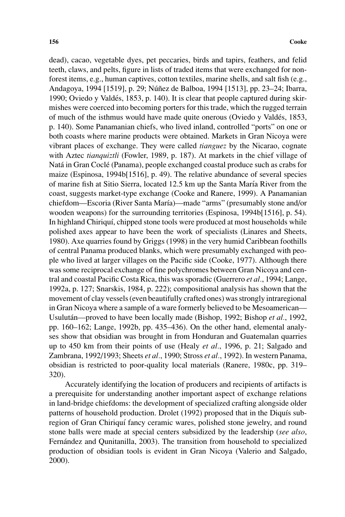dead), cacao, vegetable dyes, pet peccaries, birds and tapirs, feathers, and felid teeth, claws, and pelts, figure in lists of traded items that were exchanged for nonforest items, e.g., human captives, cotton textiles, marine shells, and salt fish (e.g., Andagoya, 1994 [1519], p. 29; Núñez de Balboa, 1994 [1513], pp. 23–24; Ibarra, 1990; Oviedo y Valdes, 1853, p. 140). It is clear that people captured during skir- ´ mishes were coerced into becoming porters for this trade, which the rugged terrain of much of the isthmus would have made quite onerous (Oviedo y Valdes, 1853, ´ p. 140). Some Panamanian chiefs, who lived inland, controlled "ports" on one or both coasts where marine products were obtained. Markets in Gran Nicoya were vibrant places of exchange. They were called *tianguez* by the Nicarao, cognate with Aztec *tianquiztli* (Fowler, 1989, p. 187). At markets in the chief village of Natá in Gran Coclé (Panama), people exchanged coastal produce such as crabs for maize (Espinosa, 1994b[1516], p. 49). The relative abundance of several species of marine fish at Sitio Sierra, located 12.5 km up the Santa María River from the coast, suggests market-type exchange (Cooke and Ranere, 1999). A Panamanian chiefdom—Escoria (River Santa María)—made "arms" (presumably stone and/or wooden weapons) for the surrounding territories (Espinosa, 1994b[1516], p. 54). In highland Chiriquí, chipped stone tools were produced at most households while polished axes appear to have been the work of specialists (Linares and Sheets, 1980). Axe quarries found by Griggs (1998) in the very humid Caribbean foothills of central Panama produced blanks, which were presumably exchanged with people who lived at larger villages on the Pacific side (Cooke, 1977). Although there was some reciprocal exchange of fine polychromes between Gran Nicoya and central and coastal Pacific Costa Rica, this was sporadic (Guerrero *et al.*, 1994; Lange, 1992a, p. 127; Snarskis, 1984, p. 222); compositional analysis has shown that the movement of clay vessels (even beautifully crafted ones) was strongly intraregional in Gran Nicoya where a sample of a ware formerly believed to be Mesoamerican— Usulután—proved to have been locally made (Bishop, 1992; Bishop et al., 1992, pp. 160–162; Lange, 1992b, pp. 435–436). On the other hand, elemental analyses show that obsidian was brought in from Honduran and Guatemalan quarries up to 450 km from their points of use (Healy *et al.*, 1996, p. 21; Salgado and Zambrana, 1992/1993; Sheets *et al.*, 1990; Stross *et al.*, 1992). In western Panama, obsidian is restricted to poor-quality local materials (Ranere, 1980c, pp. 319– 320).

Accurately identifying the location of producers and recipients of artifacts is a prerequisite for understanding another important aspect of exchange relations in land-bridge chiefdoms: the development of specialized crafting alongside older patterns of household production. Drolet  $(1992)$  proposed that in the Diquís subregion of Gran Chiriquí fancy ceramic wares, polished stone jewelry, and round stone balls were made at special centers subsidized by the leadership (*see also*, Fernández and Qunitanilla, 2003). The transition from household to specialized production of obsidian tools is evident in Gran Nicoya (Valerio and Salgado, 2000).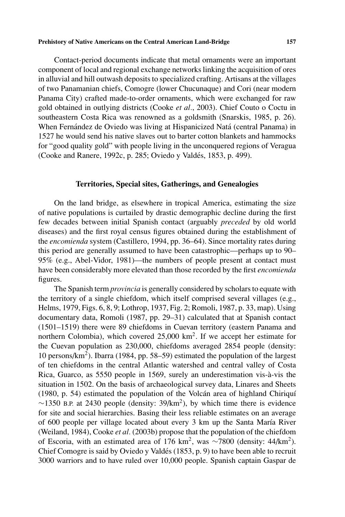Contact-period documents indicate that metal ornaments were an important component of local and regional exchange networks linking the acquisition of ores in alluvial and hill outwash deposits to specialized crafting. Artisans at the villages of two Panamanian chiefs, Comogre (lower Chucunaque) and Cori (near modern Panama City) crafted made-to-order ornaments, which were exchanged for raw gold obtained in outlying districts (Cooke *et al.*, 2003). Chief Couto o Coctu in southeastern Costa Rica was renowned as a goldsmith (Snarskis, 1985, p. 26). When Fernández de Oviedo was living at Hispanicized Natá (central Panama) in 1527 he would send his native slaves out to barter cotton blankets and hammocks for "good quality gold" with people living in the unconquered regions of Veragua (Cooke and Ranere, 1992c, p. 285; Oviedo y Valdes, 1853, p. 499). ´

## **Territories, Special sites, Gatherings, and Genealogies**

On the land bridge, as elsewhere in tropical America, estimating the size of native populations is curtailed by drastic demographic decline during the first few decades between initial Spanish contact (arguably *preceded* by old world diseases) and the first royal census figures obtained during the establishment of the *encomienda* system (Castillero, 1994, pp. 36–64). Since mortality rates during this period are generally assumed to have been catastrophic—perhaps up to 90– 95% (e.g., Abel-Vidor, 1981)—the numbers of people present at contact must have been considerably more elevated than those recorded by the first *encomienda* figures.

The Spanish term *provincia* is generally considered by scholars to equate with the territory of a single chiefdom, which itself comprised several villages (e.g., Helms, 1979, Figs. 6, 8, 9; Lothrop, 1937, Fig. 2; Romoli, 1987, p. 33, map). Using documentary data, Romoli (1987, pp. 29–31) calculated that at Spanish contact (1501–1519) there were 89 chiefdoms in Cuevan territory (eastern Panama and northern Colombia), which covered 25,000 km2. If we accept her estimate for the Cuevan population as 230,000, chiefdoms averaged 2854 people (density: 10 persons/ $km<sup>2</sup>$ ). Ibarra (1984, pp. 58–59) estimated the population of the largest of ten chiefdoms in the central Atlantic watershed and central valley of Costa Rica, Guarco, as 5550 people in 1569, surely an underestimation vis-à-vis the situation in 1502. On the basis of archaeological survey data, Linares and Sheets  $(1980, p. 54)$  estimated the population of the Volcán area of highland Chiriquí  $\sim$ 1350 B.P. at 2430 people (density: 39/km<sup>2</sup>), by which time there is evidence for site and social hierarchies. Basing their less reliable estimates on an average of 600 people per village located about every 3 km up the Santa María River (Weiland, 1984), Cooke *et al.* (2003b) propose that the population of the chiefdom of Escoria, with an estimated area of 176 km2, was <sup>∼</sup>7800 (density: 44/km2). Chief Comogre is said by Oviedo y Valdés (1853, p. 9) to have been able to recruit 3000 warriors and to have ruled over 10,000 people. Spanish captain Gaspar de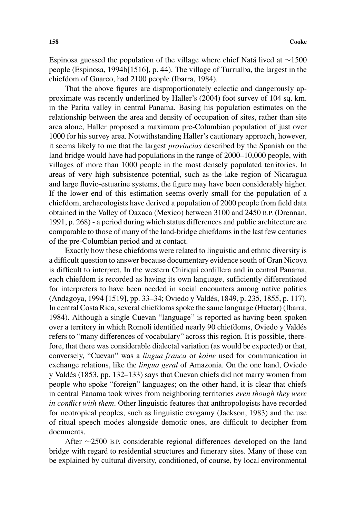Espinosa guessed the population of the village where chief Natá lived at  $\sim$ 1500 people (Espinosa, 1994b[1516], p. 44). The village of Turrialba, the largest in the chiefdom of Guarco, had 2100 people (Ibarra, 1984).

That the above figures are disproportionately eclectic and dangerously approximate was recently underlined by Haller's (2004) foot survey of 104 sq. km. in the Parita valley in central Panama. Basing his population estimates on the relationship between the area and density of occupation of sites, rather than site area alone, Haller proposed a maximum pre-Columbian population of just over 1000 for his survey area. Notwithstanding Haller's cautionary approach, however, it seems likely to me that the largest *provincias* described by the Spanish on the land bridge would have had populations in the range of 2000–10,000 people, with villages of more than 1000 people in the most densely populated territories. In areas of very high subsistence potential, such as the lake region of Nicaragua and large fluvio-estuarine systems, the figure may have been considerably higher. If the lower end of this estimation seems overly small for the population of a chiefdom, archaeologists have derived a population of 2000 people from field data obtained in the Valley of Oaxaca (Mexico) between 3100 and 2450 B.P. (Drennan, 1991, p. 268) - a period during which status differences and public architecture are comparable to those of many of the land-bridge chiefdoms in the last few centuries of the pre-Columbian period and at contact.

Exactly how these chiefdoms were related to linguistic and ethnic diversity is a difficult question to answer because documentary evidence south of Gran Nicoya is difficult to interpret. In the western Chiriquí cordillera and in central Panama, each chiefdom is recorded as having its own language, sufficiently differentiated for interpreters to have been needed in social encounters among native polities (Andagoya, 1994 [1519], pp. 33–34; Oviedo y Valdes, 1849, p. 235, 1855, p. 117). ´ In central Costa Rica, several chiefdoms spoke the same language (Huetar) (Ibarra, 1984). Although a single Cuevan "language" is reported as having been spoken over a territory in which Romoli identified nearly 90 chiefdoms, Oviedo y Valdes´ refers to "many differences of vocabulary" across this region. It is possible, therefore, that there was considerable dialectal variation (as would be expected) or that, conversely, "Cuevan" was a *lingua franca* or *koine* used for communication in exchange relations, like the *lingua geral* of Amazonia. On the one hand, Oviedo y Valdes (1853, pp. 132–133) says that Cuevan chiefs did not marry women from ´ people who spoke "foreign" languages; on the other hand, it is clear that chiefs in central Panama took wives from neighboring territories *even though they were in conflict with them*. Other linguistic features that anthropologists have recorded for neotropical peoples, such as linguistic exogamy (Jackson, 1983) and the use of ritual speech modes alongside demotic ones, are difficult to decipher from documents.

After ∼2500 B.P. considerable regional differences developed on the land bridge with regard to residential structures and funerary sites. Many of these can be explained by cultural diversity, conditioned, of course, by local environmental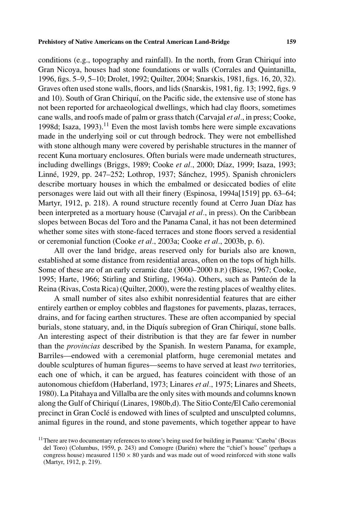conditions (e.g., topography and rainfall). In the north, from Gran Chiriquí into Gran Nicoya, houses had stone foundations or walls (Corrales and Quintanilla, 1996, figs. 5–9, 5–10; Drolet, 1992; Quilter, 2004; Snarskis, 1981, figs. 16, 20, 32). Graves often used stone walls, floors, and lids (Snarskis, 1981, fig. 13; 1992, figs. 9 and 10). South of Gran Chiriquí, on the Pacific side, the extensive use of stone has not been reported for archaeological dwellings, which had clay floors, sometimes cane walls, and roofs made of palm or grass thatch (Carvajal *et al.*, in press; Cooke, 1998d; Isaza, 1993).<sup>11</sup> Even the most lavish tombs here were simple excavations made in the underlying soil or cut through bedrock. They were not embellished with stone although many were covered by perishable structures in the manner of recent Kuna mortuary enclosures. Often burials were made underneath structures, including dwellings (Briggs, 1989; Cooke *et al.*, 2000; Díaz, 1999; Isaza, 1993; Linné, 1929, pp. 247–252; Lothrop, 1937; Sánchez, 1995). Spanish chroniclers describe mortuary houses in which the embalmed or desiccated bodies of elite personages were laid out with all their finery (Espinosa, 1994a[1519] pp. 63–64; Martyr, 1912, p. 218). A round structure recently found at Cerro Juan Díaz has been interpreted as a mortuary house (Carvajal *et al.*, in press). On the Caribbean slopes between Bocas del Toro and the Panama Canal, it has not been determined whether some sites with stone-faced terraces and stone floors served a residential or ceremonial function (Cooke *et al.*, 2003a; Cooke *et al.*, 2003b, p. 6).

All over the land bridge, areas reserved only for burials also are known, established at some distance from residential areas, often on the tops of high hills. Some of these are of an early ceramic date (3000–2000 B.P.) (Biese, 1967; Cooke, 1995; Harte, 1966; Stirling and Stirling, 1964a). Others, such as Panteón de la Reina (Rivas, Costa Rica) (Quilter, 2000), were the resting places of wealthy elites.

A small number of sites also exhibit nonresidential features that are either entirely earthen or employ cobbles and flagstones for pavements, plazas, terraces, drains, and for facing earthen structures. These are often accompanied by special burials, stone statuary, and, in the Diquís subregion of Gran Chiriquí, stone balls. An interesting aspect of their distribution is that they are far fewer in number than the *provincias* described by the Spanish. In western Panama, for example, Barriles—endowed with a ceremonial platform, huge ceremonial metates and double sculptures of human figures—seems to have served at least *two* territories, each one of which, it can be argued, has features coincident with those of an autonomous chiefdom (Haberland, 1973; Linares *et al.*, 1975; Linares and Sheets, 1980). La Pitahaya and Villalba are the only sites with mounds and columns known along the Gulf of Chiriquí (Linares, 1980b,d). The Sitio Conte/El Caño ceremonial precinct in Gran Cocle is endowed with lines of sculpted and unsculpted columns, ´ animal figures in the round, and stone pavements, which together appear to have

 $11$ There are two documentary references to stone's being used for building in Panama: 'Cateba' (Bocas del Toro) (Columbus, 1959, p. 243) and Comogre (Darién) where the "chief's house" (perhaps a congress house) measured  $1150 \times 80$  yards and was made out of wood reinforced with stone walls (Martyr, 1912, p. 219).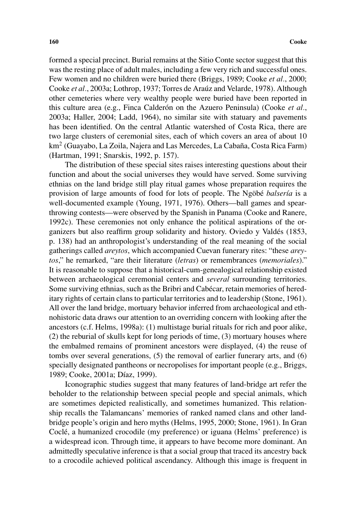formed a special precinct. Burial remains at the Sitio Conte sector suggest that this was the resting place of adult males, including a few very rich and successful ones. Few women and no children were buried there (Briggs, 1989; Cooke *et al.*, 2000; Cooke *et al.*, 2003a; Lothrop, 1937; Torres de Araúz and Velarde, 1978). Although other cemeteries where very wealthy people were buried have been reported in this culture area (e.g., Finca Calderón on the Azuero Peninsula) (Cooke *et al.*, 2003a; Haller, 2004; Ladd, 1964), no similar site with statuary and pavements has been identified. On the central Atlantic watershed of Costa Rica, there are two large clusters of ceremonial sites, each of which covers an area of about 10  $km<sup>2</sup>$  (Guayabo, La Zoila, Najera and Las Mercedes, La Cabaña, Costa Rica Farm) (Hartman, 1991; Snarskis, 1992, p. 157).

The distribution of these special sites raises interesting questions about their function and about the social universes they would have served. Some surviving ethnias on the land bridge still play ritual games whose preparation requires the provision of large amounts of food for lots of people. The Ngobé *balsería* is a well-documented example (Young, 1971, 1976). Others—ball games and spearthrowing contests—were observed by the Spanish in Panama (Cooke and Ranere, 1992c). These ceremonies not only enhance the political aspirations of the organizers but also reaffirm group solidarity and history. Oviedo y Valdes (1853, ´ p. 138) had an anthropologist's understanding of the real meaning of the social gatherings called *areytos*, which accompanied Cuevan funerary rites: "these *areytos*," he remarked, "are their literature (*letras*) or remembrances (*memoriales*)." It is reasonable to suppose that a historical-cum-genealogical relationship existed between archaeological ceremonial centers and *several* surrounding territories. Some surviving ethnias, such as the Bribri and Cabecar, retain memories of hered- ´ itary rights of certain clans to particular territories and to leadership (Stone, 1961). All over the land bridge, mortuary behavior inferred from archaeological and ethnohistoric data draws our attention to an overriding concern with looking after the ancestors (c.f. Helms, 1998a): (1) multistage burial rituals for rich and poor alike, (2) the reburial of skulls kept for long periods of time, (3) mortuary houses where the embalmed remains of prominent ancestors were displayed, (4) the reuse of tombs over several generations, (5) the removal of earlier funerary arts, and (6) specially designated pantheons or necropolises for important people (e.g., Briggs, 1989; Cooke, 2001a; Díaz, 1999).

Iconographic studies suggest that many features of land-bridge art refer the beholder to the relationship between special people and special animals, which are sometimes depicted realistically, and sometimes humanized. This relationship recalls the Talamancans' memories of ranked named clans and other landbridge people's origin and hero myths (Helms, 1995, 2000; Stone, 1961). In Gran Cocle, a humanized crocodile (my preference) or iguana (Helms' preference) is ´ a widespread icon. Through time, it appears to have become more dominant. An admittedly speculative inference is that a social group that traced its ancestry back to a crocodile achieved political ascendancy. Although this image is frequent in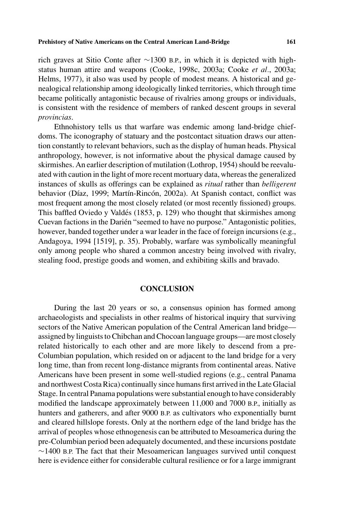rich graves at Sitio Conte after ∼1300 B.P., in which it is depicted with highstatus human attire and weapons (Cooke, 1998c, 2003a; Cooke *et al.*, 2003a; Helms, 1977), it also was used by people of modest means. A historical and genealogical relationship among ideologically linked territories, which through time became politically antagonistic because of rivalries among groups or individuals, is consistent with the residence of members of ranked descent groups in several *provincias*.

Ethnohistory tells us that warfare was endemic among land-bridge chiefdoms. The iconography of statuary and the postcontact situation draws our attention constantly to relevant behaviors, such as the display of human heads. Physical anthropology, however, is not informative about the physical damage caused by skirmishes. An earlier description of mutilation (Lothrop, 1954) should be reevaluated with caution in the light of more recent mortuary data, whereas the generalized instances of skulls as offerings can be explained as *ritual* rather than *belligerent* behavior (Díaz, 1999; Martín-Rincón, 2002a). At Spanish contact, conflict was most frequent among the most closely related (or most recently fissioned) groups. This baffled Oviedo y Valdés (1853, p. 129) who thought that skirmishes among Cuevan factions in the Darién "seemed to have no purpose." Antagonistic polities, however, banded together under a war leader in the face of foreign incursions (e.g., Andagoya, 1994 [1519], p. 35). Probably, warfare was symbolically meaningful only among people who shared a common ancestry being involved with rivalry, stealing food, prestige goods and women, and exhibiting skills and bravado.

# **CONCLUSION**

During the last 20 years or so, a consensus opinion has formed among archaeologists and specialists in other realms of historical inquiry that surviving sectors of the Native American population of the Central American land bridge assigned by linguists to Chibchan and Chocoan language groups—are most closely related historically to each other and are more likely to descend from a pre-Columbian population, which resided on or adjacent to the land bridge for a very long time, than from recent long-distance migrants from continental areas. Native Americans have been present in some well-studied regions (e.g., central Panama and northwest Costa Rica) continually since humans first arrived in the Late Glacial Stage. In central Panama populations were substantial enough to have considerably modified the landscape approximately between 11,000 and 7000 B.P., initially as hunters and gatherers, and after 9000 B.P. as cultivators who exponentially burnt and cleared hillslope forests. Only at the northern edge of the land bridge has the arrival of peoples whose ethnogenesis can be attributed to Mesoamerica during the pre-Columbian period been adequately documented, and these incursions postdate ∼1400 B.P. The fact that their Mesoamerican languages survived until conquest here is evidence either for considerable cultural resilience or for a large immigrant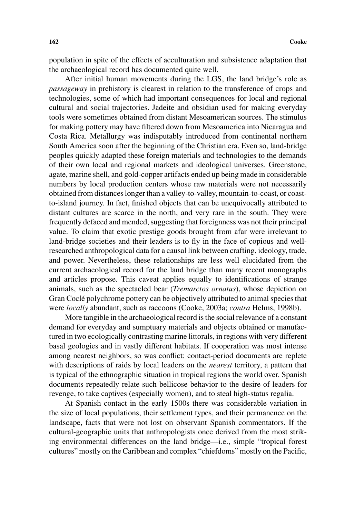population in spite of the effects of acculturation and subsistence adaptation that the archaeological record has documented quite well.

After initial human movements during the LGS, the land bridge's role as *passageway* in prehistory is clearest in relation to the transference of crops and technologies, some of which had important consequences for local and regional cultural and social trajectories. Jadeite and obsidian used for making everyday tools were sometimes obtained from distant Mesoamerican sources. The stimulus for making pottery may have filtered down from Mesoamerica into Nicaragua and Costa Rica. Metallurgy was indisputably introduced from continental northern South America soon after the beginning of the Christian era. Even so, land-bridge peoples quickly adapted these foreign materials and technologies to the demands of their own local and regional markets and ideological universes. Greenstone, agate, marine shell, and gold-copper artifacts ended up being made in considerable numbers by local production centers whose raw materials were not necessarily obtained from distances longer than a valley-to-valley, mountain-to-coast, or coastto-island journey. In fact, finished objects that can be unequivocally attributed to distant cultures are scarce in the north, and very rare in the south. They were frequently defaced and mended, suggesting that foreignness was not their principal value. To claim that exotic prestige goods brought from afar were irrelevant to land-bridge societies and their leaders is to fly in the face of copious and wellresearched anthropological data for a causal link between crafting, ideology, trade, and power. Nevertheless, these relationships are less well elucidated from the current archaeological record for the land bridge than many recent monographs and articles propose. This caveat applies equally to identifications of strange animals, such as the spectacled bear (*Tremarctos ornatus*), whose depiction on Gran Coclé polychrome pottery can be objectively attributed to animal species that were *locally* abundant, such as raccoons (Cooke, 2003a; *contra* Helms, 1998b).

More tangible in the archaeological record is the social relevance of a constant demand for everyday and sumptuary materials and objects obtained or manufactured in two ecologically contrasting marine littorals, in regions with very different basal geologies and in vastly different habitats. If cooperation was most intense among nearest neighbors, so was conflict: contact-period documents are replete with descriptions of raids by local leaders on the *nearest* territory, a pattern that is typical of the ethnographic situation in tropical regions the world over. Spanish documents repeatedly relate such bellicose behavior to the desire of leaders for revenge, to take captives (especially women), and to steal high-status regalia.

At Spanish contact in the early 1500s there was considerable variation in the size of local populations, their settlement types, and their permanence on the landscape, facts that were not lost on observant Spanish commentators. If the cultural-geographic units that anthropologists once derived from the most striking environmental differences on the land bridge—i.e., simple "tropical forest cultures" mostly on the Caribbean and complex "chiefdoms" mostly on the Pacific,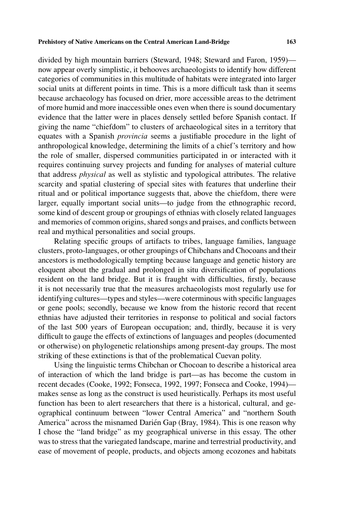divided by high mountain barriers (Steward, 1948; Steward and Faron, 1959) now appear overly simplistic, it behooves archaeologists to identify how different categories of communities in this multitude of habitats were integrated into larger social units at different points in time. This is a more difficult task than it seems because archaeology has focused on drier, more accessible areas to the detriment of more humid and more inaccessible ones even when there is sound documentary evidence that the latter were in places densely settled before Spanish contact. If giving the name "chiefdom" to clusters of archaeological sites in a territory that equates with a Spanish *provincia* seems a justifiable procedure in the light of anthropological knowledge, determining the limits of a chief's territory and how the role of smaller, dispersed communities participated in or interacted with it requires continuing survey projects and funding for analyses of material culture that address *physical* as well as stylistic and typological attributes. The relative scarcity and spatial clustering of special sites with features that underline their ritual and or political importance suggests that, above the chiefdom, there were larger, equally important social units—to judge from the ethnographic record, some kind of descent group or groupings of ethnias with closely related languages and memories of common origins, shared songs and praises, and conflicts between real and mythical personalities and social groups.

Relating specific groups of artifacts to tribes, language families, language clusters, proto-languages, or other groupings of Chibchans and Chocoans and their ancestors is methodologically tempting because language and genetic history are eloquent about the gradual and prolonged in situ diversification of populations resident on the land bridge. But it is fraught with difficulties, firstly, because it is not necessarily true that the measures archaeologists most regularly use for identifying cultures—types and styles—were coterminous with specific languages or gene pools; secondly, because we know from the historic record that recent ethnias have adjusted their territories in response to political and social factors of the last 500 years of European occupation; and, thirdly, because it is very difficult to gauge the effects of extinctions of languages and peoples (documented or otherwise) on phylogenetic relationships among present-day groups. The most striking of these extinctions is that of the problematical Cuevan polity.

Using the linguistic terms Chibchan or Chocoan to describe a historical area of interaction of which the land bridge is part—as has become the custom in recent decades (Cooke, 1992; Fonseca, 1992, 1997; Fonseca and Cooke, 1994) makes sense as long as the construct is used heuristically. Perhaps its most useful function has been to alert researchers that there is a historical, cultural, and geographical continuum between "lower Central America" and "northern South America" across the misnamed Darién Gap (Bray, 1984). This is one reason why I chose the "land bridge" as my geographical universe in this essay. The other was to stress that the variegated landscape, marine and terrestrial productivity, and ease of movement of people, products, and objects among ecozones and habitats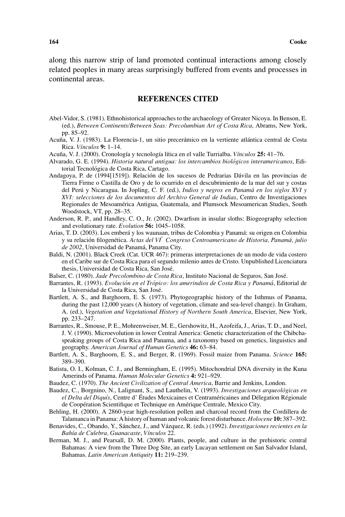along this narrow strip of land promoted continual interactions among closely related peoples in many areas surprisingly buffered from events and processes in continental areas.

## **REFERENCES CITED**

- Abel-Vidor, S. (1981). Ethnohistorical approaches to the archaeology of Greater Nicoya. In Benson, E. (ed.), *Between Continents/Between Seas: Precolumbian Art of Costa Rica*, Abrams, New York, pp. 85–92.
- Acuña, V. J. (1983). La Florencia-1, un sitio precerámico en la vertiente atlántica central de Costa Rica. *V´ınculos* **9:** 1–14.
- Acuña, V. J. (2000). Cronología y tecnología lítica en el valle Turrialba. *Vínculos* 25: 41–76.
- Alvarado, G. E. (1994). *Historia natural antigua: los intercambios biologicos interamericanos ´* , Editorial Tecnológica de Costa Rica, Cartago.
- Andagoya, P. de (1994[1519]). Relación de los sucesos de Pedrarias Dávila en las provincias de Tierra Firme o Castilla de Oro y de lo ocurrido en el descubrimiento de la mar del sur y costas del Perú y Nicaragua. In Jopling, C. F. (ed.), *Indios y negros en Panamá en los siglos XVI* y *XVI: selecciones de los documentos del Archivo General de Indias*, Centro de Investigaciones Regionales de Mesoamerica Antigua, Guatemala, and Plumsock Mesoamerican Studies, South ´ Woodstock, VT, pp. 28–35.
- Anderson, R. P., and Handley, C. O., Jr. (2002). Dwarfism in insular sloths: Biogeography selection and evolutionary rate. *Evolution* **56:** 1045–1058.
- Arias, T. D. (2003). Los emberá y los waunaan, tribus de Colombia y Panamá: su origen en Colombia y su relación filogenética. *Actas del VI*° *Congreso Centroamericano de Historia, Panamá, julio de 2002*, Universidad de Panama, Panama City. ´
- Baldi, N. (2001). Black Creek (Cat. UCR 467): primeras interpretaciones de un modo de vida costero en el Caribe sur de Costa Rica para el segundo milenio antes de Cristo. Unpublished Licenciatura thesis, Universidad de Costa Rica, San Jose.´
- Balser, C. (1980). *Jade Precolombino de Costa Rica*, Instituto Nacional de Seguros, San Jose.´
- Barrantes, R. (1993). *Evolucion en el Tr ´ opico: los amerindios de Costa Rica y Panam ´ a´*, Editorial de la Universidad de Costa Rica, San José.
- Bartlett, A. S., and Barghoorn, E. S. (1973). Phytogeographic history of the Isthmus of Panama, during the past 12,000 years (A history of vegetation, climate and sea-level change). In Graham, A. (ed.), *Vegetation and Vegetational History of Northern South America*, Elsevier, New York, pp. 233–247.
- Barrantes, R., Smouse, P. E., Mohrenweiser, M. E., Gershowitz, H., Azofeifa, J., Arias, T. D., and Neel, J. V. (1990). Microevolution in lower Central America: Genetic characterization of the Chibchaspeaking groups of Costa Rica and Panama, and a taxonomy based on genetics, linguistics and geography. *American Journal of Human Genetics* **46:** 63–84.
- Bartlett, A. S., Barghoorn, E. S., and Berger, R. (1969). Fossil maize from Panama. *Science* **165:** 389–390.
- Batista, O. I., Kolman, C. J., and Bermingham, E. (1995). Mitochondrial DNA diversity in the Kuna Amerinds of Panama. *Human Molecular Genetics* **4:** 921–929.
- Baudez, C. (1970). *The Ancient Civilization of Central America*, Barrie and Jenkins, London.
- Baudez, C., Borgnino, N., Lalignant, S., and Lauthelin, V. (1993). *Investigaciones arqueologicas en ´ el Delta del Diquís*, Centre d'Études Mexicaines et Centraméricaines and Délegation Régionale de Coopération Scientifique et Technique en Amérique Centrale, Mexico City.
- Behling, H. (2000). A 2860-year high-resolution pollen and charcoal record from the Cordillera de Talamanca in Panama: A history of human and volcanic forest disturbance. *Holocene* **10:** 387–392.
- Benavides, C., Obando, Y., Sánchez, J., and Vázquez, R. (eds.) (1992). *Investigaciones recientes en la Bah´ıa de Culebra, Guanacaste*, *V´ınculos* 22.
- Berman, M. J., and Pearsall, D. M. (2000). Plants, people, and culture in the prehistoric central Bahamas: A view from the Three Dog Site, an early Lucayan settlement on San Salvador Island, Bahamas. *Latin American Antiquity* **11:** 219–239.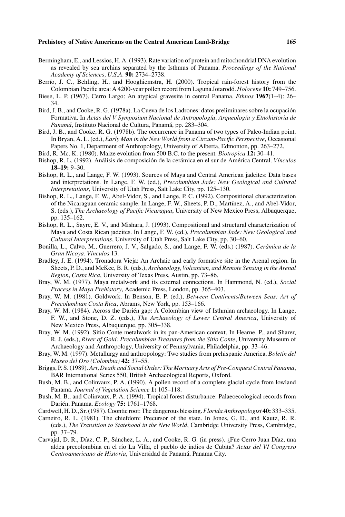- Bermingham, E., and Lessios, H. A. (1993). Rate variation of protein and mitochondrial DNA evolution as revealed by sea urchins separated by the Isthmus of Panama. *Proceedings of the National Academy of Sciences, U.S.A.* **90:** 2734–2738.
- Berrío, J. C., Behling, H., and Hooghiemstra, H. (2000). Tropical rain-forest history from the Colombian Pacific area: A 4200-year pollen record from Laguna Jotarodo. ´ *Holocene* **10:** 749–756.
- Biese, L. P. (1967). Cerro Largo: An atypical gravesite in central Panama. *Ethnos* **1967**(1–4): 26– 34.
- Bird, J. B., and Cooke, R. G. (1978a). La Cueva de los Ladrones: datos preliminares sobre la ocupacion´ Formativa. In *Actas del V Symposium Nacional de Antropología, Arqueología y Etnohistoria de* Panamá, Instituto Nacional de Cultura, Panamá, pp. 283–304.
- Bird, J. B., and Cooke, R. G. (1978b). The occurrence in Panama of two types of Paleo-Indian point. In Bryan, A. L. (ed.), *Early Man in the New World from a Circum-Pacific Perspective*, Occasional Papers No. 1, Department of Anthropology, University of Alberta, Edmonton, pp. 263–272.
- Bird, R. Mc. K. (1980). Maize evolution from 500 B.C. to the present. *Biotropica* **12:** 30–41.
- Bishop, R. L. (1992). Análisis de composición de la cerámica en el sur de América Central. Vínculos **18–19:** 9–30.
- Bishop, R. L., and Lange, F. W. (1993). Sources of Maya and Central American jadeites: Data bases and interpretations. In Lange, F. W. (ed.), *Precolumbian Jade: New Geological and Cultural Interpretations*, University of Utah Press, Salt Lake City, pp. 125–130.
- Bishop, R. L., Lange, F. W., Abel-Vidor, S., and Lange, P. C. (1992). Compositional characterization of the Nicaraguan ceramic sample. In Lange, F. W., Sheets, P. D., Martínez, A., and Abel-Vidor, S. (eds.), *The Archaeology of Pacific Nicaragua*, University of New Mexico Press, Albuquerque, pp. 135–162.
- Bishop, R. L., Sayre, E. V., and Mishara, J. (1993). Compositional and structural characterization of Maya and Costa Rican jadeites. In Lange, F. W. (ed.), *Precolumbian Jade: New Geological and Cultural Interpretations*, University of Utah Press, Salt Lake City, pp. 30–60.
- Bonilla, L., Calvo, M., Guerrero, J. V., Salgado, S., and Lange, F. W. (eds.) (1987). *Ceramica de la ´ Gran Nicoya. V´ınculos* 13.
- Bradley, J. E. (1994). Tronadora Vieja: An Archaic and early formative site in the Arenal region. In Sheets, P. D., and McKee, B. R. (eds.), *Archaeology, Volcanism, and Remote Sensing in the Arenal Region, Costa Rica*, University of Texas Press, Austin, pp. 73–86.
- Bray, W. M. (1977). Maya metalwork and its external connections. In Hammond, N. (ed.), *Social Process in Maya Prehistory*, Academic Press, London, pp. 365–403.
- Bray, W. M. (1981). Goldwork. In Benson, E. P. (ed.), *Between Continents/Between Seas: Art of Precolumbian Costa Rica*, Abrams, New York, pp. 153–166.
- Bray, W. M. (1984). Across the Darién gap: A Colombian view of Isthmian archaeology. In Lange, F. W., and Stone, D. Z. (eds.), *The Archaeology of Lower Central America*, University of New Mexico Press, Albuquerque, pp. 305–338.
- Bray, W. M. (1992). Sitio Conte metalwork in its pan-American context. In Hearne, P., and Sharer, R. J. (eds.), *River of Gold: Precolumbian Treasures from the Sitio Conte*, University Museum of Archaeology and Anthropology, University of Pennsylvania, Philadelphia, pp. 33–46.
- Bray, W. M. (1997). Metallurgy and anthropology: Two studies from prehispanic America. *Boletín del Museo del Oro (Colombia)* **42:** 37–55.
- Briggs, P. S. (1989). *Art, Death and Social Order: The Mortuary Arts of Pre-Conquest Central Panama*, BAR International Series 550, British Archaeological Reports, Oxford.
- Bush, M. B., and Colinvaux, P. A. (1990). A pollen record of a complete glacial cycle from lowland Panama. *Journal of Vegetation Science* **1:** 105–118.
- Bush, M. B., and Colinvaux, P. A. (1994). Tropical forest disturbance: Palaeoecological records from Darién, Panama.  $Ecology$  **75:** 1761–1768.
- Cardwell, H. D., Sr. (1987). Coontie root: The dangerous blessing. *Florida Anthropologist* **40:** 333–335.
- Carneiro, R. L. (1981). The chiefdom: Precursor of the state. In Jones, G. D., and Kautz, R. R. (eds.), *The Transition to Statehood in the New World*, Cambridge University Press, Cambridge, pp. 37–79.
- Carvajal, D. R., Díaz, C. P., Sánchez, L. A., and Cooke, R. G. (in press). ¿Fue Cerro Juan Díaz, una aldea precolombina en el r´ıo La Villa, el pueblo de indios de Cubita? *Actas del VI Congreso Centroamericano de Historia*, Universidad de Panama, Panama City. ´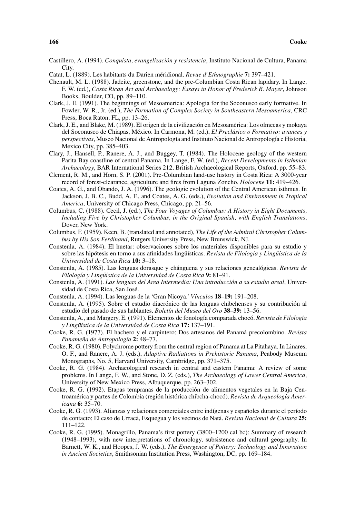- Castillero, A. (1994). *Conquista, evangelización y resistencia*, Instituto Nacional de Cultura, Panama **City**.
- Catat, L. (1889). Les habitants du Darien méridional. *Revue d'Ethnographie* 7: 397–421.
- Chenault, M. L. (1988). Jadeite, greenstone, and the pre-Columbian Costa Rican lapidary. In Lange, F. W. (ed.), *Costa Rican Art and Archaeology: Essays in Honor of Frederick R. Mayer*, Johnson Books, Boulder, CO, pp. 89–110.
- Clark, J. E. (1991). The beginnings of Mesoamerica: Apologia for the Soconusco early formative. In Fowler, W. R., Jr. (ed.), *The Formation of Complex Society in Southeastern Mesoamerica*, CRC Press, Boca Raton, FL, pp. 13–26.
- Clark, J. E., and Blake, M. (1989). El origen de la civilización en Mesoamérica: Los olmecas y mokaya del Soconusco de Chiapas, México. In Carmona, M. (ed.), El Preclásico o Formativo: avances y *perspectivas*, Museo Nacional de Antropología and Instituto Nacional de Antropología e Historia, Mexico City, pp. 385–403.
- Clary, J., Hansell, P., Ranere, A. J., and Buggey, T. (1984). The Holocene geology of the western Parita Bay coastline of central Panama. In Lange, F. W. (ed.), *Recent Developments in Isthmian Archaeology*, BAR International Series 212, British Archaeological Reports, Oxford, pp. 55–83.
- Clement, R. M., and Horn, S. P. (2001). Pre-Columbian land-use history in Costa Rica: A 3000-year record of forest-clearance, agriculture and fires from Laguna Zoncho. *Holocene* **11:** 419–426.
- Coates, A. G., and Obando, J. A. (1996). The geologic evolution of the Central American isthmus. In Jackson, J. B. C., Budd, A. F., and Coates, A. G. (eds.), *Evolution and Environment in Tropical America*, University of Chicago Press, Chicago, pp. 21–56.
- Columbus, C. (1988). Cecil, J. (ed.), *The Four Voyages of Columbus: A History in Eight Documents, Including Five by Christopher Columbus, in the Original Spanish, with English Translations*, Dover, New York.
- Columbus, F. (1959). Keen, B. (translated and annotated), *The Life of the Admiral Christopher Columbus by His Son Ferdinand*, Rutgers University Press, New Brunswick, NJ.
- Constenla, A. (1984). El huetar: observaciones sobre los materiales disponibles para su estudio y sobre las hipótesis en torno a sus afinidades lingüísticas. *Revista de Filología y Lingüística de la Universidad de Costa Rica* **10:** 3–18.
- Constenla, A. (1985). Las lenguas dorasque y chánguena y sus relaciones genealógicas. Revista de *Filolog´ıa y Lingu¨´ıstica de la Universidad de Costa Rica* **9:** 81–91.
- Constenla, A. (1991). *Las lenguas del Area Intermedia: Una introduccion a su estudio areal ´* , Universidad de Costa Rica, San Jose.´
- Constenla, A. (1994). Las lenguas de la 'Gran Nicoya.' *V´ınculos* **18**–**19:** 191–208.
- Constenla, A. (1995). Sobre el estudio diacrónico de las lenguas chibchenses y su contribución al estudio del pasado de sus hablantes. *Bolet´ın del Museo del Oro* **38**–**39:** 13–56.
- Constenla, A., and Margery, E. (1991). Elementos de fonología comparada chocó. Revista de Filología *y Lingu¨´ıstica de la Universidad de Costa Rica* **17:** 137–191.
- Cooke, R. G. (1977). El hachero y el carpintero: Dos artesanos del Panamá precolombino. *Revista Panameña de Antropología* 2: 48-77.
- Cooke, R. G. (1980). Polychrome pottery from the central region of Panama at La Pitahaya. In Linares, O. F., and Ranere, A. J. (eds.), *Adaptive Radiations in Prehistoric Panama*, Peabody Museum Monographs, No. 5, Harvard University, Cambridge, pp. 371–375.
- Cooke, R. G. (1984). Archaeological research in central and eastern Panama: A review of some problems. In Lange, F. W., and Stone, D. Z. (eds.), *The Archaeology of Lower Central America*, University of New Mexico Press, Albuquerque, pp. 263–302.
- Cooke, R. G. (1992). Etapas tempranas de la produccion de alimentos vegetales en la Baja Cen- ´ troamérica y partes de Colombia (región histórica chibcha-chocó). Revista de Arqueología Amer*icana* **6:** 35–70.
- Cooke, R. G. (1993). Alianzas y relaciones comerciales entre indígenas y españoles durante el período de contacto: El caso de Urracá, Esquegua y los vecinos de Natá. Revista Nacional de Cultura 25: 111–122.
- Cooke, R. G. (1995). Monagrillo, Panama's first pottery (3800–1200 cal bc): Summary of research (1948–1993), with new interpretations of chronology, subsistence and cultural geography. In Barnett, W. K., and Hoopes, J. W. (eds.), *The Emergence of Pottery: Technology and Innovation in Ancient Societies*, Smithsonian Institution Press, Washington, DC, pp. 169–184.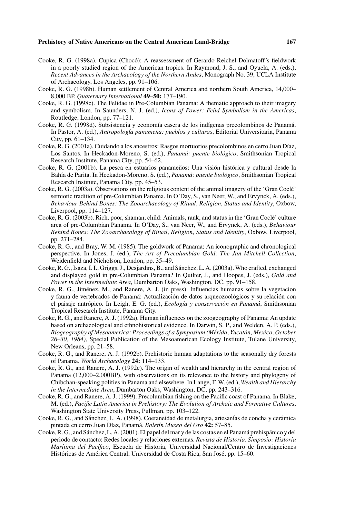- Cooke, R. G. (1998a). Cupica (Choco): A reassessment of Gerardo Reichel-Dolmatoff's fieldwork ´ in a poorly studied region of the American tropics. In Raymond, J. S., and Oyuela, A. (eds.), *Recent Advances in the Archaeology of the Northern Andes*, Monograph No. 39, UCLA Institute of Archaeology, Los Angeles, pp. 91–106.
- Cooke, R. G. (1998b). Human settlement of Central America and northern South America, 14,000– 8,000 BP. *Quaternary International* **49**–**50:** 177–190.
- Cooke, R. G. (1998c). The Felidae in Pre-Columbian Panama: A thematic approach to their imagery and symbolism. In Saunders, N. J. (ed.), *Icons of Power: Felid Symbolism in the Americas*, Routledge, London, pp. 77–121.
- Cooke, R. G. (1998d). Subsistencia y economía casera de los indígenas precolombinos de Panamá. In Pastor, A. (ed.), *Antropología panameña: pueblos y culturas*, Editorial Universitaria, Panama City, pp. 61–134.
- Cooke, R. G. (2001a). Cuidando a los ancestros: Rasgos mortuorios precolombinos en cerro Juan Díaz, Los Santos. In Heckadon-Moreno, S. (ed.), *Panama: puente biol ´ ogico ´* , Smithsonian Tropical Research Institute, Panama City, pp. 54–62.
- Cooke, R. G. (2001b). La pesca en estuarios panameños: Una visión histórica y cultural desde la Bahía de Parita. In Heckadon-Moreno, S. (ed.), *Panamá: puente biológico*, Smithsonian Tropical Research Institute, Panama City, pp. 45–53.
- Cooke, R. G. (2003a). Observations on the religious content of the animal imagery of the 'Gran Cocle'´ semiotic tradition of pre-Columbian Panama. In O'Day, S., van Neer, W., and Ervynck, A. (eds.), *Behaviour Behind Bones: The Zooarchaeology of Ritual, Religion, Status and Identity*, Oxbow, Liverpool, pp. 114–127.
- Cooke, R. G. (2003b). Rich, poor, shaman, child: Animals, rank, and status in the 'Gran Cocle' culture ´ area of pre-Columbian Panama. In O'Day, S., van Neer, W., and Ervynck, A. (eds.), *Behaviour Behind Bones: The Zooarchaeology of Ritual, Religion, Status and Identity*, Oxbow, Liverpool, pp. 271–284.
- Cooke, R. G., and Bray, W. M. (1985). The goldwork of Panama: An iconographic and chronological perspective. In Jones, J. (ed.), *The Art of Precolumbian Gold: The Jan Mitchell Collection*, Weidenfield and Nicholson, London, pp. 35–49.
- Cooke, R. G., Isaza, I. I., Griggs, J., Desjardins, B., and Sanchez, L. A. (2003a). Who crafted, exchanged ´ and displayed gold in pre-Columbian Panama? In Quilter, J., and Hoopes, J. (eds.), *Gold and Power in the Intermediate Area*, Dumbarton Oaks, Washington, DC, pp. 91–158.
- Cooke, R. G., Jiménez, M., and Ranere, A. J. (in press). Influencias humanas sobre la vegetacion y fauna de vertebrados de Panamá: Actualización de datos arqueozoológicos y su relación con el paisaje antrópico. In Leigh, E. G. (ed.), *Ecología y conservación en Panamá*, Smithsonian Tropical Research Institute, Panama City.
- Cooke, R. G., and Ranere, A. J. (1992a). Human influences on the zoogeography of Panama: An update based on archaeological and ethnohistorical evidence. In Darwin, S. P., and Welden, A. P. (eds.), *Biogeography of Mesoamerica: Proceedings of a Symposium (Merida, Yucat ´ an, Mexico, October ´ 26–30, 1984)*, Special Publication of the Mesoamerican Ecology Institute, Tulane University, New Orleans, pp. 21–58.
- Cooke, R. G., and Ranere, A. J. (1992b). Prehistoric human adaptations to the seasonally dry forests of Panama. *World Archaeology* **24:** 114–133.
- Cooke, R. G., and Ranere, A. J. (1992c). The origin of wealth and hierarchy in the central region of Panama (12,000–2,000BP), with observations on its relevance to the history and phylogeny of Chibchan-speaking polities in Panama and elsewhere. In Lange, F. W. (ed.), *Wealth and Hierarchy in the Intermediate Area*, Dumbarton Oaks, Washington, DC, pp. 243–316.
- Cooke, R. G., and Ranere, A. J. (1999). Precolumbian fishing on the Pacific coast of Panama. In Blake, M. (ed.), *Pacific Latin America in Prehistory: The Evolution of Archaic and Formative Cultures*, Washington State University Press, Pullman, pp. 103–122.
- Cooke, R. G., and Sánchez, L. A. (1998). Coetaneidad de metalurgia, artesanías de concha y cerámica pintada en cerro Juan D´ıaz, Panama.´ *Bolet´ın Museo del Oro* **42:** 57–85.
- Cooke, R. G., and Sánchez, L. A. (2001). El papel del mar y de las costas en el Panamá prehispánico y del periodo de contacto: Redes locales y relaciones externas. *Revista de Historia. Simposio: Historia Mar´ıtima del Pac´ıfico*, Escuela de Historia, Universidad Nacional/Centro de Investigaciones Históricas de América Central, Universidad de Costa Rica, San José, pp. 15–60.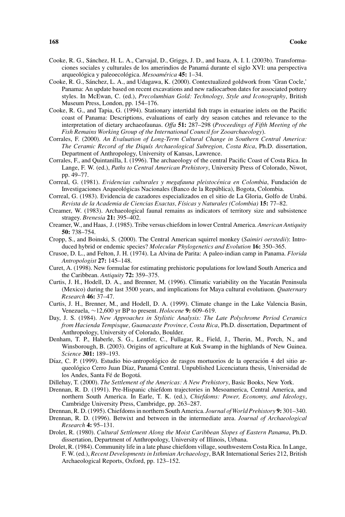- Cooke, R. G., Sanchez, H. L. A., Carvajal, D., Griggs, J. D., and Isaza, A. I. I. (2003b). Transforma- ´ ciones sociales y culturales de los amerindios de Panama durante el siglo XVI: una perspectiva ´ arqueológica y paleoecológica. Mesoamérica **45:** 1–34.
- Cooke, R. G., Sanchez, L. A., and Udagawa, K. (2000). Contextualized goldwork from 'Gran Cocle,' ´ Panama: An update based on recent excavations and new radiocarbon dates for associated pottery styles. In McEwan, C. (ed.), *Precolumbian Gold: Technology, Style and Iconography*, British Museum Press, London, pp. 154–176.
- Cooke, R. G., and Tapia, G. (1994). Stationary intertidal fish traps in estuarine inlets on the Pacific coast of Panama: Descriptions, evaluations of early dry season catches and relevance to the interpretation of dietary archaeofaunas. *Offa* **51:** 287–298 (*Proceedings of Fifth Meeting of the Fish Remains Working Group of the International Council for Zooarchaeology*).
- Corrales, F. (2000). *An Evaluation of Long-Term Cultural Change in Southern Central America: The Ceramic Record of the Diqu´ıs Archaeological Subregion, Costa Rica*, Ph.D. dissertation, Department of Anthropology, University of Kansas, Lawrence.
- Corrales, F., and Quintanilla, I. (1996). The archaeology of the central Pacific Coast of Costa Rica. In Lange, F. W. (ed.), *Paths to Central American Prehistory*, University Press of Colorado, Niwot, pp. 49–77.
- Correal, G. (1981). *Evidencias culturales y megafauna pleistocénica en Colombia*, Fundación de Investigaciones Arqueológicas Nacionales (Banco de la República), Bogota, Colombia.
- Correal, G. (1983). Evidencia de cazadores especializados en el sitio de La Gloria, Golfo de Uraba.´ *Revista de la Academia de Ciencias Exactas, F´ısicas y Naturales (Colombia)* **15:** 77–82.
- Creamer, W. (1983). Archaeological faunal remains as indicators of territory size and subsistence stragey. *Brenesia* **21:** 395–402.
- Creamer, W., and Haas, J. (1985). Tribe versus chiefdom in lower Central America. *American Antiquity* **50:** 738–754.
- Cropp, S., and Boinski, S. (2000). The Central American squirrel monkey (*Saimiri oerstedii*): Introduced hybrid or endemic species? *Molecular Phylogenetics and Evolution* **16:** 350–365.
- Crusoe, D. L., and Felton, J. H. (1974). La Alvina de Parita: A paleo-indian camp in Panama. *Florida Antropologist* **27:** 145–148.
- Curet, A. (1998). New formulae for estimating prehistoric populations for lowland South America and the Caribbean. *Antiquity* **72:** 359–375.
- Curtis, J. H., Hodell, D. A., and Brenner, M. (1996). Climatic variability on the Yucatan Peninsula ´ (Mexico) during the last 3500 years, and implications for Maya cultural evolutiuon. *Quaternary Research* **46:** 37–47.
- Curtis, J. H., Brenner, M., and Hodell, D. A. (1999). Climate change in the Lake Valencia Basin, Venezuela, ∼12,600 yr BP to present. *Holocene* **9:** 609–619.
- Day, J. S. (1984). *New Approaches in Stylistic Analysis: The Late Polychrome Period Ceramics from Hacienda Tempisque, Guanacaste Province, Costa Rica*, Ph.D. dissertation, Department of Anthropology, University of Colorado, Boulder.
- Denham, T. P., Haberle, S. G., Lentfer, C., Fullagar, R., Field, J., Therin, M., Porch, N., and Winsborough, B. (2003). Origins of agriculture at Kuk Swamp in the highlands of New Guinea. *Science* **301:** 189–193.
- Díaz, C. P. (1999). Estudio bio-antropológico de rasgos mortuorios de la operación 4 del sitio arqueológico Cerro Juan Díaz, Panamá Central. Unpublished Licenciatura thesis, Universidad de los Andes, Santa Fé de Bogotá.
- Dillehay, T. (2000). *The Settlement of the Americas: A New Prehistory*, Basic Books, New York.
- Drennan, R. D. (1991). Pre-Hispanic chiefdom trajectories in Mesoamerica, Central America, and northern South America. In Earle, T. K. (ed.), *Chiefdoms: Power, Economy, and Ideology*, Cambridge University Press, Cambridge, pp. 263–287.
- Drennan, R. D. (1995). Chiefdoms in northern South America. *Journal of World Prehistory* **9:** 301–340.
- Drennan, R. D. (1996). Betwixt and between in the intermediate area. *Journal of Archaeological Research* **4:** 95–131.
- Drolet, R. (1980). *Cultural Settlement Along the Moist Caribbean Slopes of Eastern Panama*, Ph.D. dissertation, Department of Anthropology, University of Illinois, Urbana.
- Drolet, R. (1984). Community life in a late phase chiefdom village, southwestern Costa Rica. In Lange, F. W. (ed.), *Recent Developments in Isthmian Archaeology*, BAR International Series 212, British Archaeological Reports, Oxford, pp. 123–152.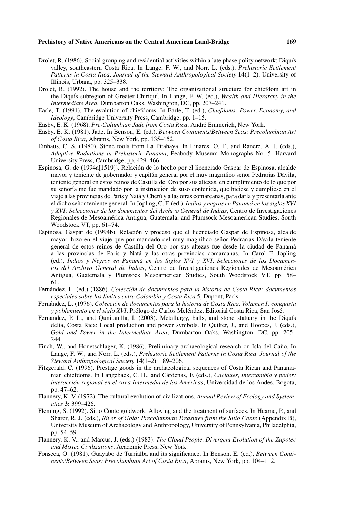- Drolet, R. (1986). Social grouping and residential activities within a late phase polity network: Diquís valley, southeastern Costa Rica. In Lange, F. W., and Norr, L. (eds.), *Prehistoric Settlement Patterns in Costa Rica, Journal of the Steward Anthropological Society* **14**(1–2), University of Illinois, Urbana, pp. 325–338.
- Drolet, R. (1992). The house and the territory: The organizational structure for chiefdom art in the Diquís subregion of Greater Chiriquí. In Lange, F. W. (ed.), *Wealth and Hierarchy in the Intermediate Area*, Dumbarton Oaks, Washington, DC, pp. 207–241.
- Earle, T. (1991). The evolution of chiefdoms. In Earle, T. (ed.), *Chiefdoms: Power, Economy, and Ideology*, Cambridge University Press, Cambridge, pp. 1–15.
- Easby, E. K. (1968). *Pre-Columbian Jade from Costa Rica*, Andre Emmerich, New York. ´
- Easby, E. K. (1981). Jade. In Benson, E. (ed.), *Between Continents/Between Seas: Precolumbian Art of Costa Rica*, Abrams, New York, pp. 135–152.
- Einhaus, C. S. (1980). Stone tools from La Pitahaya. In Linares, O. F., and Ranere, A. J. (eds.), *Adaptive Radiations in Prehistoric Panama*, Peabody Museum Monographs No. 5, Harvard University Press, Cambridge, pp. 429–466.
- Espinosa, G. de (1994a[1519]). Relacion de lo hecho por el licenciado Gaspar de Espinosa, alcalde ´ mayor y teniente de gobernador y capitán general por el muy magnífico señor Pedrarias Dávila, teniente general en estos reinos de Castilla del Oro por sus altezas, en cumplimiento de lo que por su señoría me fue mandado por la instrucción de suso contenida, que hiciese y cumpliese en el viaje a las provincias de Paris y Natá y Cherú y a las otras comarcanas, para darla y presentarla ante el dicho señor teniente general. In Jopling, C. F. (ed.), Indios y negros en Panamá en los siglos XVI *y XVI: Selecciones de los documentos del Archivo General de Indias*, Centro de Investigaciones Regionales de Mesoamerica Antigua, Guatemala, and Plumsock Mesoamerican Studies, South ´ Woodstock VT, pp. 61–74.
- Espinosa, Gaspar de (1994b). Relacion y proceso que el licenciado Gaspar de Espinosa, alcalde ´ mayor, hizo en el viaje que por mandado del muy magnífico señor Pedrarias Dávila teniente general de estos reinos de Castilla del Oro por sus altezas fue desde la ciudad de Panama´ a las provincias de Paris y Nata y las otras provincias comarcanas. In Carol F. Jopling ´ (ed.), *Indios y Negros en Panama en los Siglos XVI y XVI. Selecciones de los Documen- ´ tos del Archivo General de Indias*, Centro de Investigaciones Regionales de Mesoamerica ´ Antigua, Guatemala y Plumsock Mesoamerican Studies, South Woodstock VT, pp. 58– 61.
- Fernández, L. (ed.) (1886). Colección de documentos para la historia de Costa Rica: documentos *especiales sobre los l´ımites entre Colombia y Costa Rica* 5, Dupont, Paris.
- Fernández, L. (1976). Colección de documentos para la historia de Costa Rica, Volumen I: conquista *y poblamiento en el siglo XVI*, Prólogo de Carlos Meléndez, Editorial Costa Rica, San José.
- Fernández, P. L., and Qunitanilla, I. (2003). Metallurgy, balls, and stone statuary in the Diquís delta, Costa Rica: Local production and power symbols. In Quilter, J., and Hoopes, J. (eds.), *Gold and Power in the Intermediate Area*, Dumbarton Oaks, Washington, DC, pp. 205– 244.
- Finch, W., and Honetschlager, K. (1986). Preliminary archaeological research on Isla del Caño. In Lange, F. W., and Norr, L. (eds.), *Prehistoric Settlement Patterns in Costa Rica. Journal of the Steward Anthropological Society* **14**(1–2): 189–206.
- Fitzgerald, C. (1996). Prestige goods in the archaeological sequences of Costa Rican and Panamanian chiefdoms. In Langebaek, C. H., and Cárdenas, F. (eds.), *Caciques, intercambio y poder: interaccion regional en el Area Intermedia de las Am ´ ericas ´* , Universidad de los Andes, Bogota, pp. 47–62.
- Flannery, K. V. (1972). The cultural evolution of civilizations. *Annual Review of Ecology and Systematics* **3:** 399–426.
- Fleming, S. (1992). Sitio Conte goldwork: Alloying and the treatment of surfaces. In Hearne, P., and Sharer, R. J. (eds.), *River of Gold: Precolumbian Treasures from the Sitio Conte* (Appendix B), University Museum of Archaeology and Anthropology, University of Pennsylvania, Philadelphia, pp. 54–59.
- Flannery, K. V., and Marcus, J. (eds.) (1983). *The Cloud People. Divergent Evolution of the Zapotec and Mixtec Civilizations*, Academic Press, New York.
- Fonseca, O. (1981). Guayabo de Turrialba and its significance. In Benson, E. (ed.), *Between Continents/Between Seas: Precolumbian Art of Costa Rica*, Abrams, New York, pp. 104–112.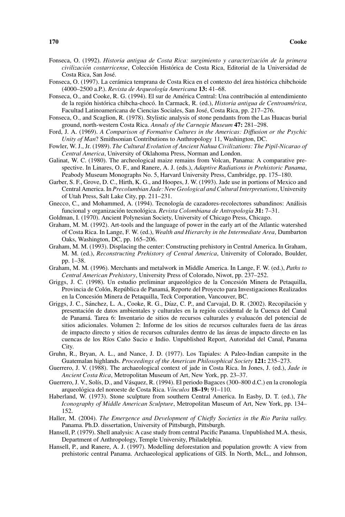- Fonseca, O. (1992). *Historia antigua de Costa Rica: surgimiento y caracterizacion de la primera ´ civilización costarricense*, Colección Histórica de Costa Rica, Editorial de la Universidad de Costa Rica, San Jose.´
- Fonseca, O. (1997). La cerámica temprana de Costa Rica en el contexto del área histórica chibchoide (4000–2500 a.P.). *Revista de Arqueolog´ıa Americana* **13:** 41–68.
- Fonseca, O., and Cooke, R. G. (1994). El sur de América Central: Una contribución al entendimiento de la región histórica chibcha-chocó. In Carmack, R. (ed.), *Historia antigua de Centroamérica*, Facultad Latinoamericana de Ciencias Sociales, San José, Costa Rica, pp. 217-276.
- Fonseca, O., and Scaglion, R. (1978). Stylistic analysis of stone pendants from the Las Huacas burial ground, north-western Costa Rica. *Annals of the Carnegie Museum* **47:** 281–298.
- Ford, J. A. (1969). *A Comparison of Formative Cultures in the Americas: Diffusion or the Psychic Unity of Man*? Smithsonian Contributions to Anthropology 11, Washington, DC.
- Fowler, W. J., Jr. (1989). *The Cultural Evolution of Ancient Nahua Civilizations: The Pipil-Nicarao of Central America*, University of Oklahoma Press, Norman and London.
- Galinat, W. C. (1980). The archeological maize remains from Volcan, Panama: A comparative prespective. In Linares, O. F., and Ranere, A. J. (eds.), *Adaptive Radiations in Prehistoric Panama*, Peabody Museum Monographs No. 5, Harvard University Press, Cambridge, pp. 175–180.
- Garber, S. F., Grove, D. C., Hirth, K. G., and Hoopes, J. W. (1993). Jade use in portions of Mexico and Central America. In *Precolumbian Jade: New Geological and Cultural Interpretations*, University of Utah Press, Salt Lake City, pp. 211–231.
- Gnecco, C., and Mohammed, A. (1994). Tecnología de cazadores-recolectores subandinos: Análisis funcional y organización tecnológica. Revista Colombiana de Antropología 31:7-31.
- Goldman, I. (1970). Ancient Polynesian Society, University of Chicago Press, Chicago.
- Graham, M. M. (1992). Art-tools and the language of power in the early art of the Atlantic watershed of Costa Rica. In Lange, F. W. (ed.), *Wealth and Hierarchy in the Intermediate Area*, Dumbarton Oaks, Washington, DC, pp. 165–206.
- Graham, M. M. (1993). Displacing the center: Constructing prehistory in Central America. In Graham, M. M. (ed.), *Reconstructing Prehistory of Central America*, University of Colorado, Boulder, pp. 1–38.
- Graham, M. M. (1996). Merchants and metalwork in Middle America. In Lange, F. W. (ed.), *Paths to Central American Prehistory*, University Press of Colorado, Niwot, pp. 237–252.
- Griggs, J. C. (1998). Un estudio preliminar arqueológico de la Concesión Minera de Petaquilla, Provincia de Colón, República de Panamá, Reporte del Proyecto para Investigaciones Realizados en la Concesion Minera de Petaquilla, Teck Corporation, Vancouver, BC. ´
- Griggs, J. C., Sánchez, L. A., Cooke, R. G., Díaz, C. P., and Carvajal, D. R. (2002). Recopilación y presentación de datos ambientales y culturales en la región cccidental de la Cuenca del Canal de Panamá. Tarea 6: Inventario de sitios de recursos culturales y evaluacón del potencial de sitios adicionales. Volumen 2: Informe de los sitios de recursos culturales fuera de las areas ´ de impacto directo y sitios de recursos culturales dentro de las áreas de impacto directo en las cuencas de los Ríos Caño Sucio e Indio. Unpublished Report, Autoridad del Canal, Panama City.
- Gruhn, R., Bryan, A. L., and Nance, J. D. (1977). Los Tapiales: A Paleo-Indian campsite in the Guatemalan highlands. *Proceedings of the American Philosophical Society* **121:** 235–273.
- Guerrero, J. V. (1988). The archaeological context of jade in Costa Rica. In Jones, J. (ed.), *Jade in Ancient Costa Rica*, Metropolitan Museum of Art, New York, pp. 23–37.
- Guerrero, J. V., Solís, D., and Vásquez, R. (1994). El periodo Bagaces (300–800 d.C.) en la cronología arqueológica del noroeste de Costa Rica. *Vínculos* 18–19: 91–110.
- Haberland, W. (1973). Stone sculpture from southern Central America. In Easby, D. T. (ed.), *The Iconography of Middle American Sculpture*, Metropolitan Museum of Art, New York, pp. 134– 152.
- Haller, M. (2004). *The Emergence and Development of Chiefly Societies in the Rio Parita valley.* Panama. Ph.D. dissertation, University of Pittsburgh, Pittsburgh.
- Hansell, P. (1979). Shell analysis: A case study from central Pacific Panama. Unpublished M.A. thesis, Department of Anthropology, Temple University, Philadelphia.
- Hansell, P., and Ranere, A. J. (1997). Modelling deforestation and population growth: A view from prehistoric central Panama. Archaeological applications of GIS. In North, McL., and Johnson,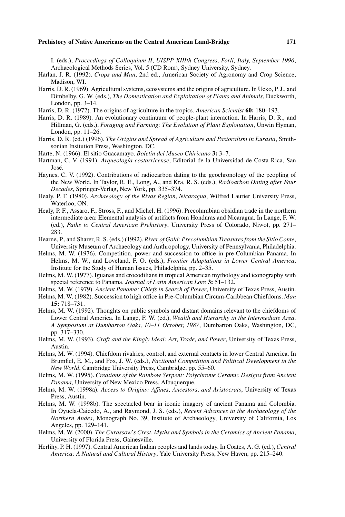I. (eds.), *Proceedings of Colloquium II, UISPP XIIIth Congress, Forli, Italy, September 1996*, Archaeological Methods Series, Vol. 5 (CD Rom), Sydney University, Sydney.

- Harlan, J. R. (1992). *Crops and Man*, 2nd ed., American Society of Agronomy and Crop Science, Madison, WI.
- Harris, D. R. (1969). Agricultural systems, ecosystems and the origins of agriculture. In Ucko, P. J., and Dimbelby, G. W. (eds.), *The Domestication and Exploitation of Plants and Animals*, Duckworth, London, pp. 3–14.
- Harris, D. R. (1972). The origins of agriculture in the tropics. *American Scientist* **60:** 180–193.
- Harris, D. R. (1989). An evolutionary continuum of people-plant interaction. In Harris, D. R., and Hillman, G. (eds.), *Foraging and Farming: The Evolution of Plant Exploitation*, Unwin Hyman, London, pp. 11–26.
- Harris, D. R. (ed.) (1996). *The Origins and Spread of Agriculture and Pastoralism in Eurasia*, Smithsonian Insitution Press, Washington, DC.
- Harte, N. (1966). El sitio Guacamayo. *Bolet´ın del Museo Chiricano* **3:** 3–7.
- Hartman, C. V. (1991). *Arqueolog´ıa costarricense*, Editorial de la Universidad de Costa Rica, San José.
- Haynes, C. V. (1992). Contributions of radiocarbon dating to the geochronology of the peopling of the New World. In Taylor, R. E., Long, A., and Kra, R. S. (eds.), *Radioarbon Dating after Four Decades*, Springer-Verlag, New York, pp. 335–374.
- Healy, P. F. (1980). *Archaeology of the Rivas Region, Nicaragua*, Wilfred Laurier University Press, Waterloo, ON.
- Healy, P. F., Assaro, F., Stross, F., and Michel, H. (1996). Precolumbian obsidian trade in the northern intermediate area: Elemental analysis of artifacts from Honduras and Nicaragua. In Lange, F. W. (ed.), *Paths to Central American Prehistory*, University Press of Colorado, Niwot, pp. 271– 283.
- Hearne, P., and Sharer, R. S. (eds.) (1992). *River of Gold: Precolumbian Treasures from the Sitio Conte*, University Museum of Archaeology and Anthropology, University of Pennsylvania, Philadelphia.
- Helms, M. W. (1976). Competition, power and succession to office in pre-Columbian Panama. In Helms, M. W., and Loveland, F. O. (eds.), *Frontier Adaptations in Lower Central America*, Institute for the Study of Human Issues, Philadelphia, pp. 2–35.
- Helms, M. W. (1977). Iguanas and crocodilians in tropical American mythology and iconography with special reference to Panama. *Journal of Latin American Lore* **3:** 51–132.
- Helms, M. W. (1979). *Ancient Panama: Chiefs in Search of Power*, University of Texas Press, Austin.
- Helms, M. W. (1982). Succession to high office in Pre-Columbian Circum-Caribbean Chiefdoms. *Man* **15:** 718–731.
- Helms, M. W. (1992). Thoughts on public symbols and distant domains relevant to the chiefdoms of Lower Central America. In Lange, F. W. (ed.), *Wealth and Hierarchy in the Intermediate Area. A Symposium at Dumbarton Oaks, 10–11 October, 1987*, Dumbarton Oaks, Washington, DC, pp. 317–330.
- Helms, M. W. (1993). *Craft and the Kingly Ideal: Art, Trade, and Power*, University of Texas Press, Austin.
- Helms, M. W. (1994). Chiefdom rivalries, control, and external contacts in lower Central America. In Brumfiel, E. M., and Fox, J. W. (eds.), *Factional Competition and Political Development in the New World*, Cambridge University Press, Cambridge, pp. 55–60.
- Helms, M. W. (1995). *Creations of the Rainbow Serpent: Polychrome Ceramic Designs from Ancient Panama*, University of New Mexico Press, Albuquerque.
- Helms, M. W. (1998a). *Access to Origins: Affines, Ancestors, and Aristocrats*, University of Texas Press, Austin.
- Helms, M. W. (1998b). The spectacled bear in iconic imagery of ancient Panama and Colombia. In Oyuela-Caicedo, A., and Raymond, J. S. (eds.), *Recent Advances in the Archaeology of the Northern Andes*, Monograph No. 39, Institute of Archaeology, University of California, Los Angeles, pp. 129–141.
- Helms, M. W. (2000). *The Curassow's Crest. Myths and Symbols in the Ceramics of Ancient Panama*, University of Florida Press, Gainesville.
- Herlihy, P. H. (1997). Central American Indian peoples and lands today. In Coates, A. G. (ed.), *Central America: A Natural and Cultural History*, Yale University Press, New Haven, pp. 215–240.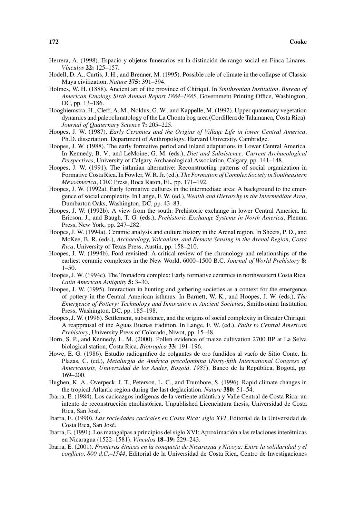- Herrera, A. (1998). Espacio y objetos funerarios en la distinción de rango social en Finca Linares. *V´ınculos* **22:** 125–157.
- Hodell, D. A., Curtis, J. H., and Brenner, M. (1995). Possible role of climate in the collapse of Classic Maya civilization. *Nature* **375:** 391–394.
- Holmes, W. H. (1888). Ancient art of the province of Chiriqu´ı. In *Smithsonian Institution, Bureau of American Etnology Sixth Annual Report 1884–1885*, Government Printing Office, Washington, DC, pp. 13–186.
- Hooghiemstra, H., Cleff, A. M., Noldus, G. W., and Kappelle, M. (1992). Upper quaternary vegetation dynamics and paleoclimatology of the La Chonta bog area (Cordillera de Talamanca, Costa Rica). *Journal of Quaternary Science* **7:** 205–225.
- Hoopes, J. W. (1987). *Early Ceramics and the Origins of Village Life in lower Central America*, Ph.D. dissertation, Department of Anthropology, Harvard University, Cambridge.
- Hoopes, J. W. (1988). The early formative period and inland adaptations in Lower Central America. In Kennedy, B. V., and LeMoine, G. M. (eds.), *Diet and Subsistence: Current Archaeological Perspectives*, University of Calgary Archaeological Association, Calgary, pp. 141–148.
- Hoopes, J. W. (1991). The isthmian alternative: Reconstructing patterns of social organization in Formative Costa Rica. In Fowler, W. R. Jr. (ed.), *The Formation of Complex Society in Southeastern Mesoamerica*, CRC Press, Boca Raton, FL, pp. 171–192.
- Hoopes, J. W. (1992a). Early formative cultures in the intermediate area: A background to the emergence of social complexity. In Lange, F. W. (ed.), *Wealth and Hierarchy in the Intermediate Area*, Dumbarton Oaks, Washington, DC, pp. 43–83.
- Hoopes, J. W. (1992b). A view from the south: Prehistoric exchange in lower Central America. In Ericson, J., and Baugh, T. G. (eds.), *Prehistoric Exchange Systems in North America*, Plenum Press, New York, pp. 247–282.
- Hoopes, J. W. (1994a). Ceramic analysis and culture history in the Arenal region. In Sheets, P. D., and McKee, B. R. (eds.), *Archaeology, Volcanism, and Remote Sensing in the Arenal Region, Costa Rica*, University of Texas Press, Austin, pp. 158–210.
- Hoopes, J. W. (1994b). Ford revisited: A critical review of the chronology and relationships of the earliest ceramic complexes in the New World, 6000–1500 B.C. *Journal of World Prehistory* **8:** 1–50.
- Hoopes, J. W. (1994c). The Tronadora complex: Early formative ceramics in northwestern Costa Rica. *Latin American Antiquity* **5:** 3–30.
- Hoopes, J. W. (1995). Interaction in hunting and gathering societies as a context for the emergence of pottery in the Central American isthmus. In Barnett, W. K., and Hoopes, J. W. (eds.), *The Emergence of Pottery: Technology and Innovation in Ancient Societies*, Smithsonian Institution Press, Washington, DC, pp. 185–198.
- Hoopes, J. W. (1996). Settlement, subsistence, and the origins of social complexity in Greater Chiriquí: A reappraisal of the Aguas Buenas tradition. In Lange, F. W. (ed.), *Paths to Central American Prehistory*, University Press of Colorado, Niwot, pp. 15–48.
- Horn, S. P., and Kennedy, L. M. (2000). Pollen evidence of maize cultivation 2700 BP at La Selva biological station, Costa Rica. *Biotropica* **33:** 191–196.
- Howe, E. G. (1986). Estudio radiográfico de colgantes de oro fundidos al vacío de Sitio Conte. In Plazas, C. (ed.), *Metalurgia de America precolombina ´* (*Forty-fifth International Congress of Americanists, Universidad de los Andes, Bogotá, 1985*), Banco de la República, Bogotá, pp. 169–200.
- Hughen, K. A., Overpeck, J. T., Peterson, L. C., and Trumbore, S. (1996). Rapid climate changes in the tropical Atlantic region during the last deglaciation. *Nature* **380:** 51–54.
- Ibarra, E. (1984). Los cacicazgos indígenas de la vertiente atlántica y Valle Central de Costa Rica: un intento de reconstrucción etnohistórica. Unpublished Licenciatura thesis, Universidad de Costa Rica, San Jose.´
- Ibarra, E. (1990). *Las sociedades cacicales en Costa Rica: siglo XVI*, Editorial de la Universidad de Costa Rica, San Jose.´
- Ibarra, E. (1991). Los matagalpas a principios del siglo XVI: Aproximación a las relaciones interétnicas en Nicaragua (1522–1581). *V´ınculos* **18–19:** 229–243.
- Ibarra, E. (2001). *Fronteras etnicas en la conquista de Nicaragua y Nicoya: Entre la solidaridad y el ´ conflicto, 800 d.C.–1544*, Editorial de la Universidad de Costa Rica, Centro de Investigaciones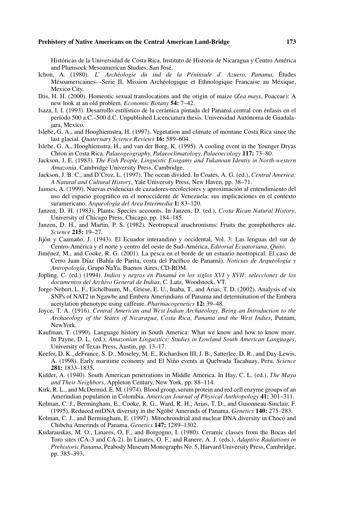Históricas de la Universidad de Costa Rica, Instituto de Historia de Nicaragua y Centro América and Plumsock Mesoamerican Studies, San Jose.´

- Ichon, A. (1980). *L' Archéologie du sud de la Péninsule d'Azuero, Panama*, Études Mésoamericaines—Serie II, Mission Archéologique et Ethnologique Francaise au Méxique, Mexico City.
- Iltis, H. H. (2000). Homeotic sexual translocations and the origin of maize (*Zea mays*, Poaceae): A new look at an old problem. *Economic Botany* **54:** 7–42.
- Isaza, I. I. (1993). Desarrollo estilístico de la cerámica pintada del Panamá central con énfasis en el período 500 a.C.–500 d.C. Unpublished Licenciatura thesis. Universidad Autónoma de Guadalajara, Mexico.
- Islebe, G. A., and Hooghiemstra, H. (1997). Vegetation and climate of montane Costa Rica since the last glacial. *Quaternary Science Reviews* **16:** 589–604.
- Islebe, G. A., Hooghiemstra, H., and van der Borg, K. (1995). A cooling event in the Younger Dryas Chron in Costa Rica. *Palaeogeography, Palaeoclimatology, Palaeoecology* **117:** 73–80.
- Jackson, J. E. (1983). *The Fish People. Linguistic Exogamy and Tukanoan Identiy in North-western Amazonia*, Cambridge University Press, Cambridge.
- Jackson, J. B. C., and D'Croz, L. (1997). The ocean divided. In Coates, A. G. (ed.), *Central America: A Natural and Cultural History*, Yale University Press, New Haven, pp. 38–71.
- Jaimes, A. (1999). Nuevas evidencias de cazadores-recolectores y aproximacion al entendimiento del ´ uso del espacio geografico en el noroccidente de Venezuela: sus implicaciones en el contexto ´ suramericano. *Arqueología del Area Intermedia* 1: 83-120.
- Janzen, D. H. (1983). Plants: Species accounts. In Janzen, D. (ed.), *Costa Rican Natural History*, University of Chicago Press, Chicago, pp. 184–185.
- Janzen, D. H., and Martin, P. S. (1982). Neotropical anachronisms: Fruits the gomphotheres ate. *Science* **215:** 19–27.
- Jijón y Caamaño, J. (1943). El Ecuador interandino y occidental, Vol. 3: Las lenguas del sur de Centro-América y el norte y centro del oeste de Sud-América, *Editorial Ecuatoriana*, Quito.
- Jimenez, M., and Cooke, R. G. (2001). La pesca en el borde de un estuario neotropical: El caso de ´ Cerro Juan Díaz (Bahía de Parita, costa del Pacífico de Panamá). *Noticias de Arqueología* y *Antropolog´ıa*, Grupo NaYa, Buenos Aires, CD-ROM.
- Jopling, C. (ed.) (1994). *Indios y negros en Panama en los siglos XVI y XVII: selecciones de los ´ documentos del Archivo General de Indias*, C. Lutz, Woodstock, VT.
- Jorge-Nebert, L. F., Eichelbaum, M., Griese, E. U., Inaba, T., and Arias, T. D. (2002). Analysis of six SNPs of NAT2 in Ngawbe and Embera Amerindians of Panama and determination of the Embera acetylation phenotype using caffeine. *Pharmacogenetics* **12:** 39–48.
- Joyce, T. A. (1916). *Central American and West Indian Archaeology, Being an Introduction to the Archaeology of the States of Nicaragua, Costa Rica, Panama and the West Indies*, Putnam, NewYork.
- Kaufman, T. (1990). Language history in South America: What we know and how to know more. In Payne, D. L. (ed.), *Amazonian Linguistics: Studies in Lowland South American Languages*, University of Texas Press, Austin, pp. 13–17.
- Keefer, D. K., deFrance, S. D., Moseley, M. E., Richardson III, J. B., Satterlee, D. R., and Day-Lewis, A. (1998). Early maritime economy and El Niño events at Quebrada Tacahuay, Peru. Science **281:** 1833–1835.
- Kidder, A. (1940). South American penetrations in Middle America. In Hay, C. L. (ed.), *The Maya and Their Neighbors*, Appleton Century, New York, pp. 88–114.
- Kirk, R. L., and McDermid, E. M. (1974). Blood group, serum protein and red cell enzyme groups of an Amerindian population in Colombia. *American Journal of Physical Anthropology* **41:** 301–311.
- Kolman, C. J., Bermingham, E., Cooke, R. G., Ward, R. H., Arias, T. D., and Guionneau-Sinclair, F. (1995). Reduced mtDNA diversity in the Ngobé Amerinds of Panama. *Genetics* 140: 275–283.
- Kolman, C. J., and Bermingham, E. (1997). Mitochrondrial and nuclear DNA diversity in Chocó and Chibcha Amerinds of Panama. *Genetics* **147:** 1289–1302.
- Kudarauskas, M. O., Linares, O. F., and Borgogno, I. (1980). Ceramic classes from the Bocas del Toro sites (CA-3 and CA-2). In Linares, O. F., and Ranere, A. J. (eds.), *Adaptive Radiations in Prehistoric Panama*, Peabody Museum Monographs No. 5, Harvard University Press, Cambridge, pp. 385–393.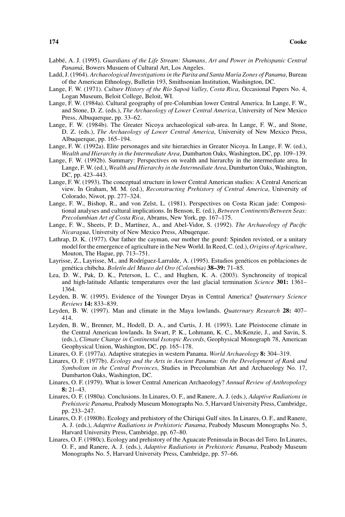- Labbé, A. J. (1995). Guardians of the Life Stream: Shamans, Art and Power in Prehispanic Central *Panama´*, Bowers Musuem of Cultural Art, Los Angeles.
- Ladd, J. (1964). *Archaeological Investigations in the Parita and Santa Mar´ıa Zones of Panama*, Bureau of the American Ethnology, Bulletin 193, Smithsonian Institution, Washington, DC.
- Lange, F. W. (1971). *Culture History of the Río Sapoá Valley, Costa Rica*, Occasional Papers No. 4, Logan Museum, Beloit College, Beloit, WI.
- Lange, F. W. (1984a). Cultural geography of pre-Columbian lower Central America. In Lange, F. W., and Stone, D. Z. (eds.), *The Archaeology of Lower Central America*, University of New Mexico Press, Albuquerque, pp. 33–62.
- Lange, F. W. (1984b). The Greater Nicoya archaeological sub-area. In Lange, F. W., and Stone, D. Z. (eds.), *The Archaeology of Lower Central America*, University of New Mexico Press, Albuquerque, pp. 165–194.
- Lange, F. W. (1992a). Elite personages and site hierarchies in Greater Nicoya. In Lange, F. W. (ed.), *Wealth and Hierarchy in the Intermediate Area*, Dumbarton Oaks, Washington, DC, pp. 109–139.
- Lange, F. W. (1992b). Summary: Perspectives on wealth and hierarchy in the intermediate area. In Lange, F. W. (ed.), *Wealth and Hierarchy in the Intermediate Area*, Dumbarton Oaks, Washington, DC, pp. 423–443.
- Lange, F. W. (1993). The conceptual structure in lower Central American studies: A Central American view. In Graham, M. M. (ed.), *Reconstructing Prehistory of Central America*, University of Colorado, Niwot, pp. 277–324.
- Lange, F. W., Bishop, R., and von Zelst, L. (1981). Perspectives on Costa Rican jade: Compositional analyses and cultural implications. In Benson, E. (ed.), *Between Continents/Between Seas: Precolumbian Art of Costa Rica*, Abrams, New York, pp. 167–175.
- Lange, F. W., Sheets, P. D., Martínez, A., and Abel-Vidor, S. (1992). *The Archaeology of Pacific Nicaragua*, University of New Mexico Press, Albuqerque.
- Lathrap, D. K. (1977). Our father the cayman, our mother the gourd: Spinden revisted, or a unitary model for the emergence of agriculture in the New World. In Reed, C. (ed.), *Origins of Agriculture*, Mouton, The Hague, pp. 713–751.
- Layrisse, Z., Layrisse, M., and Rodríguez-Larralde, A. (1995). Estudios genéticos en poblaciones de genética chibcha. Boletín del Museo del Oro (Colombia) 38-39: 71-85.
- Lea, D. W., Pak, D. K., Peterson, L. C., and Hughen, K. A. (2003). Synchroneity of tropical and high-latitude Atlantic temperatures over the last glacial termination *Science* **301:** 1361– 1364.
- Leyden, B. W. (1995). Evidence of the Younger Dryas in Central America? *Quaternary Science Reviews* **14:** 833–839.
- Leyden, B. W. (1997). Man and climate in the Maya lowlands. *Quaternary Research* **28:** 407– 414.
- Leyden, B. W., Brenner, M., Hodell, D. A., and Curtis, J. H. (1993). Late Pleistocene climate in the Central American lowlands. In Swart, P. K., Lohmann, K. C., McKenzie, J., and Savin, S. (eds.), *Climate Change in Continental Isotopic Records*, Geophysical Monograph 78, American Geophysical Union, Washington, DC, pp. 165–178.
- Linares, O. F. (1977a). Adaptive strategies in western Panama. *World Archaeology* **8:** 304–319.
- Linares, O. F. (1977b). *Ecology and the Arts in Ancient Panama: On the Development of Rank and Symbolism in the Central Provinces*, Studies in Precolumbian Art and Archaeology No. 17, Dumbarton Oaks, Washington, DC.
- Linares, O. F. (1979). What is lower Central American Archaeology? *Annual Review of Anthropology* **8:** 21–43.
- Linares, O. F. (1980a). Conclusions. In Linares, O. F., and Ranere, A. J. (eds.), *Adaptive Radiations in Prehistoric Panama*, Peabody Museum Monographs No. 5, Harvard University Press, Cambridge, pp. 233–247.
- Linares, O. F. (1980b). Ecology and prehistory of the Chiriqui Gulf sites. In Linares, O. F., and Ranere, A. J. (eds.), *Adaptive Radiations in Prehistoric Panama*, Peabody Museum Monographs No. 5, Harvard University Press, Cambridge, pp. 67–80.
- Linares, O. F. (1980c). Ecology and prehistory of the Aguacate Peninsula in Bocas del Toro. In Linares, O. F., and Ranere, A. J. (eds.), *Adaptive Radiations in Prehistoric Panama*, Peabody Museum Monographs No. 5, Harvard University Press, Cambridge, pp. 57–66.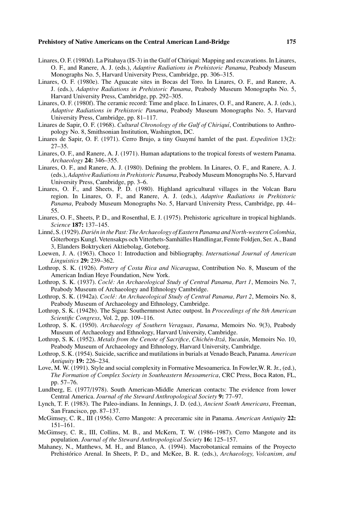- Linares, O. F. (1980d). La Pitahaya (IS-3) in the Gulf of Chiriquí: Mapping and excavations. In Linares, O. F., and Ranere, A. J. (eds.), *Adaptive Radiations in Prehistoric Panama*, Peabody Museum Monographs No. 5, Harvard University Press, Cambridge, pp. 306–315.
- Linares, O. F. (1980e). The Aguacate sites in Bocas del Toro. In Linares, O. F., and Ranere, A. J. (eds.), *Adaptive Radiations in Prehistoric Panama*, Peabody Museum Monographs No. 5, Harvard University Press, Cambridge, pp. 292–305.
- Linares, O. F. (1980f). The ceramic record: Time and place. In Linares, O. F., and Ranere, A. J. (eds.), *Adaptive Radiations in Prehistoric Panama*, Peabody Museum Monographs No. 5, Harvard University Press, Cambridge, pp. 81–117.
- Linares de Sapir, O. F. (1968). *Cultural Chronology of the Gulf of Chiriqu´ı*, Contributions to Anthropology No. 8, Smithsonian Institution, Washington, DC.
- Linares de Sapir, O. F. (1971). Cerro Brujo, a tiny Guaym´ı hamlet of the past. *Expedition* 13(2): 27–35.
- Linares, O. F., and Ranere, A. J. (1971). Human adaptations to the tropical forests of western Panama. *Archaeology* **24:** 346–355.
- Linares, O. F., and Ranere, A. J. (1980). Defining the problem. In Linares, O. F., and Ranere, A. J. (eds.), *Adaptive Radiations in Prehistoric Panama*, Peabody Museum Monographs No. 5, Harvard University Press, Cambridge, pp. 3–6.
- Linares, O. F., and Sheets, P. D. (1980). Highland agricultural villages in the Volcan Baru region. In Linares, O. F., and Ranere, A. J. (eds.), *Adaptive Radiations in Prehistoric Panama*, Peabody Museum Monographs No. 5, Harvard University Press, Cambridge, pp. 44– 55.
- Linares, O. F., Sheets, P. D., and Rosenthal, E. J. (1975). Prehistoric agriculture in tropical highlands. *Science* **187:** 137–145.
- Linné, S. (1929). Darién in the Past: The Archaeology of Eastern Panama and North-western Colombia, Göterborgs Kungl. Vetensakps och Vitterhets-Samhälles Handlingar, Femte Foldjen, Ser. A., Band 3, Elanders Boktryckeri Aktiebolag, Goteborg.
- Loewen, J. A. (1963). Choco 1: Introduction and bibliography. *International Journal of American Linguistics* **29:** 239–362.
- Lothrop, S. K. (1926). *Pottery of Costa Rica and Nicaragua*, Contribution No. 8, Museum of the American Indian Heye Foundation, New York.
- Lothrop, S. K. (1937). *Cocle: An Archaeological Study of Central Panama, Part 1 ´* , Memoirs No. 7, Peabody Museum of Archaeology and Ethnology Cambridge.
- Lothrop, S. K. (1942a). *Coclé: An Archaeological Study of Central Panama, Part 2*, Memoirs No. 8, Peabody Museum of Archaeology and Ethnology, Cambridge.
- Lothrop, S. K. (1942b). The Sigua: Southernmost Aztec outpost. In *Proceedings of the 8th American Scientific Congress*, Vol. 2, pp. 109–116.
- Lothrop, S. K. (1950). *Archaeology of Southern Veraguas, Panama*, Memoirs No. 9(3), Peabody Museum of Archaeology and Ethnology, Harvard University, Cambridge.
- Lothrop, S. K. (1952). *Metals from the Cenote of Sacrifice, Chichén-Itzá, Yucatán*, Memoirs No. 10, Peabody Museum of Archaeology and Ethnology, Harvard University, Cambridge.
- Lothrop, S. K. (1954). Suicide, sacrifice and mutilations in burials at Venado Beach, Panama. *American Antiquity* **19:** 226–234.
- Love, M. W. (1991). Style and social complexity in Formative Mesoamerica. In Fowler,W. R. Jr., (ed.), *The Formation of Complex Society in Southeastern Mesoamerica*, CRC Press, Boca Raton, FL, pp. 57–76.
- Lundberg, E. (1977/1978). South American-Middle American contacts: The evidence from lower Central America. *Journal of the Steward Anthropological Society* **9:** 77–97.
- Lynch, T. F. (1983). The Paleo-indians. In Jennings, J. D. (ed.), *Ancient South Americans*, Freeman, San Francisco, pp. 87–137.
- McGimsey, C. R., III (1956). Cerro Mangote: A preceramic site in Panama. *American Antiquity* **22:** 151–161.
- McGimsey, C. R., III, Collins, M. B., and McKern, T. W. (1986–1987). Cerro Mangote and its population. *Journal of the Steward Anthropological Society* **16:** 125–157.
- Mahaney, N., Matthews, M. H., and Blanco, A. (1994). Macrobotanical remains of the Proyecto Prehistórico Arenal. In Sheets, P. D., and McKee, B. R. (eds.), *Archaeology, Volcanism, and*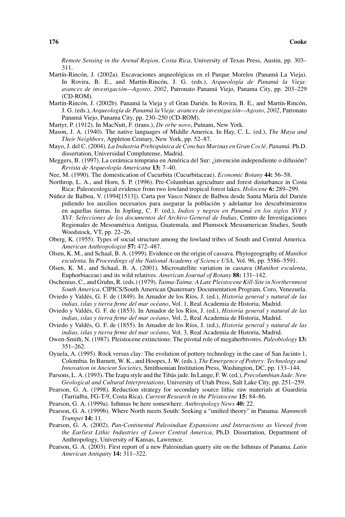*Remote Sensing in the Arenal Region, Costa Rica*, University of Texas Press, Austin, pp. 303– 311.

- Martín-Rincón, J. (2002a). Excavaciones arqueológicas en el Parque Morelos (Panamá La Vieja). In Rovira, B. E., and Martín-Rincón, J. G. (eds.), *Arqueología de Panamá la Vieja: avances de investigacion—Agosto, 2002 ´* , Patronato Panama Viejo, Panama City, pp. 203–229 ´ (CD-ROM).
- Martín-Rincón, J. (2002b). Panamá la Vieja y el Gran Darién. In Rovira, B. E., and Martín-Rincón, J. G. (eds.), *Arqueolog´ıa de Panama la Vieja: avances de investigaci ´ on—Agosto, 2002 ´* , Patronato Panama Viejo, Panama City, pp. 230–250 (CD-ROM). ´
- Martyr, P. (1912). In MacNutt, F. (trans.), *De orbe novo*, Putnam, New York.
- Mason, J. A. (1940). The native languages of Middle America. In Hay, C. L. (ed.), *The Maya and Their Neighbors*, Appleton Century, New York, pp. 52–87.
- Mayo, J. del C. (2004). *La Industria Prehispánica de Conchas Marinas en Gran Coclé, Panamá.* Ph.D. dissertation, Universidad Complutense, Madrid.
- Meggers, B. (1997). La cerámica temprana en América del Sur: ¿invención independiente o difusión? *Revista de Arqueolog´ıa Americana* **13:** 7–40.
- Nee, M. (1990). The domestication of Cucurbita (Cucurbitaceae). *Economic Botany* **44:** 56–58.
- Northrop, L. A., and Horn, S. P. (1996). Pre-Columbian agriculture and forest disturbance in Costa Rica: Paleoecological evidence from two lowland tropical forest lakes. *Holocene* **6:** 289–299.
- Núñez de Balboa, V. (1994[1513]). Carta por Vasco Núnez de Balboa desde Santa María del Darién pidiendo los auxilios necesarios para asegurar la poblacion y adelantar los descubrimientos ´ en aquellas tierras. In Jopling, C. F. (ed.), *Indios y negros en Panama en los siglos XVI y ´ XVI: Selecciones de los documentos del Archivo General de Indias*, Centro de Investigaciones Regionales de Mesoamerica Antigua, Guatemala, and Plumsock Mesoamerican Studies, South ´ Woodstock, VT, pp. 22–26.
- Oberg, K. (1955). Types of social structure among the lowland tribes of South and Central America. *American Anthropologist* **57:** 472–487.
- Olsen, K. M., and Schaal, B. A. (1999). Evidence on the origin of cassava. Phytogeography of *Manihot esculenta*. In *Proceedings of the National Academy of Science USA*, Vol. 96, pp. 5586–5591.
- Olsen, K. M., and Schaal, B. A. (2001). Microsatellite variation in cassava (*Manihot esculenta*, Euphorbiaceae) and its wild relatives. *American Journal of Botany* **88:** 131–142.
- Oschenius, C., and Gruhn, R. (eds.) (1979). *Taima-Taima: A Late Pleistocene Kill-Site in Northernmost South America*, CIPICS/South American Quaternary Documentation Program, Coro, Venezuela.
- Oviedo y Valdés, G. F. de (1849). In Amador de los Ríos, J. (ed.), *Historia general y natural de las* indias, islas y tierra firme del mar océano, Vol. 1, Real Academia de Historia, Madrid.
- Oviedo y Valdés, G. F. de (1853). In Amador de los Ríos, J. (ed.), *Historia general y natural de las* indias, islas y tierra firme del mar océano, Vol. 2, Real Academia de Historia, Madrid.
- Oviedo y Valdés, G. F. de (1855). In Amador de los Ríos, J. (ed.), *Historia general y natural de las indias, islas y tierra firme del mar oceano ´* , Vol. 3, Real Academia de Historia, Madrid.
- Owen-Smith, N. (1987). Pleistocene extinctions: The pivotal role of megaherbivores. *Paleobiology* **13:** 351–262.
- Oyuela, A. (1995). Rock versus clay: The evolution of pottery technology in the case of San Jacinto 1, Colombia. In Barnett, W. K., and Hoopes, J. W. (eds.), *The Emergence of Pottery: Technology and Innovation in Ancient Societies*, Smithsonian Institution Press, Washington, DC, pp. 133–144.
- Parsons, L. A. (1993). The Izapa style and the Tibás jade. In Lange, F. W. (ed.), *Precolumbian Jade: New Geological and Cultural Interpretations*, University of Utah Press, Salt Lake City, pp. 251–259.
- Pearson, G. A. (1998). Reduction strategy for secondary source lithic raw materials at Guardiria (Turrialba, FG-T-9, Costa Rica). *Current Research in the Pleistocene* **15:** 84–86.
- Pearson, G. A. (1999a). Isthmus be here somewhere. *Anthropology News* **40:** 22.
- Pearson, G. A. (1999b). Where North meets South: Seeking a "unified theory" in Panama. *Mammoth Trumpet* **14:** 11.
- Pearson, G. A. (2002). *Pan-Continental Paleoindian Expansions and Interactions as Viewed from the Earliest Lithic Industries of Lower Central America*, Ph.D. Dissertation, Department of Anthropology, University of Kansas, Lawrence.
- Pearson, G. A. (2003). First report of a new Paleoindian quarry site on the Isthmus of Panama. *Latin American Antiquity* **14:** 311–322.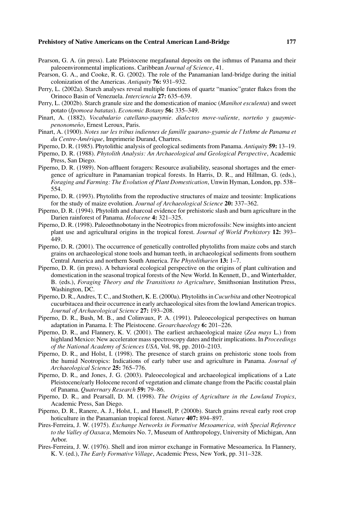- Pearson, G. A. (in press). Late Pleistocene megafaunal deposits on the isthmus of Panama and their paleoenvironmental implications. Caribbean *Journal of Science*, 41.
- Pearson, G. A., and Cooke, R. G. (2002). The role of the Panamanian land-bridge during the initial colonization of the Americas. *Antiquity* **76:** 931–932.
- Perry, L. (2002a). Starch analyses reveal multiple functions of quartz "manioc"grater flakes from the Orinoco Basin of Venezuela. *Interciencia* **27:** 635–639.
- Perry, L. (2002b). Starch granule size and the domestication of manioc (*Manihot esculenta*) and sweet potato (*Ipomoea batatas*). *Economic Botany* **56:** 335–349.
- Pinart, A. (1882). *Vocabulario catellano-guaymie. dialectos move-valiente, norteño y guaymiepenonomeno˜* , Ernest Leroux, Paris.
- Pinart, A. (1900). *Notes sur les tribus indiennes de famille guarano-gyamie de l'Isthme de Panama et du Centre-Amerique ´* , Imprimerie Durand, Chartres.
- Piperno, D. R. (1985). Phytolithic analysis of geological sediments from Panama. *Antiquity* **59:** 13–19.
- Piperno, D. R. (1988). *Phytolith Analysis: An Archaeological and Geological Perspective*, Academic Press, San Diego.
- Piperno, D. R. (1989). Non-affluent foragers: Resource avaliability, seasonal shortages and the emergence of agriculture in Panamanian tropical forests. In Harris, D. R., and Hillman, G. (eds.), *Foraging and Farming: The Evolution of Plant Domestication*, Unwin Hyman, London, pp. 538– 554.
- Piperno, D. R. (1993). Phytoliths from the reproductive structures of maize and teosinte: Implications for the study of maize evolution. *Journal of Archaeological Science* **20:** 337–362.
- Piperno, D. R. (1994). Phytolith and charcoal evidence for prehistoric slash and burn agriculture in the Darien rainforest of Panama. *Holocene* **4:** 321–325.
- Piperno, D. R. (1998). Paleoethnobotany in the Neotropics from microfossils: New insights into ancient plant use and agricultural origins in the tropical forest. *Journal of World Prehistory* **12:** 393– 449.
- Piperno, D. R. (2001). The occurrence of genetically controlled phytoliths from maize cobs and starch grains on archaeological stone tools and human teeth, in archaeological sediments from southern Central America and northern South America. *The Phytolitharien* **13:** 1–7.
- Piperno, D. R. (in press). A behavioral ecological perspective on the origins of plant cultivation and domestication in the seasonal tropical forests of the New World. In Kennett, D., and Winterhalder, B. (eds.), *Foraging Theory and the Transitions to Agriculture*, Smithsonian Institution Press, Washington, DC.
- Piperno, D. R., Andres, T. C., and Stothert, K. E. (2000a). Phytoliths in *Cucurbita* and other Neotropical cucurbitacea and their occurrence in early archaeological sites from the lowland American tropics. *Journal of Archaeological Science* **27:** 193–208.
- Piperno, D. R., Bush, M. B., and Colinvaux, P. A. (1991). Paleoecological perspectives on human adaptation in Panama. I: The Pleistocene. *Geoarchaeology* **6:** 201–226.
- Piperno, D. R., and Flannery, K. V. (2001). The earliest archaeological maize (*Zea mays* L.) from highland Mexico: New accelerator mass spectroscopy dates and their implications. In *Proceedings of the National Academy of Sciences USA*, Vol. 98, pp. 2010–2103.
- Piperno, D. R., and Holst, I. (1998). The presence of starch grains on prehistoric stone tools from the humid Neotropics: Indications of early tuber use and agriculture in Panama. *Journal of Archaeological Science* **25:** 765–776.
- Piperno, D. R., and Jones, J. G. (2003). Paleoecological and archaeological implications of a Late Pleistocene/early Holocene record of vegetation and climate change from the Pacific coastal plain of Panama. *Quaternary Research* **59:** 79–86.
- Piperno, D. R., and Pearsall, D. M. (1998). *The Origins of Agriculture in the Lowland Tropics*, Academic Press, San Diego.
- Piperno, D. R., Ranere, A. J., Holst, I., and Hansell, P. (2000b). Starch grains reveal early root crop hoticulture in the Panamanian tropical forest. *Nature* **407:** 894–897.
- Pires-Ferreira, J. W. (1975). *Exchange Networks in Formative Mesoamerica, with Special Reference to the Valley of Oaxaca*, Memoirs No. 7, Museum of Anthropology, University of Michigan, Ann Arbor.
- Pires-Ferreira, J. W. (1976). Shell and iron mirror exchange in Formative Mesoamerica. In Flannery, K. V. (ed.), *The Early Formative Village*, Academic Press, New York, pp. 311–328.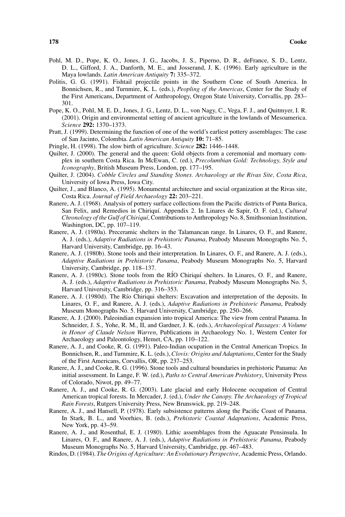- Pohl, M. D., Pope, K. O., Jones, J. G., Jacobs, J. S., Piperno, D. R., deFrance, S. D., Lentz, D. L., Gifford, J. A., Danforth, M. E., and Josserand, J. K. (1996). Early agriculture in the Maya lowlands. *Latin American Antiquity* **7:** 335–372.
- Politis, G. G. (1991). Fishtail projectile points in the Southern Cone of South America. In Bonnichsen, R., and Turnmire, K. L. (eds.), *Peopling of the Americas*, Center for the Study of the First Americans, Department of Anthropology, Oregon State University, Corvallis, pp. 283– 301.
- Pope, K. O., Pohl, M. E. D., Jones, J. G., Lentz, D. L., von Nagy, C., Vega, F. J., and Quitmyer, I. R. (2001). Origin and environmental setting of ancient agriculture in the lowlands of Mesoamerica. *Science* **292:** 1370–1373.
- Pratt, J. (1999). Determining the function of one of the world's earliest pottery assemblages: The case of San Jacinto, Colombia. *Latin American Antiquity* **10:** 71–85.
- Pringle, H. (1998). The slow birth of agriculture. *Science* **282:** 1446–1448.
- Quilter, J. (2000). The general and the queen: Gold objects from a ceremonial and mortuary complex in southern Costa Rica. In McEwan, C. (ed.), *Precolumbian Gold: Technology, Style and Iconography*, British Museum Press, London, pp. 177–195.
- Quilter, J. (2004). *Cobble Circles and Standing Stones. Archaeology at the Rivas Site, Costa Rica*, University of Iowa Press, Iowa City.
- Quilter, J., and Blanco, A. (1995). Monumental architecture and social organization at the Rivas site, Costa Rica. *Journal of Field Archaeology* **22:** 203–221.
- Ranere, A. J. (1968). Analysis of pottery surface collections from the Pacific districts of Punta Burica, San Felix, and Remedios in Chiriquí. Appendix 2. In Linares de Sapir, O. F. (ed.), *Cultural Chronology of the Gulf of Chiriqu´ı*, Contributions to Anthropology No. 8, Smithsonian Institution, Washington, DC, pp. 107–119.
- Ranere, A. J. (1980a). Preceramic shelters in the Talamancan range. In Linares, O. F., and Ranere, A. J. (eds.), *Adaptive Radiations in Prehistoric Panama*, Peabody Museum Monographs No. 5, Harvard University, Cambridge, pp. 16–43.
- Ranere, A. J. (1980b). Stone tools and their interpretation. In Linares, O. F., and Ranere, A. J. (eds.), *Adaptive Radiations in Prehistoric Panama*, Peabody Museum Monographs No. 5, Harvard University, Cambridge, pp. 118–137.
- Ranere, A. J. (1980c). Stone tools from the RÍO Chiriquí shelters. In Linares, O. F., and Ranere, A. J. (eds.), *Adaptive Radiations in Prehistoric Panama*, Peabody Museum Monographs No. 5, Harvard University, Cambridge, pp. 316–353.
- Ranere, A. J. (1980d). The Río Chiriqui shelters: Excavation and interpretation of the deposits. In Linares, O. F., and Ranere, A. J. (eds.), *Adaptive Radiations in Prehistoric Panama*, Peabody Museum Monographs No. 5. Harvard University, Cambridge, pp. 250–266.
- Ranere, A. J. (2000). Paleoindian expansion into tropical America: The view from central Panama. In Schneider, J. S., Yohe, R. M., II, and Gardner, J. K. (eds.), *Archaeological Passages: A Volume in Honor of Claude Nelson Warren*, Publications in Archaeology No. 1, Western Center for Archaeology and Paleontology, Hemet, CA, pp. 110–122.
- Ranere, A. J., and Cooke, R. G. (1991). Paleo-Indian ocupation in the Central American Tropics. In Bonnichsen, R., and Turnmire, K. L. (eds.), *Clovis: Origins and Adaptations*, Center for the Study of the First Americans, Corvallis, OR, pp. 237–253.
- Ranere, A. J., and Cooke, R. G. (1996). Stone tools and cultural boundaries in prehistoric Panama: An initial assessment. In Lange, F. W. (ed.), *Paths to Central American Prehistory*, University Press of Colorado, Niwot, pp. 49–77.
- Ranere, A. J., and Cooke, R. G. (2003). Late glacial and early Holocene occupation of Central American tropical forests. In Mercader, J. (ed.), *Under the Canopy. The Archaeology of Tropical Rain Forests*, Rutgers University Press, New Brunswick, pp. 219–248.
- Ranere, A. J., and Hansell, P. (1978). Early subsistence patterns along the Pacific Coast of Panama. In Stark, B. L., and Voorhies, B. (eds.), *Prehistoric Coastal Adaptations*, Academic Press, New York, pp. 43–59.
- Ranere, A. J., and Rosenthal, E. J. (1980). Lithic assemblages from the Aguacate Pensinsula. In Linares, O. F., and Ranere, A. J. (eds.), *Adaptive Radiations in Prehistoric Panama*, Peabody Museum Monographs No. 5, Harvard University, Cambridge, pp. 467–483.
- Rindos, D. (1984). *The Origins of Agriculture: An Evolutionary Perspective*, Academic Press, Orlando.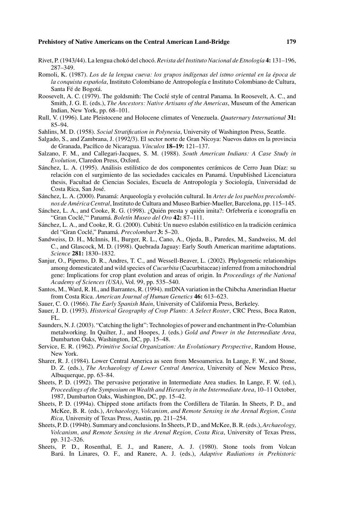- Rivet, P. (1943/44). La lengua chokó del chocó. *Revista del Instituto Nacional de Etnología* 4: 131–196, 287–349.
- Romoli, K. (1987). *Los de la lengua cueva: los grupos ind´ıgenas del istmo oriental en la epoca de ´ la conquista española*, Instituto Colombiano de Antropología e Instituto Colombiano de Cultura, Santa Fé de Bogotá.
- Roosevelt, A. C. (1979). The goldsmith: The Coclé style of central Panama. In Roosevelt, A. C., and Smith, J. G. E. (eds.), *The Ancestors: Native Artisans of the Americas*, Museum of the American Indian, New York, pp. 68–101.
- Rull, V. (1996). Late Pleistocene and Holocene climates of Venezuela. *Quaternary International* **31:** 85–94.
- Sahlins, M. D. (1958). *Social Stratification in Polynesia*, University of Washington Press, Seattle.
- Salgado, S., and Zambrana, J. (1992/3). El sector norte de Gran Nicoya: Nuevos datos en la provincia de Granada, Pac´ıfico de Nicaragua. *V´ınculos* **18–19:** 121–137.
- Salzano, F. M., and Callegari-Jacques, S. M. (1988). *South American Indians: A Case Study in Evolution*, Claredon Press, Oxford.
- Sánchez, L. A. (1995). Análisis estilístico de dos componentes cerámicos de Cerro Juan Díaz: su relación con el surgimiento de las sociedades cacicales en Panamá. Unpublished Licenciatura thesis, Facultad de Ciencias Sociales, Escuela de Antropología y Sociología, Universidad de Costa Rica, San José.
- Sánchez, L. A. (2000). Panamá: Arqueología y evolución cultural. In *Artes de los pueblos precolombinos de America Central ´* , Instituto de Cultura and Museo Barbier-Mueller, Barcelona, pp. 115–145.
- Sánchez, L. A., and Cooke, R. G. (1998). ¿Quién presta y quién imita?: Orfebrería e iconografía en "Gran Coclé," Panamá. Boletín Museo del Oro 42: 87-111.
- Sánchez, L. A., and Cooke, R. G. (2000). Cubitá: Un nuevo eslabón estilístico en la tradición cerámica del "Gran Coclé," Panamá. Precolombart 3: 5–20.
- Sandweiss, D. H., McInnis, H., Burger, R. L., Cano, A., Ojeda, B., Paredes, M., Sandweiss, M. del C., and Glascock, M. D. (1998). Quebrada Jaguay: Early South American maritime adaptations. *Science* **281:** 1830–1832.
- Sanjur, O., Piperno, D. R., Andres, T. C., and Wessell-Beaver, L. (2002). Phylogenetic relationships among domesticated and wild species of *Cucurbita* (Cucurbitaceae) inferred from a mitochondrial gene: Implications for crop plant evolution and areas of origin. In *Proceedings of the National Academy of Sciences (USA)*, Vol. 99, pp. 535–540.
- Santos, M., Ward, R. H., and Barrantes, R. (1994). mtDNA variation in the Chibcha Amerindian Huetar from Costa Rica. *American Journal of Human Genetics* **46:** 613–623.
- Sauer, C. O. (1966). *The Early Spanish Main*, University of California Press, Berkeley.
- Sauer, J. D. (1993). *Historical Geography of Crop Plants: A Select Roster*, CRC Press, Boca Raton,  $FI.$
- Saunders, N. J. (2003). "Catching the light": Technologies of power and enchantment in Pre-Columbian metalworking. In Quilter, J., and Hoopes, J. (eds.) *Gold and Power in the Intermediate Area*, Dumbarton Oaks, Washington, DC, pp. 15–48.
- Service, E. R. (1962). *Primitive Social Organization: An Evolutionary Perspective*, Random House, New York.
- Sharer, R. J. (1984). Lower Central America as seen from Mesoamerica. In Lange, F. W., and Stone, D. Z. (eds.), *The Archaeology of Lower Central America*, University of New Mexico Press, Albuquerque, pp. 63–84.
- Sheets, P. D. (1992). The pervasive perjorative in Intermediate Area studies. In Lange, F. W. (ed.), *Proceedings of the Symposium on Wealth and Hierarchy in the Intermediate Area*, 10–11 October, 1987, Dumbarton Oaks, Washington, DC, pp. 15–42.
- Sheets, P. D. (1994a). Chipped stone artifacts from the Cordillera de Tilarán. In Sheets, P. D., and McKee, B. R. (eds.), *Archaeology, Volcanism, and Remote Sensing in the Arenal Region, Costa Rica*, University of Texas Press, Austin, pp. 211–254.
- Sheets, P. D. (1994b). Summary and conclusions. In Sheets, P. D., and McKee, B. R. (eds.),*Archaeology, Volcanism, and Remote Sensing in the Arenal Region, Costa Rica*, University of Texas Press, pp. 312–326.
- Sheets, P. D., Rosenthal, E. J., and Ranere, A. J. (1980). Stone tools from Volcan Barú. In Linares, O. F., and Ranere, A. J. (eds.), *Adaptive Radiations in Prehistoric*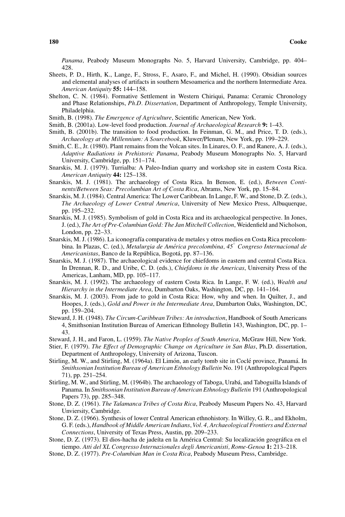*Panama*, Peabody Museum Monographs No. 5, Harvard University, Cambridge, pp. 404– 428.

- Sheets, P. D., Hirth, K., Lange, F., Stross, F., Asaro, F., and Michel, H. (1990). Obsidian sources and elemental analyses of artifacts in southern Mesoamerica and the northern Intermediate Area. *American Antiquity* **55:** 144–158.
- Shelton, C. N. (1984). Formative Settlement in Western Chiriqui, Panama: Ceramic Chronology and Phase Relationships, *Ph.D. Dissertation*, Department of Anthropology, Temple University, Philadelphia.
- Smith, B. (1998). *The Emergence of Agriculture*, Scientific American, New York.
- Smith, B. (2001a). Low-level food production. *Journal of Archaeological Research* **9:** 1–43.
- Smith, B. (2001b). The transition to food production. In Feinman, G. M., and Price, T. D. (eds.), *Archaeology at the Millennium: A Sourcebook*, Kluwer/Plenum, New York, pp. 199–229.
- Smith, C. E., Jr. (1980). Plant remains from the Volcan sites. In Linares, O. F., and Ranere, A. J. (eds.), *Adaptive Radiations in Prehistoric Panama*, Peabody Museum Monographs No. 5, Harvard University, Cambridge, pp. 151–174.
- Snarskis, M. J. (1979). Turrialba: A Paleo-Indian quarry and workshop site in eastern Costa Rica. *American Antiquity* **44:** 125–138.
- Snarskis, M. J. (1981). The archaeology of Costa Rica. In Benson, E. (ed.), *Between Continents/Between Seas: Precolumbian Art of Costa Rica*, Abrams, New York, pp. 15–84.
- Snarskis, M. J. (1984). Central America: The Lower Caribbean. In Lange, F. W., and Stone, D. Z. (eds.), *The Archaeology of Lower Central America*, University of New Mexico Press, Albuquerque, pp. 195–232.
- Snarskis, M. J. (1985). Symbolism of gold in Costa Rica and its archaeological perspective. In Jones, J. (ed.), *The Art of Pre-Columbian Gold: The Jan Mitchell Collection*, Weidenfield and Nicholson, London, pp. 22–33.
- Snarskis, M. J. (1986). La iconograf´ıa comparativa de metales y otros medios en Costa Rica precolombina. In Plazas, C. (ed.), *Metalurgia de America precolombina, 45 ´* ◦ *Congreso Internacional de Americanistas*, Banco de la República, Bogotá, pp. 87–136.
- Snarskis, M. J. (1987). The archaeological evidence for chiefdoms in eastern and central Costa Rica. In Drennan, R. D., and Uribe, C. D. (eds.), *Chiefdoms in the Americas*, University Press of the Americas, Lanham, MD, pp. 105–117.
- Snarskis, M. J. (1992). The archaeology of eastern Costa Rica. In Lange, F. W. (ed.), *Wealth and Hierarchy in the Intermediate Area*, Dumbarton Oaks, Washington, DC, pp. 141–164.
- Snarskis, M. J. (2003). From jade to gold in Costa Rica: How, why and when. In Quilter, J., and Hoopes, J. (eds.), *Gold and Power in the Intermediate Area*, Dumbarton Oaks, Washington, DC, pp. 159–204.
- Steward, J. H. (1948). *The Circum-Caribbean Tribes: An introduction*, Handbook of South Americans 4, Smithsonian Institution Bureau of American Ethnology Bulletin 143, Washington, DC, pp. 1– 43.
- Steward, J. H., and Faron, L. (1959). *The Native Peoples of South America*, McGraw Hill, New York.
- Stier, F. (1979). *The Effect of Demographic Change on Agriculture in San Blas*, Ph.D. dissertation, Department of Anthropology, University of Arizona, Tuscon.
- Stirling, M. W., and Stirling, M. (1964a). El Limón, an early tomb site in Coclé province, Panamá. In *Smithsonian Institution Bureau of American Ethnology Bulletin* No. 191 (Anthropological Papers 71), pp. 251–254.
- Stirling, M. W., and Stirling, M. (1964b). The archaeology of Taboga, Urabá, and Taboguilla Islands of Panama. In *Smithsonian Institution Bureau of American Ethnology Bulletin* 191 (Anthropological Papers 73), pp. 285–348.
- Stone, D. Z. (1961). *The Talamanca Tribes of Costa Rica*, Peabody Museum Papers No. 43, Harvard Unviersity, Cambridge.
- Stone, D. Z. (1966). Synthesis of lower Central American ethnohistory. In Willey, G. R., and Ekholm, G. F. (eds.), *Handbook of Middle American Indians*, *Vol. 4, Archaeological Frontiers and External Connections*, University of Texas Press, Austin, pp. 209–233.
- Stone, D. Z. (1973). El dios-hacha de jadeíta en la América Central: Su localización geográfica en el tiempo. *Atti del XL Congresso Internazionales degli Americanisti, Rome-Genoa* **1:** 213–218.
- Stone, D. Z. (1977). *Pre-Columbian Man in Costa Rica*, Peabody Museum Press, Cambridge.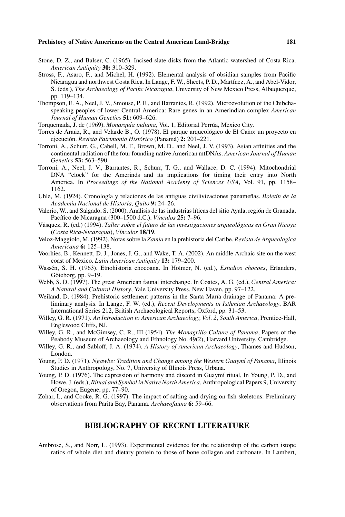- Stone, D. Z., and Balser, C. (1965). Incised slate disks from the Atlantic watershed of Costa Rica. *American Antiquity* **30:** 310–329.
- Stross, F., Asaro, F., and Michel, H. (1992). Elemental analysis of obsidian samples from Pacific Nicaragua and northwest Costa Rica. In Lange, F. W., Sheets, P. D., Martínez, A., and Abel-Vidor, S. (eds.), *The Archaeology of Pacific Nicaragua*, University of New Mexico Press, Albuquerque, pp. 119–134.
- Thompson, E. A., Neel, J. V., Smouse, P. E., and Barrantes, R. (1992). Microevolution of the Chibchaspeaking peoples of lower Central America: Rare genes in an Amerindian complex *American Journal of Human Genetics* **51:** 609–626.
- Torquemada, J. de (1969). *Monarquía indiana*, Vol. 1, Editorial Perrúa, Mexico City.
- Torres de Araúz, R., and Velarde B., O. (1978). El parque arqueológico de El Caño: un proyecto en ejecución. *Revista Patrimonio Histórico* (Panamá) 2: 201–221.
- Torroni, A., Schurr, G., Cabell, M. F., Brown, M. D., and Neel, J. V. (1993). Asian affinities and the continental radiation of the four founding native American mtDNAs. *American Journal of Human Genetics* **53:** 563–590.
- Torroni, A., Neel, J. V., Barrantes, R., Schurr, T. G., and Wallace, D. C. (1994). Mitochondrial DNA "clock" for the Amerinds and its implications for timing their entry into North America. In *Proceedings of the National Academy of Sciences USA*, Vol. 91, pp. 1158– 1162.
- Uhle, M. (1924). Cronología y relaciones de las antiguas civilivizaciones panameñas. Boletín de la *Academia Nacional de Historia, Quito* **9:** 24–26.
- Valerio, W., and Salgado, S. (2000). Análisis de las industrias líticas del sitio Ayala, región de Granada, Pacífico de Nicaragua (300–1500 d.C.). *Vínculos* 25: 7–96.
- Vasquez, R. (ed.) (1994). ´ *Taller sobre el futuro de las investigaciones arqueologicas en Gran Nicoya ´* (*Costa Rica-Nicaragua*), *V´ınculos* **18**/**19**.
- Veloz-Maggiolo, M. (1992). Notas sobre la *Zamia* en la prehistoria del Caribe. *Revista de Arqueologica Americana* **6:** 125–138.
- Voorhies, B., Kennett, D. J., Jones, J. G., and Wake, T. A. (2002). An middle Archaic site on the west coast of Mexico. *Latin American Antiquity* **13:** 179–200.
- Wassén, S. H. (1963). Etnohistoria chocoana. In Holmer, N. (ed.), *Estudios chocoes*, Erlanders, Göteborg, pp. 9–19.
- Webb, S. D. (1997). The great American faunal interchange. In Coates, A. G. (ed.), *Central America: A Natural and Cultural History*, Yale University Press, New Haven, pp. 97–122.
- Weiland, D. (1984). Prehistoric settlement patterns in the Santa María drainage of Panama: A preliminary analysis. In Lange, F. W. (ed.), *Recent Developments in Isthmian Archaeology*, BAR International Series 212, British Archaeological Reports, Oxford, pp. 31–53.
- Willey, G. R. (1971). *An Introduction to American Archaeology, Vol. 2, South America*, Prentice-Hall, Englewood Cliffs, NJ.
- Willey, G. R., and McGimsey, C. R., III (1954). *The Monagrillo Culture of Panama*, Papers of the Peabody Museum of Archaeology and Ethnology No. 49(2), Harvard University, Cambridge.
- Willey, G. R., and Sabloff, J. A. (1974). *A History of American Archaeology*, Thames and Hudson, London.
- Young, P. D. (1971). *Ngawbe: Tradition and Change among the Western Guaym´ı of Panama*, Illinois Studies in Anthropology, No. 7, University of Illinois Press, Urbana.
- Young, P. D. (1976). The expression of harmony and discord in Guaymí ritual, In Young, P. D., and Howe, J. (eds.), *Ritual and Symbol in Native North America*, Anthropological Papers 9, University of Oregon, Eugene, pp. 77–90.
- Zohar, I., and Cooke, R. G. (1997). The impact of salting and drying on fish skeletons: Preliminary observations from Parita Bay, Panama. *Archaeofauna* **6:** 59–66.

# **BIBLIOGRAPHY OF RECENT LITERATURE**

Ambrose, S., and Norr, L. (1993). Experimental evidence for the relationship of the carbon istope ratios of whole diet and dietary protein to those of bone collagen and carbonate. In Lambert,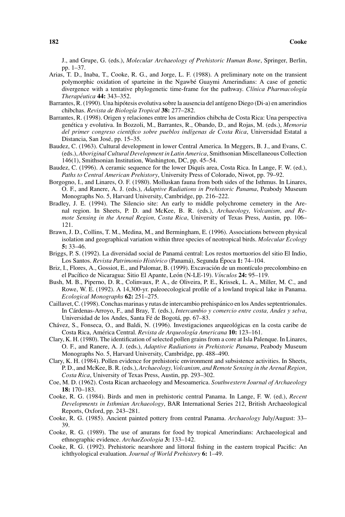J., and Grupe, G. (eds.), *Molecular Archaeology of Prehistoric Human Bone*, Springer, Berlin, pp. 1–37.

- Arias, T. D., Inaba, T., Cooke, R. G., and Jorge, L. F. (1988). A preliminary note on the transient polymorphic oxidation of sparteine in the Ngawbe Guaymi Amerindians: A case of genetic ´ divergence with a tentative phylogenetic time-frame for the pathway. *Clínica Pharmacología Therapeutica ´* **44:** 343–352.
- Barrantes, R. (1990). Una hipótesis evolutiva sobre la ausencia del antígeno Diego (Di-a) en amerindios chibchas. *Revista de Biolog´ıa Tropical* **38:** 277–282.
- Barrantes, R. (1998). Origen y relaciones entre los amerindios chibcha de Costa Rica: Una perspectiva genética y evolutiva. In Bozzoli, M., Barrantes, R., Obando, D., and Rojas, M. (eds.), *Memoria del primer congreso cientifico sobre pueblos ind´ıgenas de Costa Rica*, Universidad Estatal a Distancia, San José, pp. 15–35.
- Baudez, C. (1963). Cultural development in lower Central America. In Meggers, B. J., and Evans, C. (eds.), *Aboriginal Cultural Development in Latin America*, Smithsonian Miscellaneous Collection 146(1), Smithsonian Institution, Washington, DC, pp. 45–54.
- Baudez, C. (1996). A ceramic sequence for the lower Diquís area, Costa Rica. In Lange, F. W. (ed.), *Paths to Central American Prehistory*, University Press of Colorado, Niwot, pp. 79–92.
- Borgogno, I., and Linares, O. F. (1980). Molluskan fauna from both sides of the Isthmus. In Linares, O. F., and Ranere, A. J. (eds.), *Adaptive Radiations in Prehistoric Panama*, Peabody Museum Monographs No. 5, Harvard University, Cambridge, pp. 216–222.
- Bradley, J. E. (1994). The Silencio site: An early to middle polychrome cemetery in the Arenal region. In Sheets, P. D. and McKee, B. R. (eds.), *Archaeology, Volcanism, and Remote Sensing in the Arenal Region, Costa Rica*, University of Texas Press, Austin, pp. 106– 121.
- Brawn, J. D., Collins, T. M., Medina, M., and Bermingham, E. (1996). Associations between physical isolation and geographical variation within three species of neotropical birds. *Molecular Ecology* **5:** 33–46.
- Briggs, P. S. (1992). La diversidad social de Panama central: Los restos mortuorios del sitio El Indio, ´ Los Santos. *Revista Patrimonio Histórico* (Panamá), Segunda Época 1: 74–104.
- Briz, I., Flores, A., Gossiot, E., and Palomar, B. (1999). Excavación de un montículo precolombino en el Pacífico de Nicaragua: Sitio El Apante, León (N-LE-19). Vínculos 24: 95-119.
- Bush, M. B., Piperno, D. R., Colinvaux, P. A., de Oliveira, P. E., Krissek, L. A., Miller, M. C., and Rowe, W. E. (1992). A 14,300-yr. paleoecological profile of a lowland tropical lake in Panama. *Ecological Monographs* **62:** 251–275.
- Caillavet, C. (1998). Conchas marinas y rutas de intercambio prehispánico en los Andes septentrionales. In Cárdenas-Arroyo, F., and Bray, T. (eds.), *Intercambio y comercio entre costa, Andes y selva*, Universidad de los Andes, Santa Fé de Bogotá, pp. 67–83.
- Chávez, S., Fonseca, O., and Baldi, N. (1996). Investigaciones arqueológicas en la costa caribe de Costa Rica, América Central. Revista de Arqueología Americana 10: 123-161.
- Clary, K. H. (1980). The identification of selected pollen grains from a core at Isla Palenque. In Linares, O. F., and Ranere, A. J. (eds.), *Adaptive Radiations in Prehistoric Panama*, Peabody Museum Monographs No. 5, Harvard University, Cambridge, pp. 488–490.
- Clary, K. H. (1984). Pollen evidence for prehistoric environment and subsistence activities. In Sheets, P. D., and McKee, B. R. (eds.), *Archaeology, Volcanism, and Remote Sensing in the Arenal Region, Costa Rica*, University of Texas Press, Austin, pp. 293–302.
- Coe, M. D. (1962). Costa Rican archaeology and Mesoamerica. *Southwestern Journal of Archaeology* **18:** 170–183.
- Cooke, R. G. (1984). Birds and men in prehistoric central Panama. In Lange, F. W. (ed.), *Recent Developments in Isthmian Archaeology*, BAR International Series 212, British Archaeological Reports, Oxford, pp. 243–281.
- Cooke, R. G. (1985). Ancient painted pottery from central Panama. *Archaeology* July/August: 33– 39.
- Cooke, R. G. (1989). The use of anurans for food by tropical Amerindians: Archaeological and ethnographic evidence. *ArchaeZoologia* **3:** 133–142.
- Cooke, R. G. (1992). Prehistoric nearshore and littoral fishing in the eastern tropical Pacific: An ichthyological evaluation. *Journal of World Prehistory* **6:** 1–49.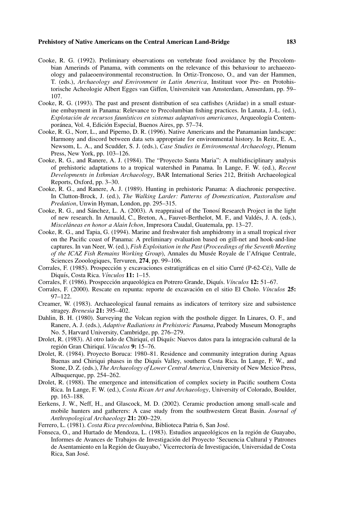- Cooke, R. G. (1992). Preliminary observations on vertebrate food avoidance by the Precolombian Amerinds of Panama, with comments on the relevance of this behaviour to archaeozoology and palaeoenvironmental reconstruction. In Ortiz-Troncoso, O., and van der Hammen, T. (eds.), *Archaeology and Environment in Latin America*, Instituut voor Pre- en Protohistorische Acheologie Albert Egges van Giffen, Universiteit van Amsterdam, Amserdam, pp. 59– 107.
- Cooke, R. G. (1993). The past and present distribution of sea catfishes (Ariidae) in a small estuarine embayment in Panama: Relevance to Precolumbian fishing practices. In Lanata, J.-L. (ed.),  $Explotación de recursos faunístico en sistemas adaptativos americanos, Arqueología Contem$ poránea, Vol. 4, Edición Especial, Buenos Aires, pp. 57–74.
- Cooke, R. G., Norr, L., and Piperno, D. R. (1996). Native Americans and the Panamanian landscape: Harmony and discord between data sets appropriate for environmental history. In Reitz, E. A., Newsom, L. A., and Scudder, S. J. (eds.), *Case Studies in Environmental Archaeology*, Plenum Press, New York, pp. 103–126.
- Cooke, R. G., and Ranere, A. J. (1984). The "Proyecto Santa Maria": A multidisciplinary analysis of prehistoric adaptations to a tropical watershed in Panama. In Lange, F. W. (ed.), *Recent Developments in Isthmian Archaeology*, BAR International Series 212, British Archaeological Reports, Oxford, pp. 3–30.
- Cooke, R. G., and Ranere, A. J. (1989). Hunting in prehistoric Panama: A diachronic perspective. In Clutton-Brock, J. (ed.), *The Walking Larder: Patterns of Domestication, Pastoralism and Predation*, Unwin Hyman, London, pp. 295–315.
- Cooke, R. G., and Sánchez, L. A. (2003). A reappraisal of the Tonosí Research Project in the light of new research. In Arnauld, C., Breton, A., Fauvet-Berthelot, M. F., and Valdes, J. A. (eds.), ´ *Misceláneas en honor a Alain Ichon*, Impresora Caudal, Guatemala, pp. 13–27.
- Cooke, R. G., and Tapia, G. (1994). Marine and freshwater fish amphidromy in a small tropical river on the Pacific coast of Panama: A preliminary evaluation based on gill-net and hook-and-line captures. In van Neer, W. (ed.), *Fish Exploitation in the Past* (*Proceedings of the Seventh Meeting of the ICAZ Fish Remains Working Group*), Annales du Musée Royale de l'Afrique Centrale, Sciences Zooologiques, Tervuren, **274**, pp. 99–106.
- Corrales, F. (1985). Prospección y excavaciones estratigráficas en el sitio Curré (P-62-Cé), Valle de Diquís, Costa Rica. *Vínculos* 11: 1-15.
- Corrales, F. (1986). Prospección arqueológica en Potrero Grande, Diquís. *Vínculos* 12: 51–67.
- Corrales, F. (2000). Rescate en repunta: reporte de excavación en el sitio El Cholo. *Vínculos* 25: 97–122.
- Creamer, W. (1983). Archaeological faunal remains as indicators of territory size and subsistence stragey. *Brenesia* **21:** 395–402.
- Dahlin, B. H. (1980). Surveying the Volcan region with the posthole digger. In Linares, O. F., and Ranere, A. J. (eds.), *Adaptive Radiations in Prehistoric Panama*, Peabody Museum Monographs No. 5, Harvard University, Cambridge, pp. 276–279.
- Drolet, R. (1983). Al otro lado de Chiriquí, el Diquís: Nuevos datos para la integración cultural de la región Gran Chiriquí. *Vínculos* 9: 15–76.
- Drolet, R. (1984). Proyecto Boruca: 1980–81. Residence and community integration during Aguas Buenas and Chiriqui phases in the Diquís Valley, southern Costa Rica. In Lange, F. W., and Stone, D. Z. (eds.), *The Archaeology of Lower Central America*, University of New Mexico Press, Albuquerque, pp. 254–262.
- Drolet, R. (1988). The emergence and intensification of complex society in Pacific southern Costa Rica. In Lange, F. W. (ed.), *Costa Rican Art and Archaeology*, University of Colorado, Boulder, pp. 163–188.
- Eerkens, J. W., Neff, H., and Glascock, M. D. (2002). Ceramic production among small-scale and mobile hunters and gatherers: A case study from the southwestern Great Basin. *Journal of Anthropological Archaeology* **21:** 200–229.
- Ferrero, L. (1981). *Costa Rica precolombina*, Biblioteca Patria 6, San Jose.´
- Fonseca, O., and Hurtado de Mendoza, L. (1983). Estudios arqueológicos en la región de Guayabo, Informes de Avances de Trabajos de Investigacion del Proyecto 'Secuencia Cultural y Patrones ´ de Asentamiento en la Región de Guayabo,' Vicerrectoría de Investigación, Universidad de Costa Rica, San Jose.´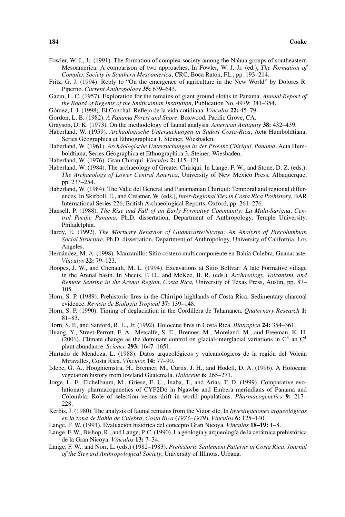Fowler, W. J., Jr. (1991). The formation of complex society among the Nahua groups of southeastern Mesoamerica: A comparison of two approaches. In Fowler, W. J. Jr. (ed.), *The Formation of Complex Society in Southern Mesoamerica*, CRC, Boca Raton, FL., pp. 193–214.

- Fritz, G. J. (1994). Reply to "On the emergence of agriculture in the New World" by Dolores R. Piperno. *Current Anthropology* **35:** 639–643.
- Gazin, L. C. (1957). Exploration for the remains of giant ground sloths in Panama. *Annual Report of the Board of Regents of the Smithsonian Institution*, Publication No. 4979: 341–354.
- Gómez, I. J. (1998). El Conchal: Reflejo de la vida cotidiana. *Vínculos* 22: 45–79.
- Gordon, L. B. (1982). *A Panama Forest and Shore*, Boxwood, Pacific Grove, CA.
- Grayson, D. K. (1973). On the methodology of faunal analysis. *American Antiquity* **38:** 432–439.
- Haberland, W. (1959). *Archäologische Untersuchungen in Sudöst Costa-Rica*, Acta Humboldtiana, Series Géographica et Ethnographica 1, Steiner, Wiesbaden.
- Haberland, W. (1961). *Archäologische Untersuchungen in der Provinz Chiriquí, Panama*, Acta Humboldtiana, Series Geographica et Ethnographica 3, Steiner, Wiesbaden. ´
- Haberland, W. (1976). Gran Chiriqu´ı. *V´ınculos* **2:** 115–121.
- Haberland, W. (1984). The archaeology of Greater Chiriquí. In Lange, F. W., and Stone, D. Z. (eds.), *The Archaeology of Lower Central America*, University of New Mexico Press, Albuquerque, pp. 233–254.
- Haberland, W. (1984). The Valle del General and Panamanian Chiriquí: Temporal and regional differences. In Skirboll, E., and Creamer, W. (eds.), *Inter-Regional Ties in Costa Rica Prehistory*, BAR International Series 226, British Archaeological Reports, Oxford, pp. 261–276.
- Hansell, P. (1988). *The Rise and Fall of an Early Formative Community: La Mula-Sarigua, Central Pacific Panama*, Ph.D. dissertation, Department of Anthropology, Temple University, Philadelphia.
- Hardy, E. (1992). *The Mortuary Behavior of Guanacaste/Nicoya: An Analysis of Precolumbian Social Structure*, Ph.D. dissertation, Department of Anthropology, University of California, Los Angeles.
- Hernández, M. A. (1998). Manzanillo: Sitio costero multicomponente en Bahía Culebra, Guanacaste. *V´ınculos* **22:** 79–123.
- Hoopes, J. W., and Chenault, M. L. (1994). Excavations at Sitio Bolívar: A late Formative village in the Arenal basin. In Sheets, P. D., and McKee, B. R. (eds.), *Archaeology, Volcanism, and Remote Sensing in the Arenal Region, Costa Rica*, University of Texas Press, Austin, pp. 87– 105.
- Horn, S. P. (1989). Prehistoric fires in the Chirripó highlands of Costa Rica: Sedimentary charcoal evidence. *Revista de Biolog´ıa Tropical* **37:** 139–148.
- Horn, S. P. (1990). Timing of deglaciation in the Cordillera de Talamanca. *Quaternary Research* **1:** 81–83.
- Horn, S. P., and Sanford, R. L., Jr. (1992). Holocene fires in Costa Rica. *Biotropica* **24:** 354–361.
- Huang, Y., Street-Perrott, F. A., Metcalfe, S. E., Brenner, M., Moreland, M., and Freeman, K. H. (2001). Climate change as the dominant control on glacial-interglacial variations in  $C^3$  an  $C^4$ plant abundance. *Science* **293:** 1647–1651.
- Hurtado de Mendoza, L. (1988). Datos arqueológicos y vulcanológicos de la región del Volcán Miravalles, Costa Rica. *V´ınculos* **14:** 77–90.
- Islebe, G. A., Hooghiemstra, H., Brenner, M., Curtis, J. H., and Hodell, D. A. (1996). A Holocene vegetation history from lowland Guatemala. *Holocene* **6:** 265–271.
- Jorge, L. F., Eichelbaum, M., Griese, E. U., Inaba, T., and Arias, T. D. (1999). Comparative evolutionary pharmacogenetics of CYP2D6 in Ngawbe and Embera merindians of Panama and Colombia: Role of selection versus drift in world populations. *Pharmacogenetics* **9:** 217– 228.
- Kerbis, J. (1980). The analysis of faunal remains from the Vidor site. In *Investigaciones arqueologicas ´ en la zona de Bah´ıa de Culebra, Costa Rica* (*1973–1979*), *V´ınculos* **6:** 125–140.
- Lange, F. W. (1991). Evaluación histórica del concepto Gran Nicoya. *Vínculos* **18–19:** 1–8.
- Lange, F. W., Bishop, R., and Lange, P. C. (1990). La geología y arqueología de la cerámica prehistórica de la Gran Nicoya. *V´ınculos* **13:** 7–34.
- Lange, F. W., and Norr, L. (eds.) (1982–1983). *Prehistoric Settlement Patterns in Costa Rica*, *Journal of the Steward Anthropological Society*, University of Illinois, Urbana.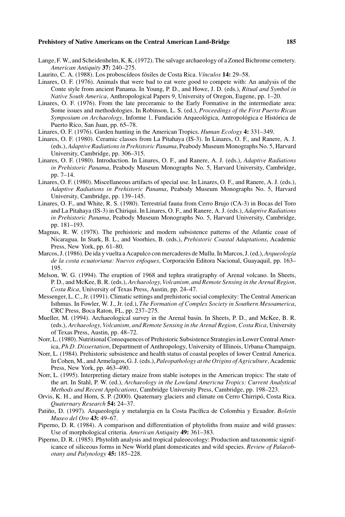- Lange, F. W., and Scheidenhelm, K. K. (1972). The salvage archaeology of a Zoned Bichrome cemetery. *American Antiquity* **37:** 240–275.
- Laurito, C. A. (1988). Los proboscídeos fósiles de Costa Rica. Vínculos 14: 29–58.
- Linares, O. F. (1976). Animals that were bad to eat were good to compete with: An analysis of the Conte style from ancient Panama. In Young, P. D., and Howe, J. D. (eds.), *Ritual and Symbol in Native South America*, Anthropological Papers 9, University of Oregon, Eugene, pp. 1–20.
- Linares, O. F. (1976). From the late preceramic to the Early Formative in the intermediate area: Some issues and methodologies. In Robinson, L. S. (ed.), *Proceedings of the First Puerto Rican* Symposium on Archaeology, Informe 1, Fundación Arqueológica, Antropológica e Histórica de Puerto Rico, San Juan, pp. 65–78.
- Linares, O. F. (1976). Garden hunting in the American Tropics. *Human Ecology* **4:** 331–349.
- Linares, O. F. (1980). Ceramic classes from La Pitahaya (IS-3). In Linares, O. F., and Ranere, A. J. (eds.), *Adaptive Radiations in Prehistoric Panama*, Peabody Museum Monographs No. 5, Harvard University, Cambridge, pp. 306–315.
- Linares, O. F. (1980). Introduction. In Linares, O. F., and Ranere, A. J. (eds.), *Adaptive Radiations in Prehistoric Panama*, Peabody Museum Monographs No. 5, Harvard University, Cambridge, pp. 7–14.
- Linares, O. F. (1980). Miscellaneous artifacts of special use. In Linares, O. F., and Ranere, A. J. (eds.), *Adaptive Radiations in Prehistoric Panama*, Peabody Museum Monographs No. 5, Harvard University, Cambridge, pp. 139–145.
- Linares, O. F., and White, R. S. (1980). Terrestrial fauna from Cerro Brujo (CA-3) in Bocas del Toro and La Pitahaya (IS-3) in Chiriqui. In Linares, O. F., and Ranere, A. J. (eds.), *Adaptive Radiations in Prehistoric Panama*, Peabody Museum Monographs No. 5, Harvard University, Cambridge, pp. 181–193.
- Magnus, R. W. (1978). The prehistoric and modern subsistence patterns of the Atlantic coast of Nicaragua. In Stark, B. L., and Voorhies, B. (eds.), *Prehistoric Coastal Adaptations*, Academic Press, New York, pp. 61–80.
- Marcos, J. (1986). De ida y vuelta a Acapulco con mercaderes de Mullu. In Marcos, J. (ed.), *Arqueolog´ıa de la costa ecuatoriana: Nuevos enfoques*, Corporacion Editora Nacional, Guayaquil, pp. 163– ´ 195.
- Melson, W. G. (1994). The eruption of 1968 and tephra stratigraphy of Arenal volcano. In Sheets, P. D., and McKee, B. R. (eds.), *Archaeology, Volcanism, and Remote Sensing in the Arenal Region, Costa Rica*, University of Texas Press, Austin, pp. 24–47.
- Messenger, L. C., Jr. (1991). Climatic settings and prehistoric social complexity: The Central American Isthmus. In Fowler, W. J., Jr. (ed.), *The Formation of Complex Society in Southern Mesoamerica*, CRC Press, Boca Raton, FL, pp. 237–275.
- Mueller, M. (1994). Archaeological survey in the Arenal basin. In Sheets, P. D., and McKee, B. R. (eds.), *Archaeology, Volcanism, and Remote Sensing in the Arenal Region, Costa Rica*, University of Texas Press, Austin, pp. 48–72.
- Norr, L. (1980). Nutritional Consequences of Prehistoric Subsistence Strategies in Lower Central America, *Ph.D. Dissertation*, Department of Anthropology, University of Illinois, Urbana-Champaign.
- Norr, L. (1984). Prehistoric subsistence and health status of coastal peoples of lower Central America. In Cohen, M., and Armelagos, G. J. (eds.), *Paleopathology at the Origins of Agriculture*, Academic Press, New York, pp. 463–490.
- Norr, L. (1995). Interpreting dietary maize from stable isotopes in the American tropics: The state of the art. In Stahl, P. W. (ed.), *Archaeology in the Lowland Americna Tropics: Current Analytical Methods and Recent Applications*, Cambridge University Press, Cambridge, pp. 198–223.
- Orvis, K. H., and Horn, S. P. (2000). Quaternary glaciers and climate on Cerro Chirripo, Costa Rica. ´ *Quaternary Research* **54:** 24–37.
- Patiño, D. (1997). Arqueología y metalurgia en la Costa Pacífica de Colombia y Ecuador. *Boletín Museo del Oro* **43:** 49–67.
- Piperno, D. R. (1984). A comparison and differentiation of phytoliths from maize and wild grasses: Use of morphological criteria. *American Antiquity* **49:** 361–383.
- Piperno, D. R. (1985). Phytolith analysis and tropical paleoecology: Production and taxonomic significance of siliceous forms in New World plant domesticates and wild species. *Review of Palaeobotany and Palynology* **45:** 185–228.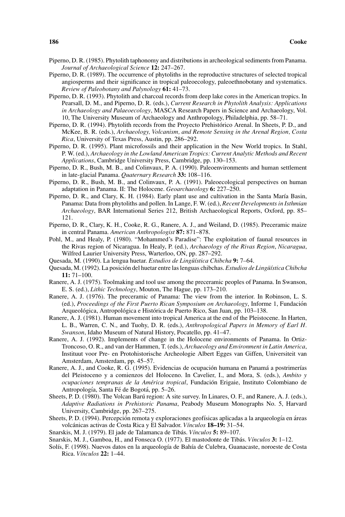- Piperno, D. R. (1985). Phytolith taphonomy and distributions in archeological sediments from Panama. *Journal of Archaeological Science* **12:** 247–267.
- Piperno, D. R. (1989). The occurrence of phytoliths in the reproductive structures of selected tropical angiosperms and their significance in tropical paleoecology, paleoethnobotany and systematics. *Review of Paleobotany and Palynology* **61:** 41–73.
- Piperno, D. R. (1993). Phytolith and charcoal records from deep lake cores in the American tropics. In Pearsall, D. M., and Piperno, D. R. (eds.), *Current Research in Phytolith Analysis: Applications in Archaeology and Palaeoecology*, MASCA Research Papers in Science and Archaeology, Vol. 10, The University Museum of Archaeology and Anthropology, Philadelphia, pp. 58–71.
- Piperno, D. R. (1994). Phytolith records from the Proyecto Prehistórico Arenal. In Sheets, P. D., and McKee, B. R. (eds.), *Archaeology, Volcanism, and Remote Sensing in the Arenal Region, Costa Rica*, University of Texas Press, Austin, pp. 286–292.
- Piperno, D. R. (1995). Plant microfossils and their application in the New World tropics. In Stahl, P. W. (ed.), *Archaeology in the Lowland American Tropics: Current Analytic Methods and Recent Applications*, Cambridge University Press, Cambridge, pp. 130–153.
- Piperno, D. R., Bush, M. B., and Colinvaux, P. A. (1990). Paleoenvironments and human settlement in late-glacial Panama. *Quaternary Research* **33:** 108–116.
- Piperno, D. R., Bush, M. B., and Colinvaux, P. A. (1991). Paleoecological perspectives on human adaptation in Panama. II: The Holocene. *Geoarchaeology* **6:** 227–250.
- Piperno, D. R., and Clary, K. H. (1984). Early plant use and cultivation in the Santa María Basin, Panama: Data from phytoliths and pollen. In Lange, F. W. (ed.), *Recent Developments in Isthmian Archaeology*, BAR International Series 212, British Archaeological Reports, Oxford, pp. 85– 121.
- Piperno, D. R., Clary, K. H., Cooke, R. G., Ranere, A. J., and Weiland, D. (1985). Preceramic maize in central Panama. *American Anthropologist* **87:** 871–878.
- Pohl, M., and Healy, P. (1980). "Mohammed's Paradise": The exploitation of faunal resources in the Rivas region of Nicaragua. In Healy, P. (ed.), *Archaeology of the Rivas Region*, *Nicaragua*, Wilfred Laurier University Press, Warterloo, ON, pp. 287–292.
- Quesada, M. (1990). La lengua huetar. *Estudios de Lingüística Chibcha* 9: 7–64.
- Quesada, M. (1992). La posición del huetar entre las lenguas chibchas. Estudios de Lingüística Chibcha **11:** 71–100.
- Ranere, A. J. (1975). Toolmaking and tool use among the preceramic peoples of Panama. In Swanson, E. S. (ed.), *Lithic Technology*, Mouton, The Hague, pp. 173–210.
- Ranere, A. J. (1976). The preceramic of Panama: The view from the interior. In Robinson, L. S. (ed.), *Proceedings of the First Puerto Rican Symposium on Archaeology*, Informe 1, Fundacion´ Arqueológica, Antropológica e Histórica de Puerto Rico, San Juan, pp. 103–138.
- Ranere, A. J. (1981). Human movement into tropical America at the end of the Pleistocene. In Harten, L. B., Warren, C. N., and Tuohy, D. R. (eds.), *Anthropological Papers in Memory of Earl H. Swanson*, Idaho Museum of Natural History, Pocatello, pp. 41–47.
- Ranere, A. J. (1992). Implements of change in the Holocene environments of Panama. In Ortiz-Troncoso, O. R., and van der Hammen, T. (eds.), *Archaeology and Environment in Latin America*, Instituut voor Pre- en Protohistorische Archeologie Albert Egges van Giffen, Universiteit van Amsterdam, Amsterdam, pp. 45–57.
- Ranere, A. J., and Cooke, R. G. (1995). Evidencias de ocupación humana en Panamá a postrimerías del Pleistoceno y a comienzos del Holoceno. In Cavelier, I., and Mora, S. (eds.), *Ambito y ocupaciones tempranas de la America tropical ´* , Fundacion Erigaie, Instituto Colombiano de ´ Antropología, Santa Fé de Bogotá, pp. 5–26.
- Sheets, P. D. (1980). The Volcan Barú region: A site survey. In Linares, O. F., and Ranere, A. J. (eds.), *Adaptive Radiations in Prehistoric Panama*, Peabody Museum Monographs No. 5, Harvard University, Cambridge, pp. 267–275.
- Sheets, P. D. (1994). Percepción remota y exploraciones geofísicas aplicadas a la arqueología en áreas volcanicas activas de Costa Rica y El Salvador. ´ *V´ınculos* **18–19:** 31–54.
- Snarskis, M. J. (1979). El jade de Talamanca de Tibás. *Vínculos* 5: 89–107.
- Snarskis, M. J., Gamboa, H., and Fonseca O. (1977). El mastodonte de Tibas. ´ *V´ınculos* **3:** 1–12.
- Solís, F. (1998). Nuevos datos en la arqueología de Bahía de Culebra, Guanacaste, noroeste de Costa Rica. *V´ınculos* **22:** 1–44.